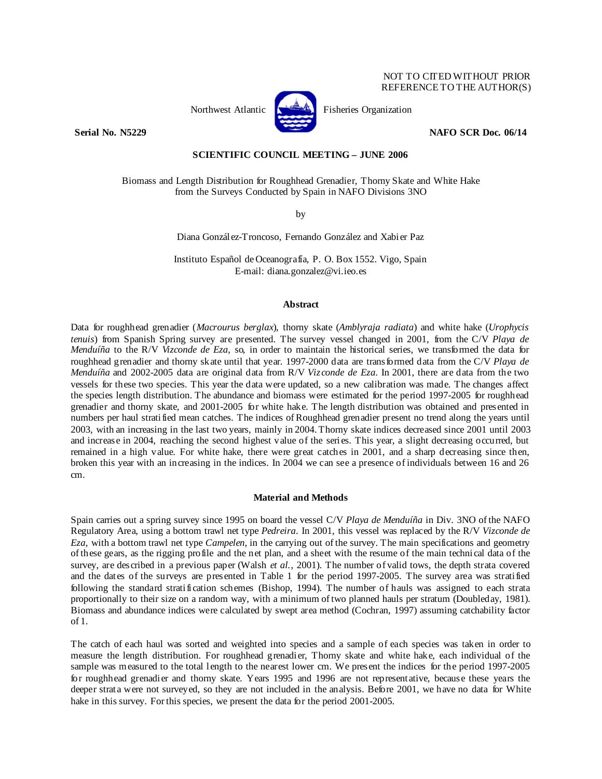

Northwest Atlantic **Kernet** Fisheries Organization

**Serial No. N5229 NAFO SCR Doc. 06/14 NAFO SCR Doc. 06/14** 

## **SCIENTIFIC COUNCIL MEETING – JUNE 2006**

Biomass and Length Distribution for Roughhead Grenadier, Thorny Skate and White Hake from the Surveys Conducted by Spain in NAFO Divisions 3NO

by

Diana González-Troncoso, Fernando González and Xabier Paz

Instituto Español de Oceanografía, P. O. Box 1552. Vigo, Spain E-mail: diana.gonzalez@vi.ieo.es

# **Abstract**

Data for roughhead grenadier (*Macrourus berglax*), thorny skate (*Amblyraja radiata*) and white hake (*Urophycis tenuis*) from Spanish Spring survey are presented. The survey vessel changed in 2001, from the C/V *Playa de Menduíña* to the R/V *Vizconde de Eza*, so, in order to maintain the historical series, we transformed the data for roughhead grenadier and thorny skate until that year. 1997-2000 data are transformed data from the C/V *Playa de Menduíña* and 2002-2005 data are original data from R/V *Vizconde de Eza*. In 2001, there are data from the two vessels for these two species. This year the data were updated, so a new calibration was made. The changes affect the species length distribution. The abundance and biomass were estimated for the period 1997-2005 for roughhead grenadier and thorny skate, and 2001-2005 for white hake. The length distribution was obtained and presented in numbers per haul stratified mean catches. The indices of Roughhead grenadier present no trend along the years until 2003, with an increasing in the last two years, mainly in 2004. Thorny skate indices decreased since 2001 until 2003 and increase in 2004, reaching the second highest value of the series. This year, a slight decreasing occurred, but remained in a high value. For white hake, there were great catches in 2001, and a sharp decreasing since then, broken this year with an increasing in the indices. In 2004 we can see a presence of individuals between 16 and 26 cm.

### **Material and Methods**

Spain carries out a spring survey since 1995 on board the vessel C/V *Playa de Menduíña* in Div. 3NO of the NAFO Regulatory Area, using a bottom trawl net type *Pedreira*. In 2001, this vessel was replaced by the R/V *Vizconde de Eza*, with a bottom trawl net type *Campelen*, in the carrying out of the survey. The main specifications and geometry of these gears, as the rigging profile and the net plan, and a sheet with the resume of the main technical data of the survey, are described in a previous paper (Walsh *et al.*, 2001). The number of valid tows, the depth strata covered and the dates of the surveys are presented in Table 1 for the period 1997-2005. The survey area was stratified following the standard stratification schemes (Bishop, 1994). The number of hauls was assigned to each strata proportionally to their size on a random way, with a minimum of two planned hauls per stratum (Doubleday, 1981). Biomass and abundance indices were calculated by swept area method (Cochran, 1997) assuming catchability factor of 1.

The catch of each haul was sorted and weighted into species and a sample of each species was taken in order to measure the length distribution. For roughhead grenadier, Thorny skate and white hake, each individual of the sample was measured to the total length to the nearest lower cm. We present the indices for the period 1997-2005 for roughhead grenadier and thorny skate. Years 1995 and 1996 are not representative, because these years the deeper strata were not surveyed, so they are not included in the analysis. Before 2001, we have no data for White hake in this survey. For this species, we present the data for the period 2001-2005.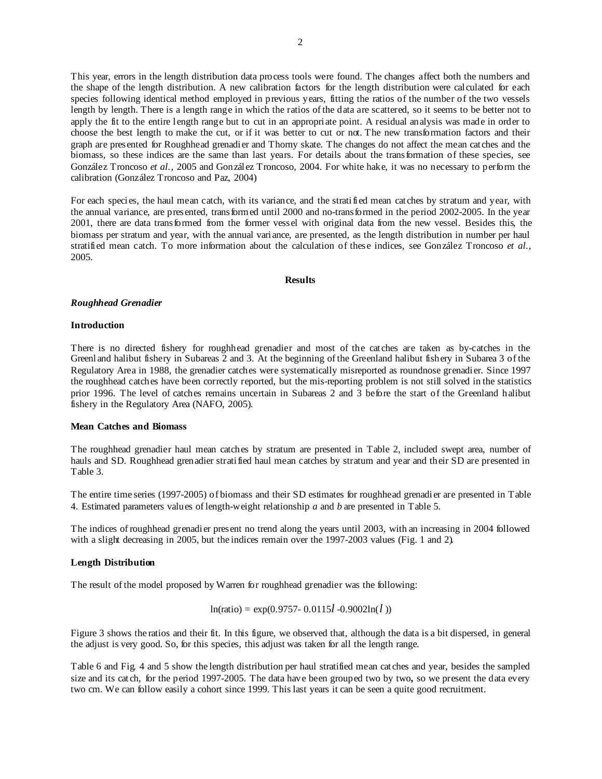This year, errors in the length distribution data process tools were found. The changes affect both the numbers and the shape of the length distribution. A new calibration factors for the length distribution were calculated for each species following identical method employed in previous years, fitting the ratios of the number of the two vessels length by length. There is a length range in which the ratios of the data are scattered, so it seems to be better not to apply the fit to the entire length range but to cut in an appropriate point. A residual analysis was made in order to choose the best length to make the cut, or if it was better to cut or not. The new transformation factors and their graph are presented for Roughhead grenadier and Thorny skate. The changes do not affect the mean catches and the biomass, so these indices are the same than last years. For details about the transformation of these species, see González Troncoso *et al.*, 2005 and González Troncoso, 2004. For white hake, it was no necessary to perform the calibration (González Troncoso and Paz, 2004)

For each species, the haul mean catch, with its variance, and the stratified mean catches by stratum and year, with the annual variance, are presented, transformed until 2000 and no-transformed in the period 2002-2005. In the year 2001, there are data transformed from the former vessel with original data from the new vessel. Besides this, the biomass per stratum and year, with the annual variance, are presented, as the length distribution in number per haul stratified mean catch. To more information about the calculation of these indices, see González Troncoso *et al.*, 2005.

#### **Results**

### *Roughhead Grenadier*

## **Introduction**

There is no directed fishery for roughhead grenadier and most of the catches are taken as by-catches in the Greenland halibut fishery in Subareas 2 and 3. At the beginning of the Greenland halibut fishery in Subarea 3 of the Regulatory Area in 1988, the grenadier catches were systematically misreported as roundnose grenadier. Since 1997 the roughhead catches have been correctly reported, but the mis-reporting problem is not still solved in the statistics prior 1996. The level of catches remains uncertain in Subareas 2 and 3 before the start of the Greenland halibut fishery in the Regulatory Area (NAFO, 2005).

# **Mean Catches and Biomass**

The roughhead grenadier haul mean catches by stratum are presented in Table 2, included swept area, number of hauls and SD. Roughhead grenadier stratified haul mean catches by stratum and year and their SD are presented in Table 3.

The entire time series (1997-2005) of biomass and their SD estimates for roughhead grenadier are presented in Table 4. Estimated parameters values of length-weight relationship *a* and *b* are presented in Table 5.

The indices of roughhead grenadier present no trend along the years until 2003, with an increasing in 2004 followed with a slight decreasing in 2005, but the indices remain over the 1997-2003 values (Fig. 1 and 2).

## **Length Distribution**

The result of the model proposed by Warren for roughhead grenadier was the following:

$$
In(ratio) = \exp(0.9757 - 0.0115l - 0.9002\ln(l))
$$

Figure 3 shows the ratios and their fit. In this figure, we observed that, although the data is a bit dispersed, in general the adjust is very good. So, for this species, this adjust was taken for all the length range.

Table 6 and Fig. 4 and 5 show the length distribution per haul stratified mean catches and year, besides the sampled size and its catch, for the period 1997-2005. The data have been grouped two by two**,** so we present the data every two cm. We can follow easily a cohort since 1999. This last years it can be seen a quite good recruitment.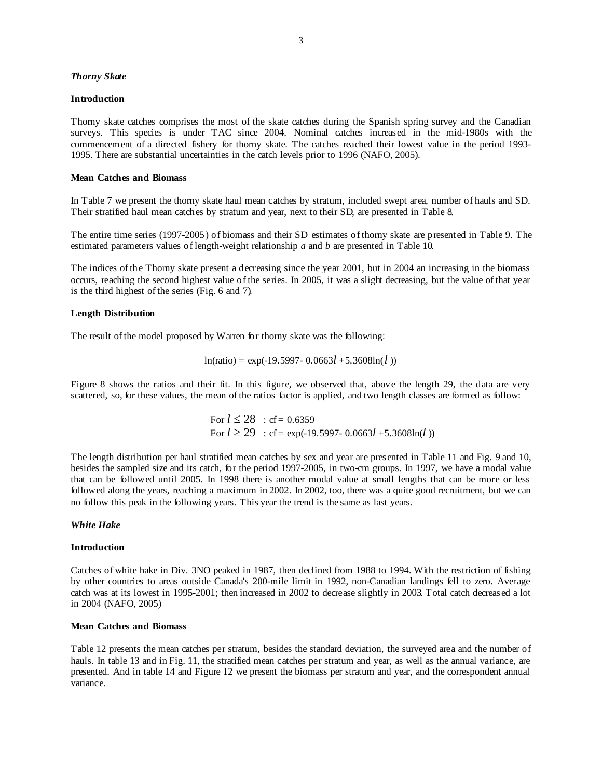## *Thorny Skate*

#### **Introduction**

Thorny skate catches comprises the most of the skate catches during the Spanish spring survey and the Canadian surveys. This species is under TAC since 2004. Nominal catches increased in the mid-1980s with the commencement of a directed fishery for thorny skate. The catches reached their lowest value in the period 1993- 1995. There are substantial uncertainties in the catch levels prior to 1996 (NAFO, 2005).

## **Mean Catches and Biomass**

In Table 7 we present the thorny skate haul mean catches by stratum, included swept area, number of hauls and SD. Their stratified haul mean catches by stratum and year, next to their SD, are presented in Table 8.

The entire time series (1997-2005) of biomass and their SD estimates of thorny skate are presented in Table 9. The estimated parameters values of length-weight relationship *a* and *b* are presented in Table 10.

The indices of the Thorny skate present a decreasing since the year 2001, but in 2004 an increasing in the biomass occurs, reaching the second highest value of the series. In 2005, it was a slight decreasing, but the value of that year is the third highest of the series (Fig. 6 and 7).

### **Length Distribution**

The result of the model proposed by Warren for thorny skate was the following:

$$
ln(ratio) = exp(-19.5997 - 0.0663l + 5.3608ln(l))
$$

Figure 8 shows the ratios and their fit. In this figure, we observed that, above the length 29, the data are very scattered, so, for these values, the mean of the ratios factor is applied, and two length classes are formed as follow:

For 
$$
l \le 28
$$
 : cf = 0.6359  
For  $l \ge 29$  : cf = exp(-19.5997- 0.0663l +5.3608ln(l))

The length distribution per haul stratified mean catches by sex and year are presented in Table 11 and Fig. 9 and 10, besides the sampled size and its catch, for the period 1997-2005, in two-cm groups. In 1997, we have a modal value that can be followed until 2005. In 1998 there is another modal value at small lengths that can be more or less followed along the years, reaching a maximum in 2002. In 2002, too, there was a quite good recruitment, but we can no follow this peak in the following years. This year the trend is the same as last years.

# *White Hake*

#### **Introduction**

Catches of white hake in Div. 3NO peaked in 1987, then declined from 1988 to 1994. With the restriction of fishing by other countries to areas outside Canada's 200-mile limit in 1992, non-Canadian landings fell to zero. Average catch was at its lowest in 1995-2001; then increased in 2002 to decrease slightly in 2003. Total catch decreased a lot in 2004 (NAFO, 2005)

#### **Mean Catches and Biomass**

Table 12 presents the mean catches per stratum, besides the standard deviation, the surveyed area and the number of hauls. In table 13 and in Fig. 11, the stratified mean catches per stratum and year, as well as the annual variance, are presented. And in table 14 and Figure 12 we present the biomass per stratum and year, and the correspondent annual variance.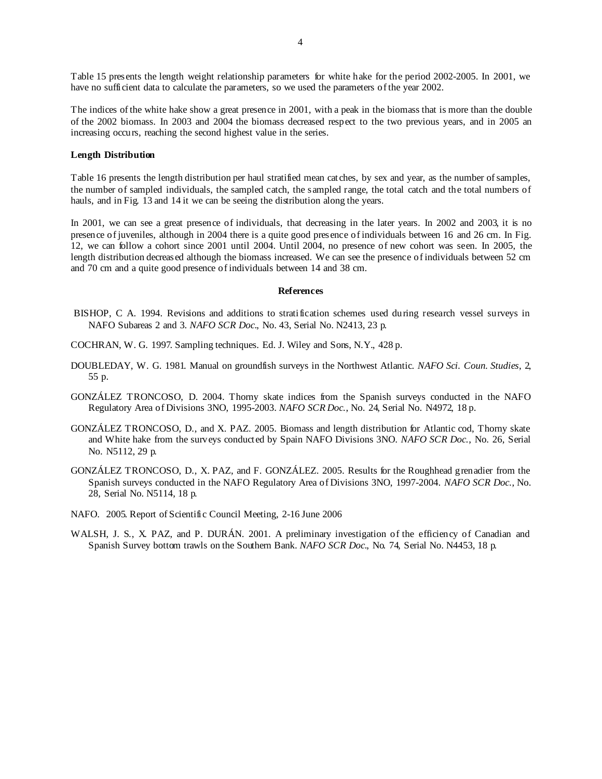Table 15 presents the length weight relationship parameters for white hake for the period 2002-2005. In 2001, we have no sufficient data to calculate the parameters, so we used the parameters of the year 2002.

The indices of the white hake show a great presence in 2001, with a peak in the biomass that is more than the double of the 2002 biomass. In 2003 and 2004 the biomass decreased respect to the two previous years, and in 2005 an increasing occurs, reaching the second highest value in the series.

#### **Length Distribution**

Table 16 presents the length distribution per haul stratified mean catches, by sex and year, as the number of samples, the number of sampled individuals, the sampled catch, the sampled range, the total catch and the total numbers of hauls, and in Fig. 13 and 14 it we can be seeing the distribution along the years.

In 2001, we can see a great presence of individuals, that decreasing in the later years. In 2002 and 2003, it is no presence of juveniles, although in 2004 there is a quite good presence of individuals between 16 and 26 cm. In Fig. 12, we can follow a cohort since 2001 until 2004. Until 2004, no presence of new cohort was seen. In 2005, the length distribution decreased although the biomass increased. We can see the presence of individuals between 52 cm and 70 cm and a quite good presence of individuals between 14 and 38 cm.

### **References**

- BISHOP, C A. 1994. Revisions and additions to stratification schemes used during research vessel surveys in NAFO Subareas 2 and 3*. NAFO SCR Doc*., No. 43, Serial No. N2413, 23 p.
- COCHRAN, W. G. 1997. Sampling techniques. Ed. J. Wiley and Sons, N.Y., 428 p.
- DOUBLEDAY, W. G. 1981. Manual on groundfish surveys in the Northwest Atlantic. *NAFO Sci. Coun. Studies*, 2, 55 p.
- GONZÁLEZ TRONCOSO, D. 2004. Thorny skate indices from the Spanish surveys conducted in the NAFO Regulatory Area of Divisions 3NO, 1995-2003. *NAFO SCR Doc*., No. 24, Serial No. N4972, 18 p.
- GONZÁLEZ TRONCOSO, D., and X. PAZ. 2005. Biomass and length distribution for Atlantic cod, Thorny skate and White hake from the surveys conducted by Spain NAFO Divisions 3NO. *NAFO SCR Doc*., No. 26, Serial No. N5112, 29 p.
- GONZÁLEZ TRONCOSO, D., X. PAZ, and F. GONZÁLEZ. 2005. Results for the Roughhead grenadier from the Spanish surveys conducted in the NAFO Regulatory Area of Divisions 3NO, 1997-2004. *NAFO SCR Doc*., No. 28, Serial No. N5114, 18 p.
- NAFO. 2005. Report of Scientific Council Meeting, 2-16 June 2006
- WALSH, J. S., X. PAZ, and P. DURÁN. 2001. A preliminary investigation of the efficiency of Canadian and Spanish Survey bottom trawls on the Southern Bank. *NAFO SCR Doc*., No. 74, Serial No. N4453, 18 p.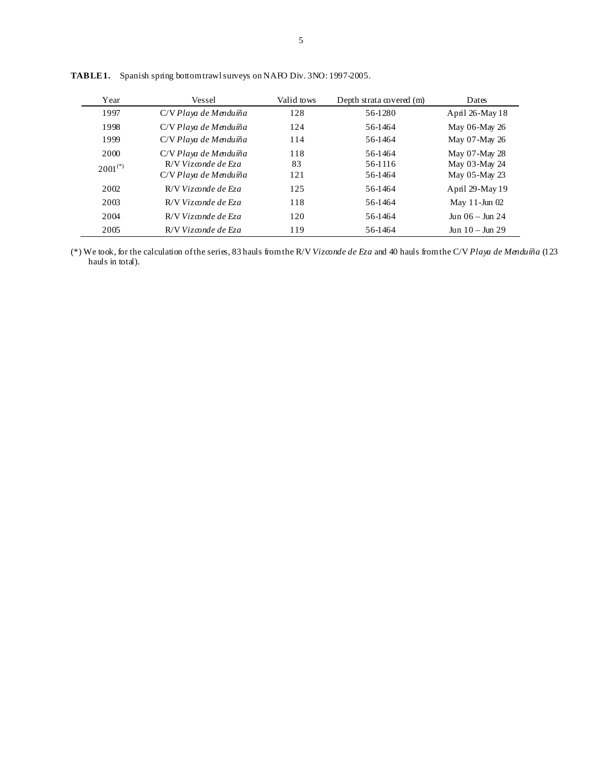| Year         | Vessel                | Valid tows | Depth strata covered (m) | Dates                   |
|--------------|-----------------------|------------|--------------------------|-------------------------|
| 1997         | C/V Playa de Menduíña | 128        | 56-1280                  | April 26-May 18         |
| 1998         | C/V Playa de Menduíña | 124        | 56-1464                  | May 06-May 26           |
| 1999         | C/V Playa de Menduíña | 114        | 56-1464                  | May 07-May 26           |
| 2000         | C/V Playa de Menduíña | 118        | 56-1464                  | May 07-May 28           |
| $2001^{(*)}$ | $R/V$ Vizconde de Eza | 83         | 56-1116                  | May 03-May 24           |
|              | C/V Playa de Menduíña | 121        | 56-1464                  | May 05-May 23           |
| 2002         | $R/V$ Vizconde de Eza | 125        | 56-1464                  | April 29-May 19         |
| 2003         | $R/V$ Vizconde de Eza | 118        | 56-1464                  | May $11$ -Jun $02$      |
| 2004         | $R/V$ Vizconde de Eza | 120        | 56-1464                  | $\ln n$ 06 – $\ln n$ 24 |
| 2005         | R/V Vizconde de Eza   | 119        | 56-1464                  | $Jun 10 - Jun 29$       |

TABLE 1. Spanish spring bottom trawl surveys on NAFO Div. 3NO: 1997-2005.

(\*) We took, for the calculation of the series, 83 hauls from the R/V *Vizconde de Eza* and 40 hauls from the C/V *Playa de Menduíña* (123 hauls in total).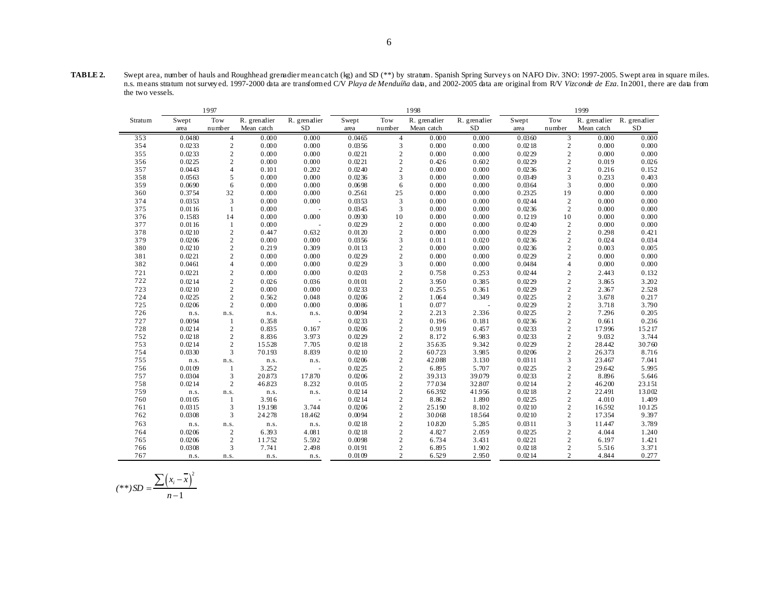**TABLE 2.** Swept area, number of hauls and Roughhead grenadier mean catch (kg) and SD (\*\*) by stratum. Spanish Spring Survey s on NAFO Div. 3NO: 1997-2005. Swept area in square miles. n.s. means stratum not survey ed. 1997-2000 data are transformed C/V *Playa de Menduíña* data, and 2002-2005 data are original from R/V *Vizconde de Eza*. In 2001, there are data from the two vessels.

|         |        | 1997           |              |              |        |                | 1998         |              |        |                  | 1999       |                           |
|---------|--------|----------------|--------------|--------------|--------|----------------|--------------|--------------|--------|------------------|------------|---------------------------|
| Stratum | Swept  | Tow            | R. grenadier | R. grenadier | Swept  | Tow            | R. grenadier | R. grenadier | Swept  | Tow              |            | R. grenadier R. grenadier |
|         | area   | number         | Mean catch   | $\rm SD$     | area   | number         | Mean catch   | <b>SD</b>    | area   | number           | Mean catch | <b>SD</b>                 |
| 353     | 0.0480 | $\overline{4}$ | 0.000        | 0.000        | 0.0465 | $\overline{4}$ | 0.000        | 0.000        | 0.0360 | 3                | 0.000      | 0.000                     |
| 354     | 0.0233 | $\sqrt{2}$     | 0.000        | 0.000        | 0.0356 | 3              | 0.000        | 0.000        | 0.0218 | $\overline{c}$   | 0.000      | 0.000                     |
| 355     | 0.0233 | $\sqrt{2}$     | 0.000        | 0.000        | 0.0221 | $\sqrt{2}$     | 0.000        | 0.000        | 0.0229 | $\mathbf{2}$     | 0.000      | 0.000                     |
| 356     | 0.0225 | $\mathbf{2}$   | 0.000        | 0.000        | 0.0221 | $\overline{2}$ | 0.426        | 0.602        | 0.0229 | $\mathbf{2}$     | 0.019      | 0.026                     |
| 357     | 0.0443 | $\overline{4}$ | 0.101        | 0.202        | 0.0240 | $\mathbf{2}$   | 0.000        | 0.000        | 0.0236 | $\mathbf{2}$     | 0.216      | 0.152                     |
| 358     | 0.0563 | 5              | 0.000        | 0.000        | 0.0236 | 3              | 0.000        | 0.000        | 0.0349 | 3                | 0.233      | 0.403                     |
| 359     | 0.0690 | 6              | 0.000        | 0.000        | 0.0698 | 6              | 0.000        | 0.000        | 0.0364 | 3                | 0.000      | 0.000                     |
| 360     | 0.3754 | 32             | 0.000        | 0.000        | 0.2561 | 25             | 0.000        | 0.000        | 0.2325 | 19               | 0.000      | 0.000                     |
| 374     | 0.0353 | 3              | 0.000        | 0.000        | 0.0353 | 3              | 0.000        | 0.000        | 0.0244 | $\sqrt{2}$       | 0.000      | 0.000                     |
| 375     | 0.0116 | 1              | 0.000        |              | 0.0345 | 3              | 0.000        | 0.000        | 0.0236 | $\overline{c}$   | 0.000      | 0.000                     |
| 376     | 0.1583 | 14             | 0.000        | 0.000        | 0.0930 | 10             | 0.000        | 0.000        | 0.1219 | 10               | 0.000      | 0.000                     |
| 377     | 0.0116 | $\mathbf{1}$   | 0.000        |              | 0.0229 | $\overline{c}$ | 0.000        | 0.000        | 0.0240 | $\sqrt{2}$       | 0.000      | 0.000                     |
| 378     | 0.0210 | $\sqrt{2}$     | 0.447        | 0.632        | 0.0120 | $\overline{2}$ | 0.000        | 0.000        | 0.0229 | $\boldsymbol{2}$ | 0.298      | 0.421                     |
| 379     | 0.0206 | $\sqrt{2}$     | 0.000        | 0.000        | 0.0356 | 3              | 0.011        | 0.020        | 0.0236 | $\mathbf{2}$     | 0.024      | 0.034                     |
| 380     | 0.0210 | $\sqrt{2}$     | 0.219        | 0.309        | 0.0113 | $\sqrt{2}$     | 0.000        | 0.000        | 0.0236 | $\mathbf{2}$     | 0.003      | 0.005                     |
| 381     | 0.0221 | $\mathbf{2}$   | 0.000        | 0.000        | 0.0229 | $\overline{2}$ | 0.000        | 0.000        | 0.0229 | $\mathbf{2}$     | 0.000      | 0.000                     |
| 382     | 0.0461 | $\overline{4}$ | 0.000        | 0.000        | 0.0229 | $\overline{3}$ | 0.000        | 0.000        | 0.0484 | $\overline{4}$   | 0.000      | 0.000                     |
| 721     | 0.0221 | $\mathbf{2}$   | 0.000        | 0.000        | 0.0203 | $\mathbf{2}$   | 0.758        | 0.253        | 0.0244 | $\overline{c}$   | 2.443      | 0.132                     |
| 722     | 0.0214 | $\sqrt{2}$     | 0.026        | 0.036        | 0.0101 | $\sqrt{2}$     | 3.950        | 0.385        | 0.0229 | $\mathbf{2}$     | 3.865      | 3.202                     |
| 723     | 0.0210 | $\sqrt{2}$     | 0.000        | 0.000        | 0.0233 | $\overline{2}$ | 0.255        | 0.361        | 0.0229 | $\mathbf{2}$     | 2.367      | 2.528                     |
| 724     | 0.0225 | $\sqrt{2}$     | 0.562        | 0.048        | 0.0206 | $\overline{2}$ | 1.064        | 0.349        | 0.0225 | $\mathbf{2}$     | 3.678      | 0.217                     |
| 725     | 0.0206 | $\overline{c}$ | 0.000        | 0.000        | 0.0086 | 1              | 0.077        |              | 0.0229 | $\mathbf{2}$     | 3.718      | 3.790                     |
| 726     | n.s.   | n.s.           | n.s.         | n.s.         | 0.0094 | $\sqrt{2}$     | 2.213        | 2.336        | 0.0225 | $\mathbf{2}$     | 7.296      | 0.205                     |
| 727     | 0.0094 | -1             | 0.358        |              | 0.0233 | $\overline{2}$ | 0.196        | 0.181        | 0.0236 | $\mathbf{2}$     | 0.661      | 0.236                     |
| 728     | 0.0214 | $\sqrt{2}$     | 0.835        | 0.167        | 0.0206 | $\sqrt{2}$     | 0.919        | 0.457        | 0.0233 | $\boldsymbol{2}$ | 17.996     | 15217                     |
| 752     | 0.0218 | $\mathbf{2}$   | 8.836        | 3.973        | 0.0229 | $\overline{2}$ | 8.172        | 6.983        | 0.0233 | $\overline{c}$   | 9.032      | 3.744                     |
| 753     | 0.0214 | $\sqrt{2}$     | 15528        | 7.705        | 0.0218 | $\overline{c}$ | 35.635       | 9.342        | 0.0229 | $\mathbf{2}$     | 28.442     | 30.760                    |
| 754     | 0.0330 | 3              | 70.193       | 8.839        | 0.0210 | $\sqrt{2}$     | 60.723       | 3.985        | 0.0206 | $\boldsymbol{2}$ | 26373      | 8.716                     |
| 755     | n.s.   | n.s.           | n.s.         | n.s.         | 0.0206 | $\overline{2}$ | 42.088       | 3.130        | 0.0311 | 3                | 23.467     | 7.041                     |
| 756     | 0.0109 | -1             | 3.252        |              | 0.0225 | $\overline{2}$ | 6.895        | 5.707        | 0.0225 | $\mathbf{2}$     | 29.642     | 5.995                     |
| 757     | 0.0304 | 3              | 20.873       | 17.870       | 0.0206 | $\sqrt{2}$     | 39313        | 39.079       | 0.0233 | $\boldsymbol{2}$ | 8.896      | 5.646                     |
| 758     | 0.0214 | $\overline{c}$ | 46.823       | 8.232        | 0.0105 | $\overline{2}$ | 77.034       | 32.807       | 0.0214 | $\overline{c}$   | 46.200     | 23.151                    |
| 759     | n.s.   | n.s.           | n.s.         | n.s.         | 0.0214 | $\overline{c}$ | 66392        | 41956        | 0.0218 | $\mathbf{2}$     | 22.491     | 13.002                    |
| 760     | 0.0105 | 1              | 3.916        |              | 0.0214 | $\overline{2}$ | 8.862        | 1.890        | 0.0225 | $\mathbf{2}$     | 4.010      | 1.409                     |
| 761     | 0.0315 | 3              | 19.198       | 3.744        | 0.0206 | $\overline{2}$ | 25.190       | 8.102        | 0.0210 | $\overline{c}$   | 16592      | 10.125                    |
| 762     | 0.0308 | 3              | 24.278       | 18.462       | 0.0094 | $\overline{2}$ | 30.068       | 18564        | 0.0210 | $\overline{c}$   | 17354      | 9.397                     |
| 763     | n.s.   | n.s.           | n.s.         | n.s.         | 0.0218 | 2              | 10.820       | 5.285        | 0.0311 | 3                | 11.447     | 3.789                     |
| 764     | 0.0206 | $\mathbf{2}$   | 6.393        | 4.081        | 0.0218 | $\mathbf{2}$   | 4.827        | 2.059        | 0.0225 | $\mathbf{2}$     | 4.044      | 1.240                     |
| 765     | 0.0206 | 2              | 11.752       | 5.592        | 0.0098 | 2              | 6.734        | 3.431        | 0.0221 | $\mathbf{2}$     | 6.197      | 1.421                     |
| 766     | 0.0308 | 3              | 7.741        | 2.498        | 0.0191 | 2              | 6.895        | 1.902        | 0.0218 | $\overline{c}$   | 5.516      | 3.371                     |
| 767     | n.s.   | n.s.           | n.s.         | n.s.         | 0.0109 | 2              | 6.529        | 2.950        | 0.0214 | $\overline{c}$   | 4.844      | 0.277                     |

$$
(**)SD = \frac{\sum (x_i - \overline{x})^2}{n-1}
$$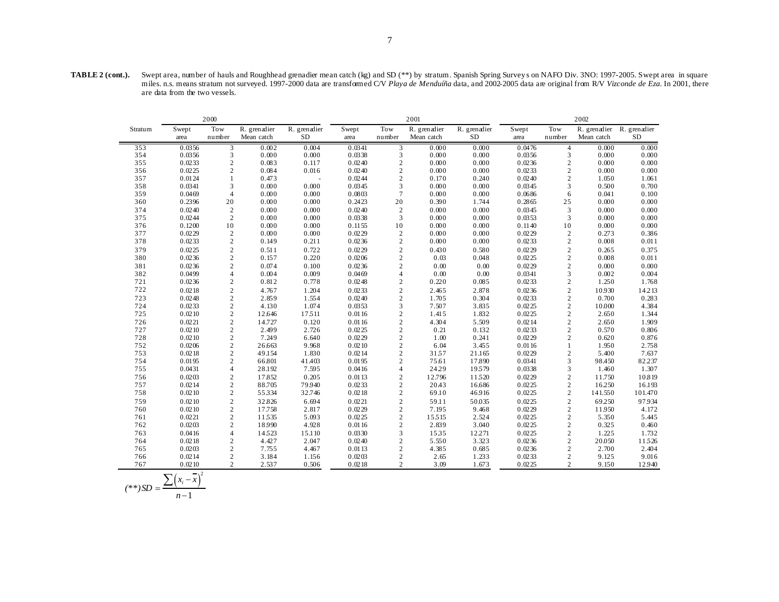**TABLE 2 (cont.).** Swept area, number of hauls and Roughhead grenadier mean catch (kg) and SD (\*\*) by stratum. Spanish Spring Survey s on NAFO Div. 3NO: 1997-2005. Swept area in square miles. n.s. means stratum not surveyed. 1997-2000 data are transformed C/V *Playa de Menduíña* data, and 2002-2005 data are original from R/V *Vizconde de Eza*. In 2001, there are data from the two vessels.

|         |                | 2000             |              |              |        |                | 2001         |              |        |                | 2002         |              |
|---------|----------------|------------------|--------------|--------------|--------|----------------|--------------|--------------|--------|----------------|--------------|--------------|
| Stratum | Swept          | Tow              | R. grenadier | R. grenadier | Swept  | Tow            | R. grenadier | R. grenadier | Swept  | Tow            | R. grenadier | R. grenadier |
|         | area           | number           | Mean catch   | $\rm SD$     | area   | number         | Mean catch   | $\rm SD$     | area   | number         | Mean catch   | $\rm SD$     |
| 353     | 0.0356         | 3                | 0.002        | 0.004        | 0.0341 | 3              | 0.000        | 0.000        | 0.0476 | $\overline{4}$ | 0.000        | 0.000        |
| 354     | 0.0356         | 3                | 0.000        | 0.000        | 0.0338 | 3              | 0.000        | 0.000        | 0.0356 | 3              | 0.000        | 0.000        |
| 355     | 0.0233         | $\sqrt{2}$       | 0.083        | 0.117        | 0.0240 | $\mathbf{2}$   | 0.000        | 0.000        | 0.0236 | $\mathbf{2}$   | 0.000        | 0.000        |
| 356     | 0.0225         | $\mathbf{2}$     | 0.084        | 0.016        | 0.0240 | $\overline{c}$ | 0.000        | 0.000        | 0.0233 | $\overline{c}$ | 0.000        | 0.000        |
| 357     | 0.0124         | 1                | 0.473        |              | 0.0244 | $\overline{c}$ | 0.170        | 0.240        | 0.0240 | $\mathbf{2}$   | 1.050        | 1.061        |
| 358     | 0.0341         | 3                | 0.000        | 0.000        | 0.0345 | $\overline{3}$ | 0.000        | 0.000        | 0.0345 | 3              | 0.500        | 0.700        |
| 359     | 0.0469         | $\overline{4}$   | 0.000        | 0.000        | 0.0803 | $\overline{7}$ | 0.000        | 0.000        | 0.0686 | 6              | 0.041        | 0.100        |
| 360     | 0.2396         | 20               | 0.000        | 0.000        | 0.2423 | $20\,$         | 0.390        | 1.744        | 0.2865 | 25             | 0.000        | 0.000        |
| 374     | 0.0240         | $\sqrt{2}$       | 0.000        | 0.000        | 0.0240 | 2              | 0.000        | 0.000        | 0.0345 | 3              | 0.000        | 0.000        |
| 375     | 0.0244         | $\overline{2}$   | 0.000        | 0.000        | 0.0338 | 3              | 0.000        | 0.000        | 0.0353 | 3              | 0.000        | 0.000        |
| 376     | 0.1200         | 10               | 0.000        | 0.000        | 0.1155 | 10             | 0.000        | 0.000        | 0.1140 | $10$           | 0.000        | 0.000        |
| 377     | 0.0229         | $\overline{2}$   | 0.000        | 0.000        | 0.0229 | 2              | 0.000        | 0.000        | 0.0229 | $\mathbf{2}$   | 0.273        | 0.386        |
| 378     | 0.0233         | $\sqrt{2}$       | 0.149        | 0.211        | 0.0236 | $\mathbf{2}$   | 0.000        | 0.000        | 0.0233 | $\overline{c}$ | 0.008        | 0.011        |
| 379     | 0.0225         | $\mathfrak 2$    | 0.511        | 0.722        | 0.0229 | $\sqrt{2}$     | 0.430        | 0.580        | 0.0229 | $\overline{c}$ | 0.265        | 0.375        |
| 380     | 0.0236         | $\sqrt{2}$       | 0.157        | 0.220        | 0.0206 | $\sqrt{2}$     | 0.03         | 0.048        | 0.0225 | $\overline{c}$ | 0.008        | 0.011        |
| 381     | 0.0236         | $\mathbf{2}$     | 0.074        | 0.100        | 0.0236 | $\overline{c}$ | 0.00         | 0.00         | 0.0229 | $\overline{c}$ | 0.000        | 0.000        |
| 382     | 0.0499         | $\overline{4}$   | 0.004        | 0.009        | 0.0469 | $\overline{4}$ | 0.00         | 0.00         | 0.0341 | 3              | 0.002        | 0.004        |
| 721     | 0.0236         | $\overline{c}$   | 0.812        | 0.778        | 0.0248 | $\overline{c}$ | 0.220        | 0.085        | 0.0233 | $\overline{c}$ | 1.250        | 1.768        |
| 722     | 0.0218         | $\mathfrak 2$    | 4.767        | 1.204        | 0.0233 | $\sqrt{2}$     | 2.465        | 2.878        | 0.0236 | $\overline{c}$ | 10.930       | 14213        |
| 723     | 0.0248         | $\boldsymbol{2}$ | 2.859        | 1.554        | 0.0240 | $\overline{c}$ | 1.705        | 0.304        | 0.0233 | $\mathbf{2}$   | 0.700        | 0.283        |
| 724     | 0.0233         | $\sqrt{2}$       | 4.130        | 1.074        | 0.0353 | 3              | 7.507        | 3.835        | 0.0225 | $\mathbf{2}$   | 10.000       | 4.384        |
| 725     | 0.0210         | $\overline{c}$   | 12.646       | 17511        | 0.0116 | $\overline{c}$ | 1.415        | 1.832        | 0.0225 | $\overline{c}$ | 2.650        | 1.344        |
| 726     | 0.0221         | $\sqrt{2}$       | 14.727       | 0.120        | 0.0116 | $\overline{c}$ | 4.304        | 5.509        | 0.0214 | $\mathbf{2}$   | 2.650        | 1.909        |
| 727     | 0.0210         | $\overline{c}$   | 2.499        | 2.726        | 0.0225 | $\mathbf{2}$   | 0.21         | 0.132        | 0.0233 | $\overline{c}$ | 0.570        | 0.806        |
| 728     | 0.0210         | $\sqrt{2}$       | 7.249        | 6.640        | 0.0229 | $\sqrt{2}$     | 1.00         | 0.241        | 0.0229 | $\overline{c}$ | 0.620        | 0.876        |
| 752     | 0.0206         | $\sqrt{2}$       | 26.663       | 9.968        | 0.0210 | $\sqrt{2}$     | 6.04         | 3.455        | 0.0116 | $\mathbf{1}$   | 1.950        | 2.758        |
| 753     | 0.0218         | $\overline{c}$   | 49.154       | 1.830        | 0.0214 | $\overline{c}$ | 3157         | 21.165       | 0.0229 | $\mathbf{2}$   | 5.400        | 7.637        |
| 754     | 0.0195         | $\overline{c}$   | 66.801       | 41.403       | 0.0195 | $\overline{c}$ | 75.61        | 17.890       | 0.0341 | 3              | 98.450       | 82.237       |
| 755     | 0.0431         | $\overline{4}$   | 28.192       | 7.595        | 0.0416 | $\overline{4}$ | 24.29        | 19579        | 0.0338 | 3              | 1.460        | 1.307        |
| 756     | 0.0203         | $\sqrt{2}$       | 17.852       | 0.205        | 0.0113 | $\overline{2}$ | 12.796       | 11520        | 0.0229 | $\mathbf{2}$   | 11.750       | 10.819       |
| 757     | 0.0214         | $\sqrt{2}$       | 88.705       | 79940        | 0.0233 | $\overline{c}$ | 20.43        | 16.686       | 0.0225 | $\overline{c}$ | 16.250       | 16.193       |
| 758     | 0.0210         | $\mathbf{2}$     | 55334        | 32.746       | 0.0218 | $\sqrt{2}$     | 69.10        | 46.916       | 0.0225 | $\mathbf{2}$   | 141.550      | 101.470      |
| 759     | 0.0210         | $\overline{c}$   | 32.826       | 6.694        | 0.0221 | $\overline{2}$ | 59.11        | 50.035       | 0.0225 | $\overline{c}$ | 69.250       | 97.934       |
| 760     | 0.0210         | $\mathbf{2}$     | 17.758       | 2.817        | 0.0229 | $\overline{c}$ | 7.195        | 9.468        | 0.0229 | $\mathbf{2}$   | 11.950       | 4.172        |
| 761     | 0.0221         | $\mathfrak 2$    | 11535        | 5.093        | 0.0225 | $\sqrt{2}$     | 15515        | 2.524        | 0.0225 | $\mathbf{2}$   | 5.350        | 5.445        |
| 762     | 0.0203         | $\overline{c}$   | 18.990       | 4.928        | 0.0116 | $\overline{c}$ | 2.839        | 3.040        | 0.0225 | $\overline{c}$ | 0.325        | 0.460        |
| 763     | 0.0416         | $\overline{4}$   | 14523        | 15.110       | 0.0330 | $\overline{3}$ | 1535         | 12.271       | 0.0225 | $\mathbf{2}$   | 1.225        | 1.732        |
| 764     | 0.0218         | $\sqrt{2}$       | 4.427        | 2.047        | 0.0240 | $\overline{c}$ | 5.550        | 3.323        | 0.0236 | $\overline{c}$ | 20.050       | 11526        |
| 765     | 0.0203         | $\mathbf{2}$     | 7.755        | 4.467        | 0.0113 | $\mathbf{2}$   | 4.385        | 0.685        | 0.0236 | $\mathbf{2}$   | 2.700        | 2.404        |
| 766     | 0.0214         | $\overline{c}$   | 3.184        | 1.156        | 0.0203 | $\mathbf{2}$   | 2.65         | 1.233        | 0.0233 | $\mathbf{2}$   | 9.125        | 9.016        |
| 767     | 0.0210         | $\overline{2}$   | 2.537        | 0.506        | 0.0218 | $\overline{2}$ | 3.09         | 1.673        | 0.0225 | $\overline{c}$ | 9.150        | 12.940       |
|         | $\overline{a}$ |                  |              |              |        |                |              |              |        |                |              |              |

$$
(**)SD = \frac{\sum (x_i - \overline{x})^2}{n-1}
$$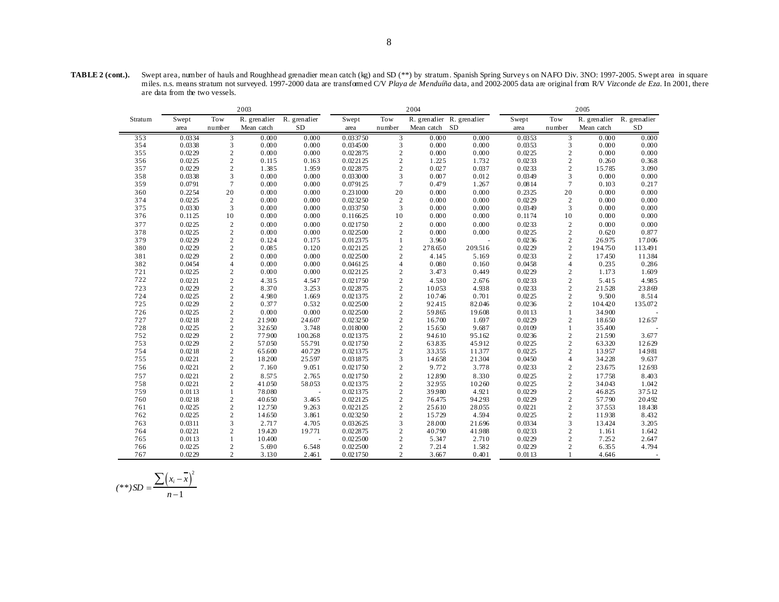| TABLE 2 (cont.). | Swept area, number of hauls and Roughhead grenadier mean catch (kg) and SD (**) by stratum. Spanish Spring Surveys on NAFO Div. 3NO: 1997-2005. Swept area in square        |
|------------------|-----------------------------------------------------------------------------------------------------------------------------------------------------------------------------|
|                  | miles, n.s. means stratum not surveved, 1997-2000 data are transformed C/V Playa de Menduíña data, and 2002-2005 data are original from R/V Vizconde de Eza. In 2001, there |
|                  | are data from the two vessels.                                                                                                                                              |

|         |        |                | 2003         |                          |          |                  | 2004          |                           | 2005<br>Tow<br>R. grenadier R. grenadier<br>Swept<br>Mean catch<br>number<br>area<br>0.0353<br>3<br>0.000<br>0.0353<br>3<br>0.000<br>2<br>0.0225<br>0.000<br>$\sqrt{2}$<br>0.0233<br>0.260<br>$\sqrt{2}$<br>0.0233<br>15.785<br>3<br>0.0349<br>0.000<br>$\tau$<br>0.0814<br>0.103<br>20<br>0.2325<br>0.000<br>2<br>0.0229<br>0.000<br>3<br>0.0349<br>0.000<br>0.1174<br>10<br>0.000<br>$\sqrt{2}$<br>0.0233<br>0.000<br>0.0225<br>$\overline{c}$<br>0.620<br>$\sqrt{2}$<br>0.0236<br>26.975 |                |         |           |
|---------|--------|----------------|--------------|--------------------------|----------|------------------|---------------|---------------------------|---------------------------------------------------------------------------------------------------------------------------------------------------------------------------------------------------------------------------------------------------------------------------------------------------------------------------------------------------------------------------------------------------------------------------------------------------------------------------------------------|----------------|---------|-----------|
| Stratum | Swept  | Tow            | R. grenadier | R. grenadier             | Swept    | Tow              |               | R. grenadier R. grenadier |                                                                                                                                                                                                                                                                                                                                                                                                                                                                                             |                |         |           |
|         | area   | number         | Mean catch   | <b>SD</b>                | area     | number           | Mean catch SD |                           |                                                                                                                                                                                                                                                                                                                                                                                                                                                                                             |                |         | <b>SD</b> |
| 353     | 0.0334 | 3              | 0.000        | 0.000                    | 0.033750 | 3                | 0.000         | 0.000                     |                                                                                                                                                                                                                                                                                                                                                                                                                                                                                             |                |         | 0.000     |
| 354     | 0.0338 | 3              | 0.000        | 0.000                    | 0.034500 | 3                | 0.000         | 0.000                     |                                                                                                                                                                                                                                                                                                                                                                                                                                                                                             |                |         | 0.000     |
| 355     | 0.0229 | $\mathbf{2}$   | 0.000        | 0.000                    | 0.022875 | $\mathbf{2}$     | 0.000         | 0.000                     |                                                                                                                                                                                                                                                                                                                                                                                                                                                                                             |                |         | 0.000     |
| 356     | 0.0225 | $\sqrt{2}$     | 0.115        | 0.163                    | 0.022125 | $\mathbf{2}$     | 1.225         | 1.732                     |                                                                                                                                                                                                                                                                                                                                                                                                                                                                                             |                |         | 0.368     |
| 357     | 0.0229 | $\overline{c}$ | 1.385        | 1.959                    | 0.022875 | $\overline{c}$   | 0.027         | 0.037                     |                                                                                                                                                                                                                                                                                                                                                                                                                                                                                             |                |         | 3.090     |
| 358     | 0.0338 | 3              | 0.000        | 0.000                    | 0.033000 | 3                | 0.007         | 0.012                     |                                                                                                                                                                                                                                                                                                                                                                                                                                                                                             |                |         | 0.000     |
| 359     | 0.0791 | $\tau$         | 0.000        | 0.000                    | 0.079125 | $\tau$           | 0.479         | 1.267                     |                                                                                                                                                                                                                                                                                                                                                                                                                                                                                             |                |         | 0.217     |
| 360     | 0.2254 | 20             | 0.000        | 0.000                    | 0.231000 | 20               | 0.000         | 0.000                     |                                                                                                                                                                                                                                                                                                                                                                                                                                                                                             |                |         | 0.000     |
| 374     | 0.0225 | $\overline{c}$ | 0.000        | 0.000                    | 0.023250 | $\sqrt{2}$       | 0.000         | 0.000                     |                                                                                                                                                                                                                                                                                                                                                                                                                                                                                             |                |         | 0.000     |
| 375     | 0.0330 | 3              | 0.000        | 0.000                    | 0.033750 | 3                | 0.000         | 0.000                     |                                                                                                                                                                                                                                                                                                                                                                                                                                                                                             |                |         | 0.000     |
| 376     | 0.1125 | 10             | 0.000        | 0.000                    | 0.116625 | 10               | 0.000         | 0.000                     |                                                                                                                                                                                                                                                                                                                                                                                                                                                                                             |                |         | 0.000     |
| 377     | 0.0225 | $\overline{c}$ | 0.000        | 0.000                    | 0.021750 | $\mathbf{2}$     | 0.000         | 0.000                     |                                                                                                                                                                                                                                                                                                                                                                                                                                                                                             |                |         | 0.000     |
| 378     | 0.0225 | $\overline{c}$ | 0.000        | 0.000                    | 0.022500 | $\mathbf{2}$     | 0.000         | 0.000                     |                                                                                                                                                                                                                                                                                                                                                                                                                                                                                             |                |         | 0.877     |
| 379     | 0.0229 | $\overline{c}$ | 0.124        | 0.175                    | 0.012375 | $\mathbf{1}$     | 3.960         |                           |                                                                                                                                                                                                                                                                                                                                                                                                                                                                                             |                |         | 17.006    |
| 380     | 0.0229 | $\mathbf{2}$   | 0.085        | 0.120                    | 0.022125 | $\overline{c}$   | 278.650       | 209.516                   | 0.0229                                                                                                                                                                                                                                                                                                                                                                                                                                                                                      | $\overline{c}$ | 194.750 | 113.491   |
| 381     | 0.0229 | $\overline{c}$ | 0.000        | 0.000                    | 0.022500 | $\overline{c}$   | 4.145         | 5.169                     | 0.0233                                                                                                                                                                                                                                                                                                                                                                                                                                                                                      | 2              | 17.450  | 11384     |
| 382     | 0.0454 | $\overline{4}$ | 0.000        | 0.000                    | 0.046125 | $\overline{4}$   | 0.080         | 0.160                     | 0.0458                                                                                                                                                                                                                                                                                                                                                                                                                                                                                      | $\overline{4}$ | 0.235   | 0.286     |
| 721     | 0.0225 | $\mathbf{2}$   | 0.000        | 0.000                    | 0.022125 | $\overline{c}$   | 3.473         | 0.449                     | 0.0229                                                                                                                                                                                                                                                                                                                                                                                                                                                                                      | 2              | 1.173   | 1.609     |
| 722     | 0.0221 | $\overline{c}$ | 4.315        | 4.547                    | 0.021750 | $\mathbf{2}$     | 4.530         | 2.676                     | 0.0233                                                                                                                                                                                                                                                                                                                                                                                                                                                                                      | $\sqrt{2}$     | 5.415   | 4.985     |
| 723     | 0.0229 | $\mathbf{2}$   | 8.370        | 3.253                    | 0.022875 | $\mathbf{2}$     | 10.053        | 4.938                     | 0.0233                                                                                                                                                                                                                                                                                                                                                                                                                                                                                      | $\overline{c}$ | 21528   | 23.869    |
| 724     | 0.0225 | $\sqrt{2}$     | 4.980        | 1.669                    | 0.021375 | $\mathbf{2}$     | 10.746        | 0.701                     | 0.0225                                                                                                                                                                                                                                                                                                                                                                                                                                                                                      | $\sqrt{2}$     | 9.500   | 8.514     |
| 725     | 0.0229 | $\mathbf{2}$   | 0.377        | 0.532                    | 0.022500 | $\mathbf{2}$     | 92.415        | 82.046                    | 0.0236                                                                                                                                                                                                                                                                                                                                                                                                                                                                                      | 2              | 104.420 | 135.072   |
| 726     | 0.0225 | $\overline{c}$ | 0.000        | 0.000                    | 0.022500 | $\mathbf{2}$     | 59.865        | 19.608                    | 0.0113                                                                                                                                                                                                                                                                                                                                                                                                                                                                                      | $\mathbf{1}$   | 34.900  |           |
| 727     | 0.0218 | $\overline{c}$ | 21900        | 24.607                   | 0.023250 | $\mathbf{2}$     | 16.700        | 1.697                     | 0.0229                                                                                                                                                                                                                                                                                                                                                                                                                                                                                      | 2              | 18.650  | 12.657    |
| 728     | 0.0225 | $\overline{2}$ | 32.650       | 3.748                    | 0.018000 | $\sqrt{2}$       | 15.650        | 9.687                     | 0.0109                                                                                                                                                                                                                                                                                                                                                                                                                                                                                      | 1              | 35.400  |           |
| 752     | 0.0229 | $\overline{c}$ | 77.900       | 100.268                  | 0.021375 | $\mathbf{2}$     | 94.610        | 95.162                    | 0.0236                                                                                                                                                                                                                                                                                                                                                                                                                                                                                      | $\overline{c}$ | 21590   | 3.677     |
| 753     | 0.0229 | $\sqrt{2}$     | 57.050       | 55.791                   | 0.021750 | $\mathbf{2}$     | 63.835        | 45912                     | 0.0225                                                                                                                                                                                                                                                                                                                                                                                                                                                                                      | $\sqrt{2}$     | 63320   | 12.629    |
| 754     | 0.0218 | $\overline{2}$ | 65.600       | 40.729                   | 0.021375 | $\mathbf{2}$     | 33355         | 11377                     | 0.0225                                                                                                                                                                                                                                                                                                                                                                                                                                                                                      | 2              | 13.957  | 14.981    |
| 755     | 0.0221 | $\overline{c}$ | 18200        | 25597                    | 0.031875 | 3                | 14.658        | 21304                     | 0.0450                                                                                                                                                                                                                                                                                                                                                                                                                                                                                      | $\overline{4}$ | 34.228  | 9.637     |
| 756     | 0.0221 | $\sqrt{2}$     | 7.160        | 9.051                    | 0.021750 | $\mathbf{2}$     | 9.772         | 3.778                     | 0.0233                                                                                                                                                                                                                                                                                                                                                                                                                                                                                      | $\overline{c}$ | 23.675  | 12.693    |
| 757     | 0.0221 | $\overline{2}$ | 8.575        | 2.765                    | 0.021750 | $\sqrt{2}$       | 12.890        | 8.330                     | 0.0225                                                                                                                                                                                                                                                                                                                                                                                                                                                                                      | 2              | 17.758  | 8.403     |
| 758     | 0.0221 | $\sqrt{2}$     | 41.050       | 58.053                   | 0.021375 | $\mathbf{2}$     | 32.955        | 10.260                    | 0.0225                                                                                                                                                                                                                                                                                                                                                                                                                                                                                      | $\overline{c}$ | 34.043  | 1.042     |
| 759     | 0.0113 | 1              | 78.080       | $\overline{\phantom{a}}$ | 0.021375 | $\boldsymbol{2}$ | 39.980        | 4.921                     | 0.0229                                                                                                                                                                                                                                                                                                                                                                                                                                                                                      | $\sqrt{2}$     | 46.825  | 37512     |
| 760     | 0.0218 | $\overline{2}$ | 40.650       | 3.465                    | 0.022125 | $\overline{c}$   | 76.475        | 94.293                    | 0.0229                                                                                                                                                                                                                                                                                                                                                                                                                                                                                      | 2              | 57.790  | 20.492    |
| 761     | 0.0225 | $\overline{c}$ | 12.750       | 9.263                    | 0.022125 | $\mathbf{2}$     | 25.610        | 28.055                    | 0.0221                                                                                                                                                                                                                                                                                                                                                                                                                                                                                      | $\overline{c}$ | 37553   | 18.438    |
| 762     | 0.0225 | $\sqrt{2}$     | 14.650       | 3.861                    | 0.023250 | $\mathbf{2}$     | 15.729        | 4.594                     | 0.0225                                                                                                                                                                                                                                                                                                                                                                                                                                                                                      | $\sqrt{2}$     | 11938   | 8.432     |
| 763     | 0.0311 | 3              | 2.717        | 4.705                    | 0.032625 | 3                | 28.000        | 21.696                    | 0.0334                                                                                                                                                                                                                                                                                                                                                                                                                                                                                      | 3              | 13.424  | 3.205     |
| 764     | 0.0221 | 2              | 19.420       | 19.771                   | 0.022875 | $\overline{c}$   | 40.790        | 41.988                    | 0.0233                                                                                                                                                                                                                                                                                                                                                                                                                                                                                      | 2              | 1.161   | 1.642     |
| 765     | 0.0113 | 1              | 10.400       | ÷.                       | 0.022500 | $\mathbf{2}$     | 5.347         | 2.710                     | 0.0229                                                                                                                                                                                                                                                                                                                                                                                                                                                                                      | 2              | 7.252   | 2.647     |
| 766     | 0.0225 | $\overline{c}$ | 5.690        | 6.548                    | 0.022500 | $\mathbf{2}$     | 7.214         | 1.582                     | 0.0229                                                                                                                                                                                                                                                                                                                                                                                                                                                                                      | 2              | 6.355   | 4.794     |
| 767     | 0.0229 | $\overline{2}$ | 3.130        | 2.461                    | 0.021750 | $\overline{c}$   | 3.667         | 0.401                     | 0.0113                                                                                                                                                                                                                                                                                                                                                                                                                                                                                      |                | 4.646   |           |
|         |        |                |              |                          |          |                  |               |                           |                                                                                                                                                                                                                                                                                                                                                                                                                                                                                             |                |         |           |

$$
(**)SD = \frac{\sum (x_i - \overline{x})^2}{n-1}
$$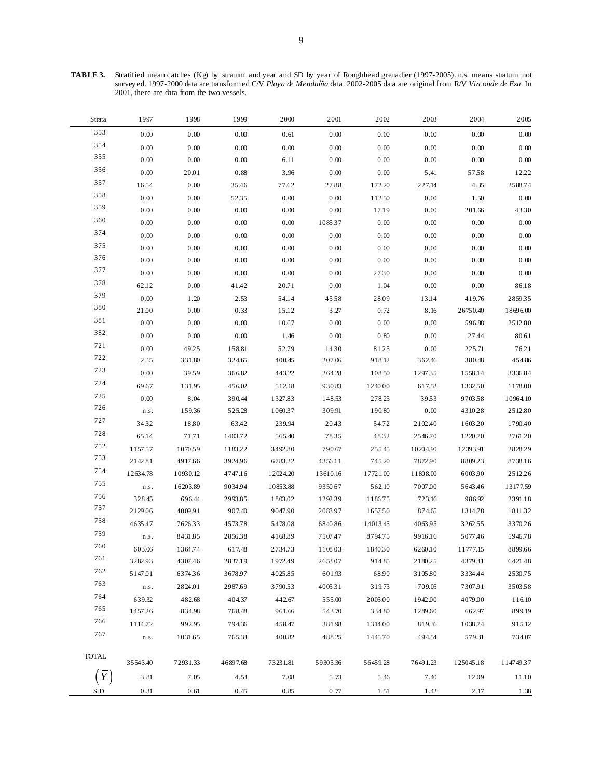**TABLE 3.** Stratified mean catches (Kg) by stratum and year and SD by year of Roughhead grenadier (1997-2005). n.s. means stratum not survey ed. 1997-2000 data are transformed C/V *Playa de Menduíña* data. 2002-2005 data are original from R/V *Vizconde de Eza*. In 2001, there are data from the two vessels.

| Strata       | 1997              | 1998               | 1999              | 2000               | 2001               | 2002                | 2003               | 2004               | 2005               |
|--------------|-------------------|--------------------|-------------------|--------------------|--------------------|---------------------|--------------------|--------------------|--------------------|
| 353          | 0.00              | 0.00               | 0.00              | 0.61               | 0.00               | 0.00                | 0.00               | 0.00               | 0.00               |
| 354          | 0.00              | 0.00               | 0.00              | 0.00               | 0.00               | 0.00                | 0.00               | 0.00               | 0.00               |
| 355          | 0.00              | 0.00               | 0.00              | 6.11               | 0.00               | 0.00                | 0.00               | $0.00\,$           | $0.00\,$           |
| 356          | 0.00              | 20.01              | 0.88              | 3.96               | 0.00               | 0.00                | 5.41               | 5758               | 12.22              |
| 357          | 16.54             | 0.00               | 35.46             | 77.62              | 27.88              | 172.20              | 227.14             | 4.35               | 2588.74            |
| 358          | 0.00              | 0.00               | 5235              | 0.00               | 0.00               | 112.50              | 0.00               | 1.50               | $0.00\,$           |
| 359          | $0.00\,$          | 0.00               | 0.00              | 0.00               | 0.00               | 17.19               | 0.00               | 201.66             | 4330               |
| 360          | 0.00              | 0.00               | 0.00              | 0.00               | 108537             | 0.00                | 0.00               | 0.00               | 0.00               |
| 374          | 0.00              | 0.00               | 0.00              | 0.00               | 0.00               | 0.00                | 0.00               | 0.00               | 0.00               |
| 375          | 0.00              | 0.00               | 0.00              | 0.00               | 0.00               | 0.00                | 0.00               | 0.00               | $0.00\,$           |
| 376          | 0.00              | 0.00               | 0.00              | 0.00               | 0.00               | 0.00                | 0.00               | 0.00               | $0.00\,$           |
| 377          | 0.00              | 0.00               | 0.00              | 0.00               | 0.00               | 2730                | 0.00               | 0.00               | 0.00               |
| 378          | 62.12             | 0.00               | 41.42             | 20.71              | 0.00               | 1.04                | 0.00               | 0.00               | 86.18              |
| 379          | 0.00              | 1.20               | 2.53              | 54.14              | 4558               | 28.09               | 13.14              | 419.76             | 285935             |
| 380          | 21.00             | 0.00               | 0.33              | 15.12              | 3.27               | 0.72                | 8.16               | 26750.40           | 18696.00           |
| 381          | 0.00              | 0.00               | 0.00              | 10.67              | 0.00               | 0.00                | 0.00               | 596.88             | 2512.80            |
| 382          | 0.00              | 0.00               | 0.00              | 1.46               | 0.00               | 0.80                | 0.00               | 27.44              | 80.61              |
| 721          | 0.00              | 49.25              | 158.81            | 52.79              | 1430               | 81.25               | 0.00               | 225.71             | 76.21              |
| 722          | 2.15              | 331.80             | 324.65            | 400.45             | 207.06             | 918.12              | 362.46             | 380.48             | 454.86             |
| 723          | 0.00              | 3959               | 366.82            | 443.22             | 264.28             | 108.50              | 129735             | 1558.14            | 3336.84            |
| 724          | 69.67             | 131.95             | 456.02            | 512.18             | 930.83             | 1240.00             | 617.52             | 1332.50            | 1178.00            |
| 725<br>726   | 0.00              | 8.04               | 390.44            | 1327.83            | 148.53             | 278.25              | 3953               | 970358             | 10964.10           |
| 727          | n.s.              | 159.36             | 525.28            | 106037             | 309.91             | 190.80              | 0.00               | 4310.28            | 2512.80            |
| 728          | 34.32             | 18.80              | 63.42             | 239.94             | 20.43              | 54.72               | 2102.40            | 1603.20            | 1790.40            |
| 752          | 65.14             | 71.71              | 1403.72           | 565.40             | 7835               | 4832                | 2546.70            | 1220.70            | 2761.20            |
| 753          | 1157.57           | 1070.59            | 1183.22           | 3492.80            | 790.67             | 255.45              | 10204.90           | 12393.91           | 2828.29            |
| 754          | 2142.81           | 4917.66            | 3924.96           | 6783.22            | 4356.11            | 745.20              | 7872.90            | 8809.23            | 8738.16            |
| 755          | 12634.78          | 10930.12           | 4747.16           | 12024.20           | 13610.16           | 17721.00            | 11808.00           | 6003.90            | 2512.26            |
| 756          | n.s.              | 16203.89           | 9034.94           | 10853.88           | 9350.67            | 562.10              | 7007.00            | 5643.46            | 13177.59           |
| 757          | 328.45            | 696.44             | 2993.85           | 1803.02            | 1292.39            | 1186.75             | 723.16             | 986.92             | 2391.18            |
| 758          | 2129.06           | 4009.91            | 907.40            | 9047.90            | 2083.97            | 1657.50             | 874.65             | 1314.78            | 181132             |
| 759          | 4635.47           | 762633             | 4573.78           | 5478.08            | 6840.86            | 14013.45<br>8794.75 | 4063.95            | 3262.55            | 337026             |
| 760          | n.s.              | 8431.85            | 285638            | 4168.89            | 7507.47            |                     | 9916.16<br>6260.10 | 5077.46            | 5946.78            |
| 761          | 603.06<br>3282.93 | 1364.74<br>4307.46 | 617.48<br>2837.19 | 2734.73<br>1972.49 | 1108.03<br>2653.07 | 1840.30<br>914.85   | 218025             | 11777.15<br>437931 | 8899.66<br>6421.48 |
| 762          | 5147.01           | 637436             | 3678.97           | 4025.85            | 601.93             | 68.90               | 3105.80            | 3334.44            | 2530.75            |
| 763          | n.s.              | 2824.01            | 2987.69           | 379053             | 400531             | 319.73              | 709.05             | 7307.91            | 350358             |
| 764          | 639.32            | 482.68             | 404.37            | 442.67             | 555.00             | 2005.00             | 1942.00            | 4079.00            | 116.10             |
| 765          | 1457.26           | 834.98             | 768.48            | 961.66             | 543.70             | 334.80              | 1289.60            | 662.97             | 899.19             |
| 766          | 1114.72           | 992.95             | 794.36            | 458.47             | 381.98             | 1314.00             | 819.36             | 1038.74            | 915.12             |
| 767          | n.s.              | 1031.65            | 765.33            | 400.82             | 488.25             | 1445.70             | 494.54             | 579.31             | 734.07             |
|              |                   |                    |                   |                    |                    |                     |                    |                    |                    |
| <b>TOTAL</b> | 35543.40          | 72931.33           | 46897.68          | 73231.81           | 59305.36           | 56459.28            | 76491.23           | 125045.18          | 11474937           |
| $\bar{Y}$    | 3.81              | 7.05               | 4.53              | 7.08               | 5.73               | 5.46                | 7.40               | 12.09              | 11.10              |
|              |                   |                    |                   |                    |                    |                     |                    |                    |                    |
| S.D.         | 0.31              | 0.61               | 0.45              | 0.85               | 0.77               | 1.51                | 1.42               | 2.17               | 1.38               |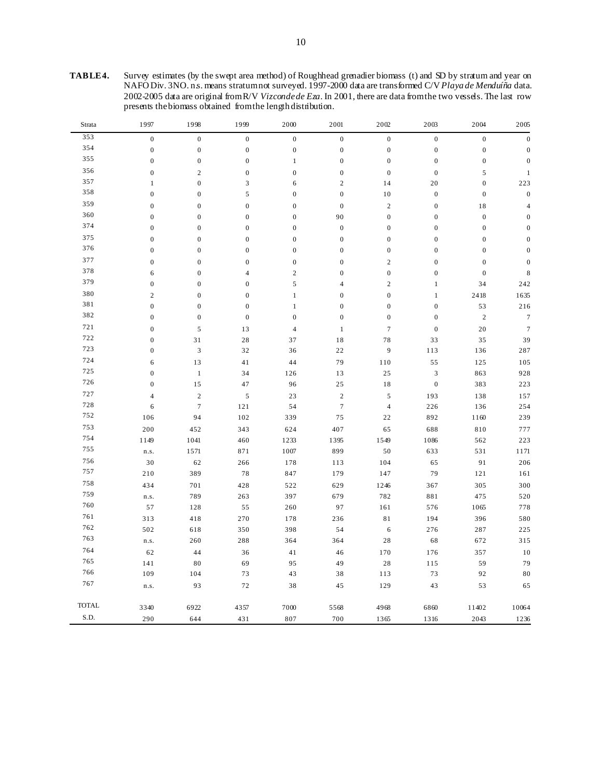| TABLE4. | Survey estimates (by the swept area method) of Roughhead grenadier biomass (t) and SD by stratum and year on     |
|---------|------------------------------------------------------------------------------------------------------------------|
|         | NAFO Div. 3NO. ns. means stratum not surveyed. 1997-2000 data are transformed C/V Playa de Menduíña data.        |
|         | 2002-2005 data are original from R/V Vizconde de Eza. In 2001, there are data from the two vessels. The last row |
|         | presents the biomass obtained from the length distribution.                                                      |

| Strata | 1997             | 1998             | 1999             | 2000             | 2001             | 2002             | 2003             | 2004             | 2005             |
|--------|------------------|------------------|------------------|------------------|------------------|------------------|------------------|------------------|------------------|
| 353    | $\boldsymbol{0}$ | $\boldsymbol{0}$ | $\boldsymbol{0}$ | $\boldsymbol{0}$ | $\boldsymbol{0}$ | $\boldsymbol{0}$ | $\boldsymbol{0}$ | $\boldsymbol{0}$ | $\boldsymbol{0}$ |
| 354    | $\boldsymbol{0}$ | $\boldsymbol{0}$ | $\boldsymbol{0}$ | $\boldsymbol{0}$ | $\boldsymbol{0}$ | $\boldsymbol{0}$ | $\boldsymbol{0}$ | $\boldsymbol{0}$ | $\boldsymbol{0}$ |
| 355    | $\boldsymbol{0}$ | $\boldsymbol{0}$ | $\boldsymbol{0}$ | $1\,$            | $\boldsymbol{0}$ | $\boldsymbol{0}$ | $\boldsymbol{0}$ | $\boldsymbol{0}$ | $\boldsymbol{0}$ |
| 356    | $\boldsymbol{0}$ | $\sqrt{2}$       | $\boldsymbol{0}$ | $\boldsymbol{0}$ | $\boldsymbol{0}$ | $\boldsymbol{0}$ | $\boldsymbol{0}$ | 5                | $\mathbf{1}$     |
| 357    | $\,1$            | $\mathbf{0}$     | 3                | 6                | $\sqrt{2}$       | 14               | $20\,$           | $\mathbf{0}$     | 223              |
| 358    | $\boldsymbol{0}$ | $\boldsymbol{0}$ | 5                | $\boldsymbol{0}$ | $\boldsymbol{0}$ | $10\,$           | $\boldsymbol{0}$ | $\boldsymbol{0}$ | $\boldsymbol{0}$ |
| 359    | $\boldsymbol{0}$ | $\boldsymbol{0}$ | $\overline{0}$   | $\boldsymbol{0}$ | $\boldsymbol{0}$ | $\sqrt{2}$       | $\boldsymbol{0}$ | 18               | $\sqrt{4}$       |
| 360    | $\boldsymbol{0}$ | $\mathbf{0}$     | $\boldsymbol{0}$ | $\boldsymbol{0}$ | 90               | $\boldsymbol{0}$ | $\boldsymbol{0}$ | $\boldsymbol{0}$ | $\boldsymbol{0}$ |
| 374    | $\boldsymbol{0}$ | $\boldsymbol{0}$ | $\boldsymbol{0}$ | $\boldsymbol{0}$ | $\boldsymbol{0}$ | $\boldsymbol{0}$ | $\boldsymbol{0}$ | $\boldsymbol{0}$ | $\boldsymbol{0}$ |
| 375    | $\boldsymbol{0}$ | $\boldsymbol{0}$ | $\overline{0}$   | $\boldsymbol{0}$ | $\boldsymbol{0}$ | $\boldsymbol{0}$ | $\boldsymbol{0}$ | $\mathbf{0}$     | $\boldsymbol{0}$ |
| 376    | $\boldsymbol{0}$ | $\mathbf{0}$     | $\boldsymbol{0}$ | $\boldsymbol{0}$ | $\boldsymbol{0}$ | $\boldsymbol{0}$ | $\boldsymbol{0}$ | $\mathbf{0}$     | $\boldsymbol{0}$ |
| 377    | $\boldsymbol{0}$ | $\boldsymbol{0}$ | $\boldsymbol{0}$ | $\boldsymbol{0}$ | $\boldsymbol{0}$ | $\mathbf{2}$     | $\boldsymbol{0}$ | $\boldsymbol{0}$ | $\boldsymbol{0}$ |
| 378    | 6                | $\boldsymbol{0}$ | $\overline{4}$   | $\sqrt{2}$       | $\boldsymbol{0}$ | $\boldsymbol{0}$ | $\boldsymbol{0}$ | $\mathbf{0}$     | $\,$ 8 $\,$      |
| 379    | $\boldsymbol{0}$ | $\boldsymbol{0}$ | $\mathbf{0}$     | $\sqrt{5}$       | $\overline{4}$   | $\mathbf{2}$     | $\mathbf{1}$     | 34               | 242              |
| 380    | $\mathbf{2}$     | $\boldsymbol{0}$ | $\boldsymbol{0}$ | $\,1$            | $\boldsymbol{0}$ | $\boldsymbol{0}$ | $\,1$            | 2418             | 1635             |
| 381    | $\boldsymbol{0}$ | $\boldsymbol{0}$ | $\boldsymbol{0}$ | $\,1$            | $\boldsymbol{0}$ | $\boldsymbol{0}$ | $\boldsymbol{0}$ | 53               | 216              |
| 382    | $\boldsymbol{0}$ | $\boldsymbol{0}$ | $\boldsymbol{0}$ | $\boldsymbol{0}$ | $\boldsymbol{0}$ | $\boldsymbol{0}$ | $\boldsymbol{0}$ | $\overline{c}$   | $\boldsymbol{7}$ |
| 721    | $\boldsymbol{0}$ | $\sqrt{5}$       | 13               | $\sqrt{4}$       | $\,1\,$          | $\tau$           | $\boldsymbol{0}$ | $20\,$           | $\boldsymbol{7}$ |
| 722    | $\boldsymbol{0}$ | 31               | 28               | 37               | 18               | 78               | 33               | 35               | 39               |
| 723    | $\mathbf{0}$     | $\sqrt{3}$       | 32               | 36               | 22               | 9                | 113              | 136              | 287              |
| 724    | 6                | $1\,3$           | 41               | 44               | 79               | 110              | 55               | 125              | 105              |
| 725    | $\boldsymbol{0}$ | $\,1\,$          | 34               | 126              | 13               | 25               | $\mathfrak z$    | 863              | 928              |
| 726    | $\boldsymbol{0}$ | 15               | 47               | 96               | 25               | $1\,8$           | $\boldsymbol{0}$ | 383              | 223              |
| 727    | $\overline{4}$   | $\sqrt{2}$       | $\sqrt{5}$       | 23               | $\sqrt{2}$       | $\mathfrak s$    | 193              | 138              | 157              |
| 728    | $\sqrt{6}$       | $\boldsymbol{7}$ | 121              | 54               | $\boldsymbol{7}$ | $\overline{4}$   | 226              | 136              | 254              |
| 752    | 106              | 94               | 102              | 339              | 75               | $2\sqrt{2}$      | 892              | $1\,1\,60$       | 239              |
| 753    | 200              | 452              | 343              | 624              | 407              | 65               | 688              | 810              | 777              |
| 754    | 1149             | 1041             | 460              | 1233             | 1395             | 1549             | 1086             | 562              | 223              |
| 755    | n.s.             | 1571             | 871              | 1007             | 899              | $50\,$           | 633              | 531              | 1171             |
| 756    | $30\,$           | 62               | 266              | 178              | 113              | 104              | 65               | 91               | 206              |
| 757    | 210              | 389              | $7\,8$           | 847              | 179              | 147              | 79               | 121              | 161              |
| 758    | 434              | 701              | 428              | 522              | 629              | 1246             | 367              | 305              | 300              |
| 759    | n.s.             | 789              | 263              | 397              | 679              | 782              | 881              | 475              | 520              |
| 760    | 57               | 128              | 55               | 260              | 97               | 161              | 576              | 1065             | 778              |
| 761    | 313              | 418              | 270              | 178              | 236              | $8\sqrt{1}$      | 194              | 396              | 580              |
| 762    | 502              | 618              | 350              | 398              | 54               | $\sqrt{6}$       | 276              | 287              | 225              |
| 763    | n.s.             | 260              | 288              | 364              | 364              | $2\sqrt{8}$      | 68               | 672              | 315              |
| 764    | 62               | 44               | 36               | 41               | 46               | 170              | 176              | 357              | $10\,$           |
| 765    | 141              | 80               | 69               | 95               | 49               | $2\sqrt{8}$      | 115              | 59               | 79               |
| 766    | 109              | 104              | 73               | 43               | 38               | 113              | 73               | 92               | $80\,$           |
| 767    | n.s.             | 93               | 72               | 38               | 45               | 129              | 43               | 53               | 65               |
|        |                  |                  |                  |                  |                  |                  |                  |                  |                  |
| TOTAL  | 3340             | 6922             | 4357             | 7000             | 5568             | 4968             | 6860             | 11402            | 10064            |
| S.D.   | 290              | 644              | 431              | 807              | 700              | 1365             | 1316             | 2043             | 1236             |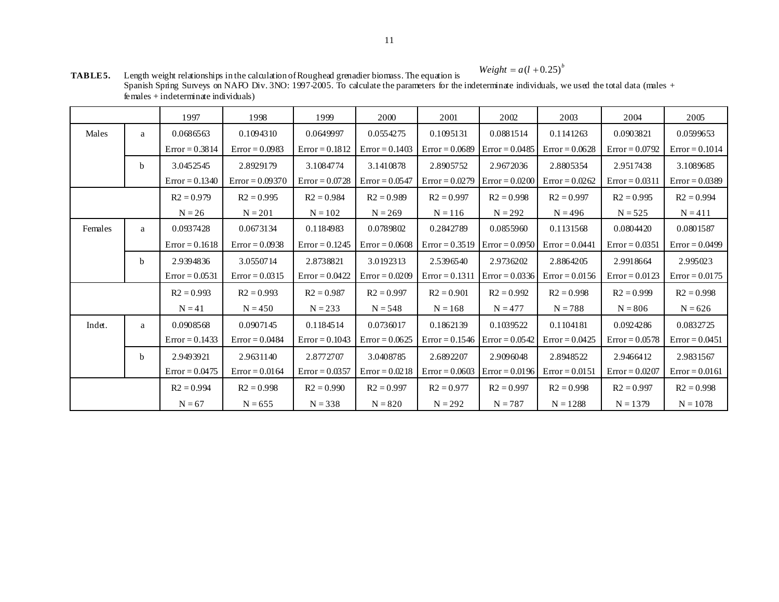$Weight = a(l + 0.25)^{b}$ 

| <b>TABLE5.</b> | Length weight relationships in the calculation of Roughead grenadier biomass. The equation is<br>$\cdots$ $\cdots$ $\cdots$ $\cdots$               |
|----------------|----------------------------------------------------------------------------------------------------------------------------------------------------|
|                | Spanish Spring Surveys on NAFO Div. 3NO: 1997-2005. To calculate the parameters for the indeterminate individuals, we used the total data (males + |
|                | $f$ emales + indeterminate individuals)                                                                                                            |

|         |              | 1997             | 1998              | 1999             | 2000             | 2001             | 2002             | 2003             | 2004             | 2005             |
|---------|--------------|------------------|-------------------|------------------|------------------|------------------|------------------|------------------|------------------|------------------|
| Males   | a            | 0.0686563        | 0.1094310         | 0.0649997        | 0.0554275        | 0.1095131        | 0.0881514        | 0.1141263        | 0.0903821        | 0.0599653        |
|         |              | $Error = 0.3814$ | $Error = 0.0983$  | $Error = 0.1812$ | $Error = 0.1403$ | $Error = 0.0689$ | $Error = 0.0485$ | $Error = 0.0628$ | $Error = 0.0792$ | $Error = 0.1014$ |
|         | b            | 3.0452545        | 2.8929179         | 3.1084774        | 3.1410878        | 2.8905752        | 2.9672036        | 2.8805354        | 2.9517438        | 3.1089685        |
|         |              | $Error = 0.1340$ | $Error = 0.09370$ | $Error = 0.0728$ | $Error = 0.0547$ | $Error = 0.0279$ | $Error = 0.0200$ | $Error = 0.0262$ | $Error = 0.0311$ | $Error = 0.0389$ |
|         |              | $R2 = 0.979$     | $R2 = 0.995$      | $R2 = 0.984$     | $R2 = 0.989$     | $R2 = 0.997$     | $R2 = 0.998$     | $R2 = 0.997$     | $R2 = 0.995$     | $R2 = 0.994$     |
|         |              | $N = 26$         | $N = 201$         | $N = 102$        | $N = 269$        | $N = 116$        | $N = 292$        | $N = 496$        | $N = 525$        | $N = 411$        |
| Females | a            | 0.0937428        | 0.0673134         | 0.1184983        | 0.0789802        | 0.2842789        | 0.0855960        | 0.1131568        | 0.0804420        | 0.0801587        |
|         |              | $Error = 0.1618$ | $Error = 0.0938$  | $Error = 0.1245$ | $Error = 0.0608$ | $Error = 0.3519$ | $Error = 0.0950$ | $Error = 0.0441$ | $Error = 0.0351$ | $Error = 0.0499$ |
|         | <sub>b</sub> | 2.9394836        | 3.0550714         | 2.8738821        | 3.0192313        | 2.5396540        | 2.9736202        | 2.8864205        | 2.9918664        | 2.995023         |
|         |              | $Error = 0.0531$ | $Error = 0.0315$  | $Error = 0.0422$ | $Error = 0.0209$ | $Error = 0.1311$ | $Error = 0.0336$ | $Error = 0.0156$ | $Error = 0.0123$ | $Error = 0.0175$ |
|         |              | $R2 = 0.993$     | $R2 = 0.993$      | $R2 = 0.987$     | $R2 = 0.997$     | $R2 = 0.901$     | $R2 = 0.992$     | $R2 = 0.998$     | $R2 = 0.999$     | $R2 = 0.998$     |
|         |              | $N = 41$         | $N = 450$         | $N = 233$        | $N = 548$        | $N = 168$        | $N = 477$        | $N = 788$        | $N = 806$        | $N = 626$        |
| Indet.  | a            | 0.0908568        | 0.0907145         | 0.1184514        | 0.0736017        | 0.1862139        | 0.1039522        | 0.1104181        | 0.0924286        | 0.0832725        |
|         |              | $Error = 0.1433$ | $Error = 0.0484$  | $Error = 0.1043$ | $Error = 0.0625$ | $Error = 0.1546$ | $Error = 0.0542$ | $Error = 0.0425$ | $Error = 0.0578$ | $Error = 0.0451$ |
|         | b            | 2.9493921        | 2.9631140         | 2.8772707        | 3.0408785        | 2.6892207        | 2.9096048        | 2.8948522        | 2.9466412        | 2.9831567        |
|         |              | $Error = 0.0475$ | $Error = 0.0164$  | $Error = 0.0357$ | $Error = 0.0218$ | $Error = 0.0603$ | $Error = 0.0196$ | $Error = 0.0151$ | $Error = 0.0207$ | $Error = 0.0161$ |
|         |              | $R2 = 0.994$     | $R2 = 0.998$      | $R2 = 0.990$     | $R2 = 0.997$     | $R2 = 0.977$     | $R2 = 0.997$     | $R2 = 0.998$     | $R2 = 0.997$     | $R2 = 0.998$     |
|         |              | $N = 67$         | $N = 655$         | $N = 338$        | $N = 820$        | $N = 292$        | $N = 787$        | $N = 1288$       | $N = 1379$       | $N = 1078$       |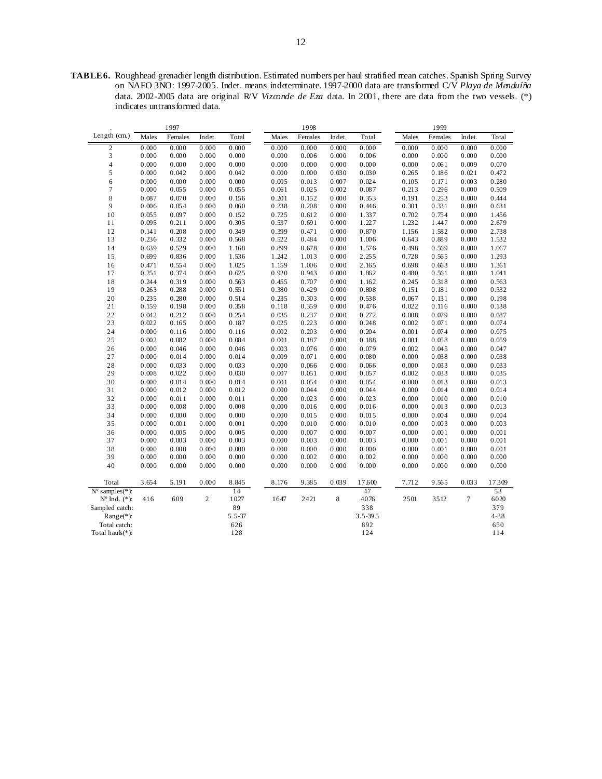**TABLE 6.** Roughhead grenadier length distribution. Estimated numbers per haul stratified mean catches. Spanish Spring Survey on NAFO 3NO: 1997-2005. Indet. means indeterminate. 1997-2000 data are transformed C/V *Playa de Menduíña*  data. 2002-2005 data are original R/V *Vizconde de Eza* data. In 2001, there are data from the two vessels. (\*) indicates untransformed data.

|                          |       | 1997    |                |            |       | 1998    |        |              |       | 1999    |        |       |  |
|--------------------------|-------|---------|----------------|------------|-------|---------|--------|--------------|-------|---------|--------|-------|--|
| Length (cm.)             | Males | Females | Indet.         | Total      | Males | Females | Indet. | Total        | Males | Females | Indet. | Total |  |
| $\overline{c}$           | 0.000 | 0.000   | 0.000          | 0.000      | 0.000 | 0.000   | 0.000  | 0.000        | 0.000 | 0.000   | 0.000  | 0.000 |  |
| 3                        | 0.000 | 0.000   | 0.000          | 0.000      | 0.000 | 0.006   | 0.000  | 0.006        | 0.000 | 0.000   | 0.000  | 0.000 |  |
| $\overline{4}$           | 0.000 | 0.000   | 0.000          | 0.000      | 0.000 | 0.000   | 0.000  | 0.000        | 0.000 | 0.061   | 0.009  | 0.070 |  |
| 5                        | 0.000 | 0.042   | 0.000          | 0.042      | 0.000 | 0.000   | 0.030  | 0.030        | 0.265 | 0.186   | 0.021  | 0.472 |  |
| 6                        | 0.000 | 0.000   | 0.000          | 0.000      | 0.005 | 0.013   | 0.007  | 0.024        | 0.105 | 0.171   | 0.003  | 0.280 |  |
| $\tau$                   | 0.000 | 0.055   | 0.000          | 0.055      | 0.061 | 0.025   | 0.002  | 0.087        | 0.213 | 0.296   | 0.000  | 0.509 |  |
| 8                        | 0.087 | 0.070   | 0.000          | 0.156      | 0.201 | 0.152   | 0.000  | 0.353        | 0.191 | 0.253   | 0.000  | 0.444 |  |
| 9                        | 0.006 | 0.054   | 0.000          | 0.060      | 0.238 | 0.208   | 0.000  | 0.446        | 0.301 | 0.331   | 0.000  | 0.631 |  |
| 10                       | 0.055 | 0.097   | 0.000          | 0.152      | 0.725 | 0.612   | 0.000  | 1.337        | 0.702 | 0.754   | 0.000  | 1.456 |  |
| 11                       | 0.095 | 0.211   | 0.000          | 0.305      | 0.537 | 0.691   | 0.000  | 1.227        | 1.232 | 1.447   | 0.000  | 2.679 |  |
| 12                       | 0.141 | 0.208   | 0.000          | 0.349      | 0.399 | 0.471   | 0.000  | 0.870        | 1.156 | 1.582   | 0.000  | 2.738 |  |
| 13                       | 0.236 | 0.332   | 0.000          | 0.568      | 0.522 | 0.484   | 0.000  | 1.006        | 0.643 | 0.889   | 0.000  | 1.532 |  |
| 14                       | 0.639 | 0.529   | 0.000          | 1.168      | 0.899 | 0.678   | 0.000  | 1.576        | 0.498 | 0.569   | 0.000  | 1.067 |  |
| 15                       | 0.699 | 0.836   | 0.000          | 1.536      | 1.242 | 1.013   | 0.000  | 2.255        | 0.728 | 0.565   | 0.000  | 1.293 |  |
| 16                       | 0.471 | 0.554   | 0.000          | 1.025      | 1.159 | 1.006   | 0.000  | 2.165        | 0.698 | 0.663   | 0.000  | 1.361 |  |
| 17                       | 0.251 | 0.374   | 0.000          | 0.625      | 0.920 | 0.943   | 0.000  | 1.862        | 0.480 | 0.561   | 0.000  | 1.041 |  |
| 18                       | 0.244 | 0.319   | 0.000          | 0.563      | 0.455 | 0.707   | 0.000  | 1.162        | 0.245 | 0.318   | 0.000  | 0.563 |  |
| 19                       | 0.263 | 0.288   | 0.000          | 0.551      | 0.380 | 0.429   | 0.000  | 0.808        | 0.151 | 0.181   | 0.000  | 0.332 |  |
| 20                       | 0.235 | 0.280   | 0.000          | 0.514      | 0.235 | 0.303   | 0.000  | 0.538        | 0.067 | 0.131   | 0.000  | 0.198 |  |
| 21                       | 0.159 | 0.198   | 0.000          | 0.358      | 0.118 | 0.359   | 0.000  | 0.476        | 0.022 | 0.116   | 0.000  | 0.138 |  |
| 22                       | 0.042 | 0.212   | 0.000          | 0.254      | 0.035 | 0.237   | 0.000  | 0.272        | 0.008 | 0.079   | 0.000  | 0.087 |  |
| 23                       | 0.022 | 0.165   | 0.000          | 0.187      | 0.025 | 0.223   | 0.000  | 0.248        | 0.002 | 0.071   | 0.000  | 0.074 |  |
| 24                       | 0.000 | 0.116   | 0.000          | 0.116      | 0.002 | 0.203   | 0.000  | 0.204        | 0.001 | 0.074   | 0.000  | 0.075 |  |
| 25                       | 0.002 | 0.082   | 0.000          | 0.084      | 0.001 | 0.187   | 0.000  | 0.188        | 0.001 | 0.058   | 0.000  | 0.059 |  |
| 26                       | 0.000 | 0.046   | 0.000          | 0.046      | 0.003 | 0.076   | 0.000  | 0.079        | 0.002 | 0.045   | 0.000  | 0.047 |  |
| 27                       | 0.000 | 0.014   | 0.000          | 0.014      | 0.009 | 0.071   | 0.000  | 0.080        | 0.000 | 0.038   | 0.000  | 0.038 |  |
| 28                       | 0.000 | 0.033   | 0.000          | 0.033      | 0.000 | 0.066   | 0.000  | 0.066        | 0.000 | 0.033   | 0.000  | 0.033 |  |
| 29                       | 0.008 | 0.022   | 0.000          | 0.030      | 0.007 | 0.051   | 0.000  | 0.057        | 0.002 | 0.033   | 0.000  | 0.035 |  |
| 30                       | 0.000 | 0.014   | 0.000          | 0.014      | 0.001 | 0.054   | 0.000  | 0.054        | 0.000 | 0.013   | 0.000  | 0.013 |  |
| 31                       | 0.000 | 0.012   | 0.000          | 0.012      | 0.000 | 0.044   | 0.000  | 0.044        | 0.000 | 0.014   | 0.000  | 0.014 |  |
| 32                       | 0.000 | 0.011   | 0.000          | 0.011      | 0.000 | 0.023   | 0.000  | 0.023        | 0.000 | 0.010   | 0.000  | 0.010 |  |
| 33                       | 0.000 | 0.008   | 0.000          | 0.008      | 0.000 | 0.016   | 0.000  | 0.016        | 0.000 | 0.013   | 0.000  | 0.013 |  |
| 34                       | 0.000 | 0.000   | 0.000          | 0.000      | 0.000 | 0.015   | 0.000  | 0.015        | 0.000 | 0.004   | 0.000  | 0.004 |  |
| 35                       | 0.000 | 0.001   | 0.000          | 0.001      | 0.000 | 0.010   | 0.000  | 0.010        | 0.000 | 0.003   | 0.000  | 0.003 |  |
| 36                       | 0.000 | 0.005   | 0.000          | 0.005      | 0.000 | 0.007   | 0.000  | 0.007        | 0.000 | 0.001   | 0.000  | 0.001 |  |
| 37                       | 0.000 | 0.003   | 0.000          | 0.003      | 0.000 | 0.003   | 0.000  | 0.003        | 0.000 | 0.001   | 0.000  | 0.001 |  |
| 38                       | 0.000 | 0.000   | 0.000          | 0.000      | 0.000 | 0.000   | 0.000  | 0.000        | 0.000 | 0.001   | 0.000  | 0.001 |  |
| 39                       | 0.000 | 0.000   | 0.000          | 0.000      | 0.000 | 0.002   | 0.000  | 0.002        | 0.000 | 0.000   | 0.000  | 0.000 |  |
| 40                       | 0.000 | 0.000   | 0.000          | 0.000      | 0.000 | 0.000   | 0.000  | 0.000        | 0.000 | 0.000   | 0.000  | 0.000 |  |
| Total                    | 3.654 | 5.191   | 0.000          | 8.845      | 8.176 | 9.385   | 0.039  | 17.600       | 7.712 | 9.565   | 0.033  | 17309 |  |
| $N^{\circ}$ samples(*):  |       |         |                | 14         |       |         |        | 47           |       |         |        | 53    |  |
| $N^{\circ}$ Ind. $(*)$ : | 416   | 609     | $\overline{c}$ | 1027       | 1647  | 2421    | 8      | 4076         | 2501  | 3512    | $\tau$ | 6020  |  |
| Sampled catch:           |       |         |                | 89         |       |         |        | 338          |       |         |        | 379   |  |
| $Range(*)$ :             |       |         |                | $5.5 - 37$ |       |         |        | $3.5 - 39.5$ |       |         |        | 4-38  |  |
| Total catch:             |       |         |                | 626        |       |         |        | 892          |       |         |        | 650   |  |
| Total hau $k(*)$ :       |       |         |                | 128        |       |         |        | 124          |       |         |        | 114   |  |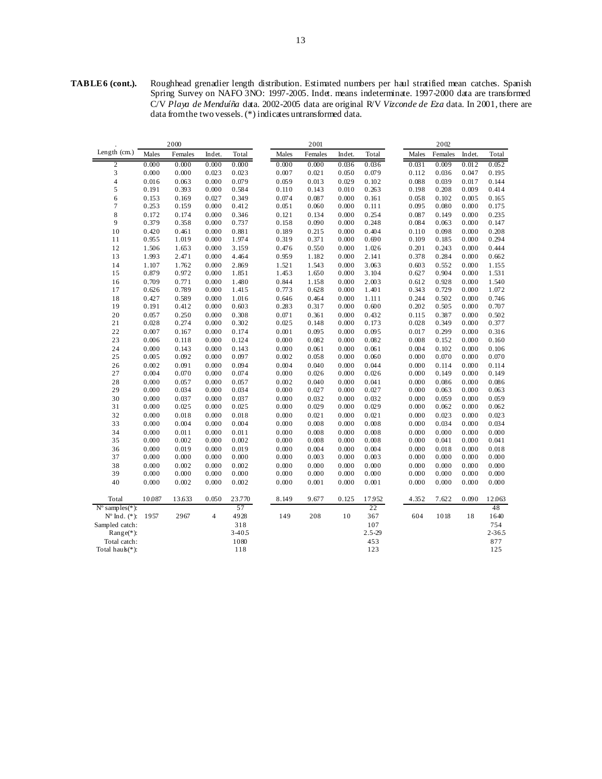**TABLE 6 (cont.).** Roughhead grenadier length distribution. Estimated numbers per haul stratified mean catches. Spanish Spring Survey on NAFO 3NO: 1997-2005. Indet. means indeterminate. 1997-2000 data are transformed C/V *Playa de Menduíña* data. 2002-2005 data are original R/V *Vizconde de Eza* data. In 2001, there are data from the two vessels. (\*) indicates untransformed data.

|                          |                | 2000           |                |                |                | 2001           |                |                | 2002           |                |                |                |
|--------------------------|----------------|----------------|----------------|----------------|----------------|----------------|----------------|----------------|----------------|----------------|----------------|----------------|
| Length (cm.)             | Males          | Females        | Indet.         | Total          | Males          | Females        | Indet.         | Total          | Males          | Females        | Indet.         | Total          |
| $\boldsymbol{2}$         | 0.000          | 0.000          | 0.000          | 0.000          | 0.000          | 0.000          | 0.036          | 0.036          | 0.031          | 0.009          | 0.012          | 0.052          |
| 3                        | 0.000          | 0.000          | 0.023          | 0.023          | 0.007          | 0.021          | 0.050          | 0.079          | 0.112          | 0.036          | 0.047          | 0.195          |
| 4                        | 0.016          | 0.063          | 0.000          | 0.079          | 0.059          | 0.013          | 0.029          | 0.102          | 0.088          | 0.039          | 0.017          | 0.144          |
| 5                        | 0.191          | 0.393          | 0.000          | 0.584          | 0.110          | 0.143          | 0.010          | 0.263          | 0.198          | 0.208          | 0.009          | 0.414          |
| 6                        | 0.153          | 0.169          | 0.027          | 0.349          | 0.074          | 0.087          | 0.000          | 0.161          | 0.058          | 0.102          | 0.005          | 0.165          |
| 7                        | 0.253          | 0.159          | 0.000          | 0.412          | 0.051          | 0.060          | 0.000          | 0.111          | 0.095          | 0.080          | 0.000          | 0.175          |
| 8                        | 0.172          | 0.174          | 0.000          | 0.346          | 0.121          | 0.134          | 0.000          | 0.254          | 0.087          | 0.149          | 0.000          | 0.235          |
| 9                        | 0.379          | 0.358          | 0.000          | 0.737          | 0.158          | 0.090          | 0.000          | 0.248          | 0.084          | 0.063          | 0.000          | 0.147          |
| 10                       | 0.420          | 0.461          | 0.000          | 0.881          | 0.189          | 0.215          | 0.000          | 0.404          | 0.110          | 0.098          | 0.000          | 0.208          |
| 11                       | 0.955          | 1.019          | 0.000          | 1.974          | 0.319          | 0.371          | 0.000          | 0.690          | 0.109          | 0.185          | 0.000          | 0.294          |
| 12                       | 1.506          | 1.653          | 0.000          | 3.159          | 0.476          | 0.550          | 0.000          | 1.026          | 0.201          | 0.243          | 0.000          | 0.444          |
| 13                       | 1.993          | 2.471          | 0.000          | 4.464          | 0.959          | 1.182          | 0.000          | 2.141          | 0.378          | 0.284          | 0.000          | 0.662          |
| 14                       | 1.107          | 1.762          | 0.000          | 2.869          | 1.521          | 1.543          | 0.000          | 3.063          | 0.603          | 0.552          | 0.000          | 1.155          |
| 15                       | 0.879          | 0.972          | 0.000          | 1.851          | 1.453          | 1.650          | 0.000          | 3.104          | 0.627          | 0.904          | 0.000          | 1.531          |
| 16                       | 0.709          | 0.771          | 0.000          | 1.480          | 0.844          | 1.158          | 0.000          | 2.003          | 0.612          | 0.928          | 0.000          | 1.540          |
| 17                       | 0.626          | 0.789          | 0.000          | 1.415          | 0.773          | 0.628          | 0.000          | 1.401          | 0.343          | 0.729          | 0.000          | 1.072          |
| 18                       | 0.427          | 0.589          | 0.000          | 1.016          | 0.646          | 0.464          | 0.000          | 1.111          | 0.244          | 0.502          | 0.000          | 0.746          |
| 19                       | 0.191          | 0.412          | 0.000          | 0.603          | 0.283          | 0.317          | 0.000          | 0.600          | 0.202          | 0.505          | 0.000          | 0.707          |
| 20                       | 0.057          | 0.250          | 0.000          | 0.308          | 0.071          | 0.361          | 0.000          | 0.432          | 0.115          | 0.387          | 0.000          | 0.502          |
| 21                       | 0.028          | 0.274          | 0.000          | 0.302          | 0.025          | 0.148          | 0.000          | 0.173          | 0.028          | 0.349          | 0.000          | 0.377          |
| 22                       | 0.007          | 0.167          | 0.000          | 0.174          | 0.001          | 0.095          | 0.000          | 0.095          | 0.017          | 0.299          | 0.000          | 0.316          |
| 23                       | 0.006          | 0.118          | 0.000          | 0.124          | 0.000          | 0.082          | 0.000          | 0.082          | 0.008          | 0.152          | 0.000          | 0.160          |
| 24                       | 0.000          | 0.143          | 0.000          | 0.143          | 0.000          | 0.061          | 0.000          | 0.061          | 0.004          | 0.102          | 0.000          | 0.106          |
| 25                       | 0.005          | 0.092          | 0.000          | 0.097          | 0.002          | 0.058          | 0.000          | 0.060          | 0.000          | 0.070          | 0.000          | 0.070          |
| 26                       | 0.002          | 0.091          | 0.000          | 0.094          | 0.004          | 0.040          | 0.000          | 0.044          | 0.000          | 0.114          | 0.000          | 0.114          |
| 27                       | 0.004          | 0.070          | 0.000          | 0.074          | 0.000          | 0.026          | 0.000          | 0.026          | 0.000          | 0.149          | 0.000          | 0.149          |
| 28                       | 0.000          | 0.057          | 0.000          | 0.057          | 0.002          | 0.040          | 0.000          | 0.041          | 0.000          | 0.086          | 0.000          | 0.086          |
| 29                       | 0.000          | 0.034          | 0.000          | 0.034          | 0.000          | 0.027          | 0.000          | 0.027          | 0.000          | 0.063          | 0.000          | 0.063          |
| 30                       | 0.000          | 0.037          | 0.000          | 0.037          | 0.000          | 0.032          | 0.000          | 0.032          | 0.000          | 0.059          | 0.000          | 0.059          |
| 31                       | 0.000          | 0.025          | 0.000          | 0.025          | 0.000          | 0.029          | 0.000          | 0.029          | 0.000          | 0.062          | 0.000          | 0.062          |
| 32<br>33                 | 0.000<br>0.000 | 0.018<br>0.004 | 0.000<br>0.000 | 0.018<br>0.004 | 0.000<br>0.000 | 0.021<br>0.008 | 0.000<br>0.000 | 0.021<br>0.008 | 0.000<br>0.000 | 0.023<br>0.034 | 0.000<br>0.000 | 0.023<br>0.034 |
|                          |                |                |                |                |                |                |                |                |                |                |                |                |
| 34<br>35                 | 0.000<br>0.000 | 0.011<br>0.002 | 0.000<br>0.000 | 0.011<br>0.002 | 0.000<br>0.000 | 0.008<br>0.008 | 0.000<br>0.000 | 0.008<br>0.008 | 0.000<br>0.000 | 0.000<br>0.041 | 0.000<br>0.000 | 0.000<br>0.041 |
|                          |                | 0.019          | 0.000          |                |                |                |                |                |                |                |                |                |
| 36<br>37                 | 0.000<br>0.000 | 0.000          | 0.000          | 0.019<br>0.000 | 0.000<br>0.000 | 0.004<br>0.003 | 0.000<br>0.000 | 0.004<br>0.003 | 0.000<br>0.000 | 0.018<br>0.000 | 0.000<br>0.000 | 0.018<br>0.000 |
| 38                       | 0.000          | 0.002          | 0.000          | 0.002          | 0.000          | 0.000          | 0.000          | 0.000          | 0.000          | 0.000          | 0.000          | 0.000          |
| 39                       | 0.000          | 0.000          | 0.000          | 0.000          | 0.000          | 0.000          | 0.000          | 0.000          | 0.000          | 0.000          | 0.000          | 0.000          |
| 40                       | 0.000          | 0.002          | 0.000          | 0.002          | 0.000          | 0.001          | 0.000          | 0.001          | 0.000          | 0.000          | 0.000          | 0.000          |
|                          |                |                |                |                |                |                |                |                |                |                |                |                |
| Total                    | 10.087         | 13.633         | 0.050          | 23.770         | 8.149          | 9.677          | 0.125          | 17.952         | 4.352          | 7.622          | 0.090          | 12.063         |
| $N^{\circ}$ samples(*):  |                |                |                | 57             |                |                |                | 22             |                |                |                | 48             |
| $N^{\circ}$ Ind. $(*)$ : | 1957           | 2967           | $\overline{4}$ | 4928           | 149            | 208            | 10             | 367            | 604            | 1018           | 18             | 1640           |
| Sampled catch:           |                |                |                | 318            |                |                |                | 107            |                |                |                | 754            |
| $Range(*)$ :             |                |                |                | $3 - 40.5$     |                |                |                | $2.5 - 29$     |                |                |                | $2 - 365$      |
| Total catch:             |                |                |                | 1080           |                |                |                | 453            |                |                |                | 877            |
| Total hau $k(*)$ :       |                |                |                | 118            |                |                |                | 123            |                |                |                | 125            |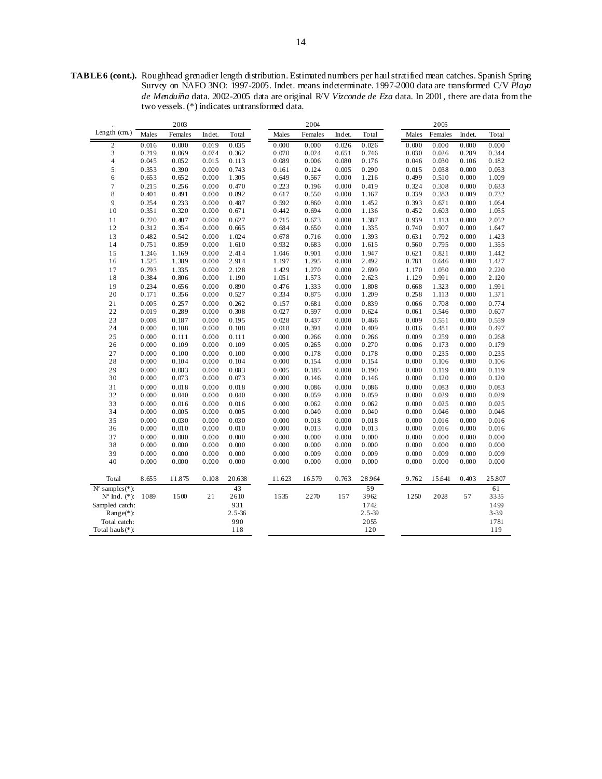**TABLE 6 (cont.).** Roughhead grenadier length distribution. Estimated numbers per haul stratified mean catches. Spanish Spring Survey on NAFO 3NO: 1997-2005. Indet. means indeterminate. 1997-2000 data are transformed C/V *Playa de Menduíña* data. 2002-2005 data are original R/V *Vizconde de Eza* data. In 2001, there are data from the two vessels. (\*) indicates untransformed data.

| Length $(cm.)$<br>Males<br>Females<br>Females<br>Indet.<br>Total<br>Females<br>Indet.<br>Total<br>Indet.<br>Total<br>Males<br>Males<br>0.016<br>0.000<br>0.019<br>0.035<br>0.000<br>0.026<br>0.026<br>0.000<br>0.000<br>0.000<br>0.000<br>$\overline{c}$<br>0.000<br>3<br>0.219<br>0.362<br>0.070<br>0.024<br>0.651<br>0.746<br>0.026<br>0.344<br>0.069<br>0.074<br>0.030<br>0.289<br>0.045<br>0.113<br>0.182<br>4<br>0.052<br>0.015<br>0.089<br>0.006<br>0.080<br>0.176<br>0.046<br>0.030<br>0.106<br>0.743<br>0.005<br>0.290<br>0.053<br>5<br>0.353<br>0.390<br>0.000<br>0.161<br>0.124<br>0.015<br>0.038<br>0.000<br>0.653<br>0.000<br>1.305<br>0.649<br>0.567<br>0.000<br>1.216<br>0.499<br>0.510<br>1.009<br>6<br>0.652<br>0.000<br>$\overline{\mathcal{I}}$<br>0.215<br>0.470<br>0.223<br>0.000<br>0.419<br>0.324<br>0.633<br>0.256<br>0.000<br>0.196<br>0.308<br>0.000<br>8<br>0.339<br>0.401<br>0.491<br>0.000<br>0.892<br>0.617<br>0.550<br>0.000<br>1.167<br>0.383<br>0.009<br>0.732<br>9<br>0.254<br>0.233<br>1.452<br>1.064<br>0.000<br>0.487<br>0.592<br>0.860<br>0.000<br>0.393<br>0.671<br>0.000<br>0.351<br>0.320<br>0.000<br>0.671<br>0.442<br>0.694<br>0.000<br>1.136<br>0.452<br>0.603<br>1.055<br>10<br>0.000<br>0.220<br>0.407<br>0.715<br>0.000<br>1.387<br>0.939<br>2.052<br>11<br>0.000<br>0.627<br>0.673<br>1.113<br>0.000<br>1.335<br>12<br>0.312<br>0.354<br>0.000<br>0.665<br>0.684<br>0.650<br>0.000<br>0.740<br>0.907<br>0.000<br>1.647<br>0.482<br>1.024<br>1.393<br>1.423<br>13<br>0.542<br>0.000<br>0.678<br>0.716<br>0.000<br>0.631<br>0.792<br>0.000<br>0.751<br>0.859<br>0.932<br>0.683<br>0.000<br>0.795<br>1.355<br>14<br>0.000<br>1.610<br>1.615<br>0.560<br>0.000<br>15<br>1.246<br>2.414<br>1.046<br>0.901<br>0.000<br>1.947<br>0.621<br>0.821<br>1.442<br>1.169<br>0.000<br>0.000<br>1.525<br>1.389<br>0.000<br>2.914<br>1.197<br>1.295<br>0.000<br>2.492<br>0.781<br>0.646<br>0.000<br>1.427<br>16<br>0.793<br>2.128<br>1.429<br>1.270<br>2.699<br>2.220<br>17<br>1.335<br>0.000<br>0.000<br>1.170<br>1.050<br>0.000<br>0.384<br>0.806<br>1.190<br>1.051<br>1.573<br>2.623<br>1.129<br>0.991<br>2.120<br>18<br>0.000<br>0.000<br>0.000<br>0.234<br>0.890<br>0.476<br>1.333<br>0.000<br>1.808<br>1.323<br>1.991<br>19<br>0.656<br>0.000<br>0.668<br>0.000<br>20<br>0.171<br>0.356<br>0.000<br>0.527<br>0.334<br>0.875<br>0.000<br>1.209<br>0.258<br>1.113<br>1.371<br>0.000<br>0.262<br>0.839<br>0.774<br>21<br>0.005<br>0.257<br>0.000<br>0.157<br>0.681<br>0.000<br>0.066<br>0.708<br>0.000<br>22<br>0.019<br>0.289<br>0.308<br>0.027<br>0.597<br>0.000<br>0.624<br>0.607<br>0.000<br>0.061<br>0.546<br>0.000<br>23<br>0.008<br>0.187<br>0.195<br>0.028<br>0.437<br>0.000<br>0.009<br>0.551<br>0.559<br>0.000<br>0.466<br>0.000<br>24<br>0.000<br>0.108<br>0.000<br>0.108<br>0.018<br>0.391<br>0.000<br>0.409<br>0.016<br>0.481<br>0.497<br>0.000<br>25<br>0.000<br>0.111<br>0.000<br>0.111<br>0.000<br>0.266<br>0.000<br>0.266<br>0.009<br>0.259<br>0.000<br>0.268<br>26<br>0.000<br>0.109<br>0.000<br>0.109<br>0.005<br>0.265<br>0.000<br>0.270<br>0.006<br>0.173<br>0.000<br>0.179<br>27<br>0.000<br>0.000<br>0.235<br>0.100<br>0.000<br>0.100<br>0.178<br>0.000<br>0.178<br>0.000<br>0.235<br>0.000<br>28<br>0.000<br>0.104<br>0.000<br>0.104<br>0.000<br>0.154<br>0.000<br>0.154<br>0.000<br>0.106<br>0.000<br>0.106<br>0.083<br>0.190<br>29<br>0.000<br>0.083<br>0.000<br>0.005<br>0.185<br>0.000<br>0.000<br>0.119<br>0.000<br>0.119<br>0.120<br>30<br>0.000<br>0.073<br>0.000<br>0.073<br>0.000<br>0.146<br>0.000<br>0.146<br>0.000<br>0.120<br>0.000 |
|-----------------------------------------------------------------------------------------------------------------------------------------------------------------------------------------------------------------------------------------------------------------------------------------------------------------------------------------------------------------------------------------------------------------------------------------------------------------------------------------------------------------------------------------------------------------------------------------------------------------------------------------------------------------------------------------------------------------------------------------------------------------------------------------------------------------------------------------------------------------------------------------------------------------------------------------------------------------------------------------------------------------------------------------------------------------------------------------------------------------------------------------------------------------------------------------------------------------------------------------------------------------------------------------------------------------------------------------------------------------------------------------------------------------------------------------------------------------------------------------------------------------------------------------------------------------------------------------------------------------------------------------------------------------------------------------------------------------------------------------------------------------------------------------------------------------------------------------------------------------------------------------------------------------------------------------------------------------------------------------------------------------------------------------------------------------------------------------------------------------------------------------------------------------------------------------------------------------------------------------------------------------------------------------------------------------------------------------------------------------------------------------------------------------------------------------------------------------------------------------------------------------------------------------------------------------------------------------------------------------------------------------------------------------------------------------------------------------------------------------------------------------------------------------------------------------------------------------------------------------------------------------------------------------------------------------------------------------------------------------------------------------------------------------------------------------------------------------------------------------------------------------------------------------------------------------------------------------------------------------------------------------------------------------------------------------------------------------------------------------------------------------------------------------------------------------------------------------------------------------------------------------------------------------------------------------------------------------------------------|
|                                                                                                                                                                                                                                                                                                                                                                                                                                                                                                                                                                                                                                                                                                                                                                                                                                                                                                                                                                                                                                                                                                                                                                                                                                                                                                                                                                                                                                                                                                                                                                                                                                                                                                                                                                                                                                                                                                                                                                                                                                                                                                                                                                                                                                                                                                                                                                                                                                                                                                                                                                                                                                                                                                                                                                                                                                                                                                                                                                                                                                                                                                                                                                                                                                                                                                                                                                                                                                                                                                                                                                                                           |
|                                                                                                                                                                                                                                                                                                                                                                                                                                                                                                                                                                                                                                                                                                                                                                                                                                                                                                                                                                                                                                                                                                                                                                                                                                                                                                                                                                                                                                                                                                                                                                                                                                                                                                                                                                                                                                                                                                                                                                                                                                                                                                                                                                                                                                                                                                                                                                                                                                                                                                                                                                                                                                                                                                                                                                                                                                                                                                                                                                                                                                                                                                                                                                                                                                                                                                                                                                                                                                                                                                                                                                                                           |
|                                                                                                                                                                                                                                                                                                                                                                                                                                                                                                                                                                                                                                                                                                                                                                                                                                                                                                                                                                                                                                                                                                                                                                                                                                                                                                                                                                                                                                                                                                                                                                                                                                                                                                                                                                                                                                                                                                                                                                                                                                                                                                                                                                                                                                                                                                                                                                                                                                                                                                                                                                                                                                                                                                                                                                                                                                                                                                                                                                                                                                                                                                                                                                                                                                                                                                                                                                                                                                                                                                                                                                                                           |
|                                                                                                                                                                                                                                                                                                                                                                                                                                                                                                                                                                                                                                                                                                                                                                                                                                                                                                                                                                                                                                                                                                                                                                                                                                                                                                                                                                                                                                                                                                                                                                                                                                                                                                                                                                                                                                                                                                                                                                                                                                                                                                                                                                                                                                                                                                                                                                                                                                                                                                                                                                                                                                                                                                                                                                                                                                                                                                                                                                                                                                                                                                                                                                                                                                                                                                                                                                                                                                                                                                                                                                                                           |
|                                                                                                                                                                                                                                                                                                                                                                                                                                                                                                                                                                                                                                                                                                                                                                                                                                                                                                                                                                                                                                                                                                                                                                                                                                                                                                                                                                                                                                                                                                                                                                                                                                                                                                                                                                                                                                                                                                                                                                                                                                                                                                                                                                                                                                                                                                                                                                                                                                                                                                                                                                                                                                                                                                                                                                                                                                                                                                                                                                                                                                                                                                                                                                                                                                                                                                                                                                                                                                                                                                                                                                                                           |
|                                                                                                                                                                                                                                                                                                                                                                                                                                                                                                                                                                                                                                                                                                                                                                                                                                                                                                                                                                                                                                                                                                                                                                                                                                                                                                                                                                                                                                                                                                                                                                                                                                                                                                                                                                                                                                                                                                                                                                                                                                                                                                                                                                                                                                                                                                                                                                                                                                                                                                                                                                                                                                                                                                                                                                                                                                                                                                                                                                                                                                                                                                                                                                                                                                                                                                                                                                                                                                                                                                                                                                                                           |
|                                                                                                                                                                                                                                                                                                                                                                                                                                                                                                                                                                                                                                                                                                                                                                                                                                                                                                                                                                                                                                                                                                                                                                                                                                                                                                                                                                                                                                                                                                                                                                                                                                                                                                                                                                                                                                                                                                                                                                                                                                                                                                                                                                                                                                                                                                                                                                                                                                                                                                                                                                                                                                                                                                                                                                                                                                                                                                                                                                                                                                                                                                                                                                                                                                                                                                                                                                                                                                                                                                                                                                                                           |
|                                                                                                                                                                                                                                                                                                                                                                                                                                                                                                                                                                                                                                                                                                                                                                                                                                                                                                                                                                                                                                                                                                                                                                                                                                                                                                                                                                                                                                                                                                                                                                                                                                                                                                                                                                                                                                                                                                                                                                                                                                                                                                                                                                                                                                                                                                                                                                                                                                                                                                                                                                                                                                                                                                                                                                                                                                                                                                                                                                                                                                                                                                                                                                                                                                                                                                                                                                                                                                                                                                                                                                                                           |
|                                                                                                                                                                                                                                                                                                                                                                                                                                                                                                                                                                                                                                                                                                                                                                                                                                                                                                                                                                                                                                                                                                                                                                                                                                                                                                                                                                                                                                                                                                                                                                                                                                                                                                                                                                                                                                                                                                                                                                                                                                                                                                                                                                                                                                                                                                                                                                                                                                                                                                                                                                                                                                                                                                                                                                                                                                                                                                                                                                                                                                                                                                                                                                                                                                                                                                                                                                                                                                                                                                                                                                                                           |
|                                                                                                                                                                                                                                                                                                                                                                                                                                                                                                                                                                                                                                                                                                                                                                                                                                                                                                                                                                                                                                                                                                                                                                                                                                                                                                                                                                                                                                                                                                                                                                                                                                                                                                                                                                                                                                                                                                                                                                                                                                                                                                                                                                                                                                                                                                                                                                                                                                                                                                                                                                                                                                                                                                                                                                                                                                                                                                                                                                                                                                                                                                                                                                                                                                                                                                                                                                                                                                                                                                                                                                                                           |
|                                                                                                                                                                                                                                                                                                                                                                                                                                                                                                                                                                                                                                                                                                                                                                                                                                                                                                                                                                                                                                                                                                                                                                                                                                                                                                                                                                                                                                                                                                                                                                                                                                                                                                                                                                                                                                                                                                                                                                                                                                                                                                                                                                                                                                                                                                                                                                                                                                                                                                                                                                                                                                                                                                                                                                                                                                                                                                                                                                                                                                                                                                                                                                                                                                                                                                                                                                                                                                                                                                                                                                                                           |
|                                                                                                                                                                                                                                                                                                                                                                                                                                                                                                                                                                                                                                                                                                                                                                                                                                                                                                                                                                                                                                                                                                                                                                                                                                                                                                                                                                                                                                                                                                                                                                                                                                                                                                                                                                                                                                                                                                                                                                                                                                                                                                                                                                                                                                                                                                                                                                                                                                                                                                                                                                                                                                                                                                                                                                                                                                                                                                                                                                                                                                                                                                                                                                                                                                                                                                                                                                                                                                                                                                                                                                                                           |
|                                                                                                                                                                                                                                                                                                                                                                                                                                                                                                                                                                                                                                                                                                                                                                                                                                                                                                                                                                                                                                                                                                                                                                                                                                                                                                                                                                                                                                                                                                                                                                                                                                                                                                                                                                                                                                                                                                                                                                                                                                                                                                                                                                                                                                                                                                                                                                                                                                                                                                                                                                                                                                                                                                                                                                                                                                                                                                                                                                                                                                                                                                                                                                                                                                                                                                                                                                                                                                                                                                                                                                                                           |
|                                                                                                                                                                                                                                                                                                                                                                                                                                                                                                                                                                                                                                                                                                                                                                                                                                                                                                                                                                                                                                                                                                                                                                                                                                                                                                                                                                                                                                                                                                                                                                                                                                                                                                                                                                                                                                                                                                                                                                                                                                                                                                                                                                                                                                                                                                                                                                                                                                                                                                                                                                                                                                                                                                                                                                                                                                                                                                                                                                                                                                                                                                                                                                                                                                                                                                                                                                                                                                                                                                                                                                                                           |
|                                                                                                                                                                                                                                                                                                                                                                                                                                                                                                                                                                                                                                                                                                                                                                                                                                                                                                                                                                                                                                                                                                                                                                                                                                                                                                                                                                                                                                                                                                                                                                                                                                                                                                                                                                                                                                                                                                                                                                                                                                                                                                                                                                                                                                                                                                                                                                                                                                                                                                                                                                                                                                                                                                                                                                                                                                                                                                                                                                                                                                                                                                                                                                                                                                                                                                                                                                                                                                                                                                                                                                                                           |
|                                                                                                                                                                                                                                                                                                                                                                                                                                                                                                                                                                                                                                                                                                                                                                                                                                                                                                                                                                                                                                                                                                                                                                                                                                                                                                                                                                                                                                                                                                                                                                                                                                                                                                                                                                                                                                                                                                                                                                                                                                                                                                                                                                                                                                                                                                                                                                                                                                                                                                                                                                                                                                                                                                                                                                                                                                                                                                                                                                                                                                                                                                                                                                                                                                                                                                                                                                                                                                                                                                                                                                                                           |
|                                                                                                                                                                                                                                                                                                                                                                                                                                                                                                                                                                                                                                                                                                                                                                                                                                                                                                                                                                                                                                                                                                                                                                                                                                                                                                                                                                                                                                                                                                                                                                                                                                                                                                                                                                                                                                                                                                                                                                                                                                                                                                                                                                                                                                                                                                                                                                                                                                                                                                                                                                                                                                                                                                                                                                                                                                                                                                                                                                                                                                                                                                                                                                                                                                                                                                                                                                                                                                                                                                                                                                                                           |
|                                                                                                                                                                                                                                                                                                                                                                                                                                                                                                                                                                                                                                                                                                                                                                                                                                                                                                                                                                                                                                                                                                                                                                                                                                                                                                                                                                                                                                                                                                                                                                                                                                                                                                                                                                                                                                                                                                                                                                                                                                                                                                                                                                                                                                                                                                                                                                                                                                                                                                                                                                                                                                                                                                                                                                                                                                                                                                                                                                                                                                                                                                                                                                                                                                                                                                                                                                                                                                                                                                                                                                                                           |
|                                                                                                                                                                                                                                                                                                                                                                                                                                                                                                                                                                                                                                                                                                                                                                                                                                                                                                                                                                                                                                                                                                                                                                                                                                                                                                                                                                                                                                                                                                                                                                                                                                                                                                                                                                                                                                                                                                                                                                                                                                                                                                                                                                                                                                                                                                                                                                                                                                                                                                                                                                                                                                                                                                                                                                                                                                                                                                                                                                                                                                                                                                                                                                                                                                                                                                                                                                                                                                                                                                                                                                                                           |
|                                                                                                                                                                                                                                                                                                                                                                                                                                                                                                                                                                                                                                                                                                                                                                                                                                                                                                                                                                                                                                                                                                                                                                                                                                                                                                                                                                                                                                                                                                                                                                                                                                                                                                                                                                                                                                                                                                                                                                                                                                                                                                                                                                                                                                                                                                                                                                                                                                                                                                                                                                                                                                                                                                                                                                                                                                                                                                                                                                                                                                                                                                                                                                                                                                                                                                                                                                                                                                                                                                                                                                                                           |
|                                                                                                                                                                                                                                                                                                                                                                                                                                                                                                                                                                                                                                                                                                                                                                                                                                                                                                                                                                                                                                                                                                                                                                                                                                                                                                                                                                                                                                                                                                                                                                                                                                                                                                                                                                                                                                                                                                                                                                                                                                                                                                                                                                                                                                                                                                                                                                                                                                                                                                                                                                                                                                                                                                                                                                                                                                                                                                                                                                                                                                                                                                                                                                                                                                                                                                                                                                                                                                                                                                                                                                                                           |
|                                                                                                                                                                                                                                                                                                                                                                                                                                                                                                                                                                                                                                                                                                                                                                                                                                                                                                                                                                                                                                                                                                                                                                                                                                                                                                                                                                                                                                                                                                                                                                                                                                                                                                                                                                                                                                                                                                                                                                                                                                                                                                                                                                                                                                                                                                                                                                                                                                                                                                                                                                                                                                                                                                                                                                                                                                                                                                                                                                                                                                                                                                                                                                                                                                                                                                                                                                                                                                                                                                                                                                                                           |
|                                                                                                                                                                                                                                                                                                                                                                                                                                                                                                                                                                                                                                                                                                                                                                                                                                                                                                                                                                                                                                                                                                                                                                                                                                                                                                                                                                                                                                                                                                                                                                                                                                                                                                                                                                                                                                                                                                                                                                                                                                                                                                                                                                                                                                                                                                                                                                                                                                                                                                                                                                                                                                                                                                                                                                                                                                                                                                                                                                                                                                                                                                                                                                                                                                                                                                                                                                                                                                                                                                                                                                                                           |
|                                                                                                                                                                                                                                                                                                                                                                                                                                                                                                                                                                                                                                                                                                                                                                                                                                                                                                                                                                                                                                                                                                                                                                                                                                                                                                                                                                                                                                                                                                                                                                                                                                                                                                                                                                                                                                                                                                                                                                                                                                                                                                                                                                                                                                                                                                                                                                                                                                                                                                                                                                                                                                                                                                                                                                                                                                                                                                                                                                                                                                                                                                                                                                                                                                                                                                                                                                                                                                                                                                                                                                                                           |
|                                                                                                                                                                                                                                                                                                                                                                                                                                                                                                                                                                                                                                                                                                                                                                                                                                                                                                                                                                                                                                                                                                                                                                                                                                                                                                                                                                                                                                                                                                                                                                                                                                                                                                                                                                                                                                                                                                                                                                                                                                                                                                                                                                                                                                                                                                                                                                                                                                                                                                                                                                                                                                                                                                                                                                                                                                                                                                                                                                                                                                                                                                                                                                                                                                                                                                                                                                                                                                                                                                                                                                                                           |
|                                                                                                                                                                                                                                                                                                                                                                                                                                                                                                                                                                                                                                                                                                                                                                                                                                                                                                                                                                                                                                                                                                                                                                                                                                                                                                                                                                                                                                                                                                                                                                                                                                                                                                                                                                                                                                                                                                                                                                                                                                                                                                                                                                                                                                                                                                                                                                                                                                                                                                                                                                                                                                                                                                                                                                                                                                                                                                                                                                                                                                                                                                                                                                                                                                                                                                                                                                                                                                                                                                                                                                                                           |
|                                                                                                                                                                                                                                                                                                                                                                                                                                                                                                                                                                                                                                                                                                                                                                                                                                                                                                                                                                                                                                                                                                                                                                                                                                                                                                                                                                                                                                                                                                                                                                                                                                                                                                                                                                                                                                                                                                                                                                                                                                                                                                                                                                                                                                                                                                                                                                                                                                                                                                                                                                                                                                                                                                                                                                                                                                                                                                                                                                                                                                                                                                                                                                                                                                                                                                                                                                                                                                                                                                                                                                                                           |
|                                                                                                                                                                                                                                                                                                                                                                                                                                                                                                                                                                                                                                                                                                                                                                                                                                                                                                                                                                                                                                                                                                                                                                                                                                                                                                                                                                                                                                                                                                                                                                                                                                                                                                                                                                                                                                                                                                                                                                                                                                                                                                                                                                                                                                                                                                                                                                                                                                                                                                                                                                                                                                                                                                                                                                                                                                                                                                                                                                                                                                                                                                                                                                                                                                                                                                                                                                                                                                                                                                                                                                                                           |
|                                                                                                                                                                                                                                                                                                                                                                                                                                                                                                                                                                                                                                                                                                                                                                                                                                                                                                                                                                                                                                                                                                                                                                                                                                                                                                                                                                                                                                                                                                                                                                                                                                                                                                                                                                                                                                                                                                                                                                                                                                                                                                                                                                                                                                                                                                                                                                                                                                                                                                                                                                                                                                                                                                                                                                                                                                                                                                                                                                                                                                                                                                                                                                                                                                                                                                                                                                                                                                                                                                                                                                                                           |
| 0.000<br>0.018<br>0.000<br>0.083<br>31<br>0.018<br>0.000<br>0.086<br>0.000<br>0.086<br>0.000<br>0.083<br>0.000                                                                                                                                                                                                                                                                                                                                                                                                                                                                                                                                                                                                                                                                                                                                                                                                                                                                                                                                                                                                                                                                                                                                                                                                                                                                                                                                                                                                                                                                                                                                                                                                                                                                                                                                                                                                                                                                                                                                                                                                                                                                                                                                                                                                                                                                                                                                                                                                                                                                                                                                                                                                                                                                                                                                                                                                                                                                                                                                                                                                                                                                                                                                                                                                                                                                                                                                                                                                                                                                                            |
| 32<br>0.000<br>0.040<br>0.059<br>0.029<br>0.029<br>0.040<br>0.000<br>0.000<br>0.059<br>0.000<br>0.000<br>0.000                                                                                                                                                                                                                                                                                                                                                                                                                                                                                                                                                                                                                                                                                                                                                                                                                                                                                                                                                                                                                                                                                                                                                                                                                                                                                                                                                                                                                                                                                                                                                                                                                                                                                                                                                                                                                                                                                                                                                                                                                                                                                                                                                                                                                                                                                                                                                                                                                                                                                                                                                                                                                                                                                                                                                                                                                                                                                                                                                                                                                                                                                                                                                                                                                                                                                                                                                                                                                                                                                            |
| 33<br>0.000<br>0.016<br>0.000<br>0.016<br>0.000<br>0.062<br>0.000<br>0.062<br>0.000<br>0.025<br>0.025<br>0.000                                                                                                                                                                                                                                                                                                                                                                                                                                                                                                                                                                                                                                                                                                                                                                                                                                                                                                                                                                                                                                                                                                                                                                                                                                                                                                                                                                                                                                                                                                                                                                                                                                                                                                                                                                                                                                                                                                                                                                                                                                                                                                                                                                                                                                                                                                                                                                                                                                                                                                                                                                                                                                                                                                                                                                                                                                                                                                                                                                                                                                                                                                                                                                                                                                                                                                                                                                                                                                                                                            |
| 0.046<br>34<br>0.000<br>0.005<br>0.000<br>0.005<br>0.000<br>0.040<br>0.000<br>0.040<br>0.000<br>0.046<br>0.000                                                                                                                                                                                                                                                                                                                                                                                                                                                                                                                                                                                                                                                                                                                                                                                                                                                                                                                                                                                                                                                                                                                                                                                                                                                                                                                                                                                                                                                                                                                                                                                                                                                                                                                                                                                                                                                                                                                                                                                                                                                                                                                                                                                                                                                                                                                                                                                                                                                                                                                                                                                                                                                                                                                                                                                                                                                                                                                                                                                                                                                                                                                                                                                                                                                                                                                                                                                                                                                                                            |
| 0.000<br>0.030<br>0.030<br>0.000<br>0.018<br>0.016<br>35<br>0.000<br>0.018<br>0.000<br>0.000<br>0.016<br>0.000                                                                                                                                                                                                                                                                                                                                                                                                                                                                                                                                                                                                                                                                                                                                                                                                                                                                                                                                                                                                                                                                                                                                                                                                                                                                                                                                                                                                                                                                                                                                                                                                                                                                                                                                                                                                                                                                                                                                                                                                                                                                                                                                                                                                                                                                                                                                                                                                                                                                                                                                                                                                                                                                                                                                                                                                                                                                                                                                                                                                                                                                                                                                                                                                                                                                                                                                                                                                                                                                                            |
| 0.000<br>0.013<br>36<br>0.010<br>0.000<br>0.010<br>0.000<br>0.013<br>0.000<br>0.000<br>0.016<br>0.000<br>0.016                                                                                                                                                                                                                                                                                                                                                                                                                                                                                                                                                                                                                                                                                                                                                                                                                                                                                                                                                                                                                                                                                                                                                                                                                                                                                                                                                                                                                                                                                                                                                                                                                                                                                                                                                                                                                                                                                                                                                                                                                                                                                                                                                                                                                                                                                                                                                                                                                                                                                                                                                                                                                                                                                                                                                                                                                                                                                                                                                                                                                                                                                                                                                                                                                                                                                                                                                                                                                                                                                            |
| 37<br>0.000<br>0.000<br>0.000<br>0.000<br>0.000<br>0.000<br>0.000<br>0.000<br>0.000<br>0.000<br>0.000<br>0.000                                                                                                                                                                                                                                                                                                                                                                                                                                                                                                                                                                                                                                                                                                                                                                                                                                                                                                                                                                                                                                                                                                                                                                                                                                                                                                                                                                                                                                                                                                                                                                                                                                                                                                                                                                                                                                                                                                                                                                                                                                                                                                                                                                                                                                                                                                                                                                                                                                                                                                                                                                                                                                                                                                                                                                                                                                                                                                                                                                                                                                                                                                                                                                                                                                                                                                                                                                                                                                                                                            |
| 38<br>0.000<br>0.000<br>0.000<br>0.000<br>0.000<br>0.000<br>0.000<br>0.000<br>0.000<br>0.000<br>0.000<br>0.000                                                                                                                                                                                                                                                                                                                                                                                                                                                                                                                                                                                                                                                                                                                                                                                                                                                                                                                                                                                                                                                                                                                                                                                                                                                                                                                                                                                                                                                                                                                                                                                                                                                                                                                                                                                                                                                                                                                                                                                                                                                                                                                                                                                                                                                                                                                                                                                                                                                                                                                                                                                                                                                                                                                                                                                                                                                                                                                                                                                                                                                                                                                                                                                                                                                                                                                                                                                                                                                                                            |
| 39<br>0.000<br>0.000<br>0.000<br>0.000<br>0.000<br>0.009<br>0.000<br>0.009<br>0.000<br>0.009<br>0.000<br>0.009                                                                                                                                                                                                                                                                                                                                                                                                                                                                                                                                                                                                                                                                                                                                                                                                                                                                                                                                                                                                                                                                                                                                                                                                                                                                                                                                                                                                                                                                                                                                                                                                                                                                                                                                                                                                                                                                                                                                                                                                                                                                                                                                                                                                                                                                                                                                                                                                                                                                                                                                                                                                                                                                                                                                                                                                                                                                                                                                                                                                                                                                                                                                                                                                                                                                                                                                                                                                                                                                                            |
| 40<br>0.000<br>0.000<br>0.000<br>0.000<br>0.000<br>0.000<br>0.000<br>0.000<br>0.000<br>0.000<br>0.000<br>0.000                                                                                                                                                                                                                                                                                                                                                                                                                                                                                                                                                                                                                                                                                                                                                                                                                                                                                                                                                                                                                                                                                                                                                                                                                                                                                                                                                                                                                                                                                                                                                                                                                                                                                                                                                                                                                                                                                                                                                                                                                                                                                                                                                                                                                                                                                                                                                                                                                                                                                                                                                                                                                                                                                                                                                                                                                                                                                                                                                                                                                                                                                                                                                                                                                                                                                                                                                                                                                                                                                            |
| 8.655<br>11.875<br>0.108<br>20.638<br>11.623<br>16579<br>0.763<br>28.964<br>9.762<br>15.641<br>0.403<br>25.807<br>Total                                                                                                                                                                                                                                                                                                                                                                                                                                                                                                                                                                                                                                                                                                                                                                                                                                                                                                                                                                                                                                                                                                                                                                                                                                                                                                                                                                                                                                                                                                                                                                                                                                                                                                                                                                                                                                                                                                                                                                                                                                                                                                                                                                                                                                                                                                                                                                                                                                                                                                                                                                                                                                                                                                                                                                                                                                                                                                                                                                                                                                                                                                                                                                                                                                                                                                                                                                                                                                                                                   |
| 43<br>59<br>$N^{\circ}$ samples $(*)$ :<br>61                                                                                                                                                                                                                                                                                                                                                                                                                                                                                                                                                                                                                                                                                                                                                                                                                                                                                                                                                                                                                                                                                                                                                                                                                                                                                                                                                                                                                                                                                                                                                                                                                                                                                                                                                                                                                                                                                                                                                                                                                                                                                                                                                                                                                                                                                                                                                                                                                                                                                                                                                                                                                                                                                                                                                                                                                                                                                                                                                                                                                                                                                                                                                                                                                                                                                                                                                                                                                                                                                                                                                             |
| 3962<br>$N^{\circ}$ Ind. $(*)$ :<br>1089<br>1500<br>21<br>2610<br>1535<br>2270<br>157<br>1250<br>2028<br>57<br>3335                                                                                                                                                                                                                                                                                                                                                                                                                                                                                                                                                                                                                                                                                                                                                                                                                                                                                                                                                                                                                                                                                                                                                                                                                                                                                                                                                                                                                                                                                                                                                                                                                                                                                                                                                                                                                                                                                                                                                                                                                                                                                                                                                                                                                                                                                                                                                                                                                                                                                                                                                                                                                                                                                                                                                                                                                                                                                                                                                                                                                                                                                                                                                                                                                                                                                                                                                                                                                                                                                       |
| 931<br>1499<br>Sampled catch:<br>1742                                                                                                                                                                                                                                                                                                                                                                                                                                                                                                                                                                                                                                                                                                                                                                                                                                                                                                                                                                                                                                                                                                                                                                                                                                                                                                                                                                                                                                                                                                                                                                                                                                                                                                                                                                                                                                                                                                                                                                                                                                                                                                                                                                                                                                                                                                                                                                                                                                                                                                                                                                                                                                                                                                                                                                                                                                                                                                                                                                                                                                                                                                                                                                                                                                                                                                                                                                                                                                                                                                                                                                     |
| $2.5 - 36$<br>$2.5 - 39$<br>$3 - 39$<br>$Range(*)$ :                                                                                                                                                                                                                                                                                                                                                                                                                                                                                                                                                                                                                                                                                                                                                                                                                                                                                                                                                                                                                                                                                                                                                                                                                                                                                                                                                                                                                                                                                                                                                                                                                                                                                                                                                                                                                                                                                                                                                                                                                                                                                                                                                                                                                                                                                                                                                                                                                                                                                                                                                                                                                                                                                                                                                                                                                                                                                                                                                                                                                                                                                                                                                                                                                                                                                                                                                                                                                                                                                                                                                      |
| 990<br>2055<br>1781<br>Total catch:                                                                                                                                                                                                                                                                                                                                                                                                                                                                                                                                                                                                                                                                                                                                                                                                                                                                                                                                                                                                                                                                                                                                                                                                                                                                                                                                                                                                                                                                                                                                                                                                                                                                                                                                                                                                                                                                                                                                                                                                                                                                                                                                                                                                                                                                                                                                                                                                                                                                                                                                                                                                                                                                                                                                                                                                                                                                                                                                                                                                                                                                                                                                                                                                                                                                                                                                                                                                                                                                                                                                                                       |
| 120<br>119<br>Total hau $k(*)$ :<br>118                                                                                                                                                                                                                                                                                                                                                                                                                                                                                                                                                                                                                                                                                                                                                                                                                                                                                                                                                                                                                                                                                                                                                                                                                                                                                                                                                                                                                                                                                                                                                                                                                                                                                                                                                                                                                                                                                                                                                                                                                                                                                                                                                                                                                                                                                                                                                                                                                                                                                                                                                                                                                                                                                                                                                                                                                                                                                                                                                                                                                                                                                                                                                                                                                                                                                                                                                                                                                                                                                                                                                                   |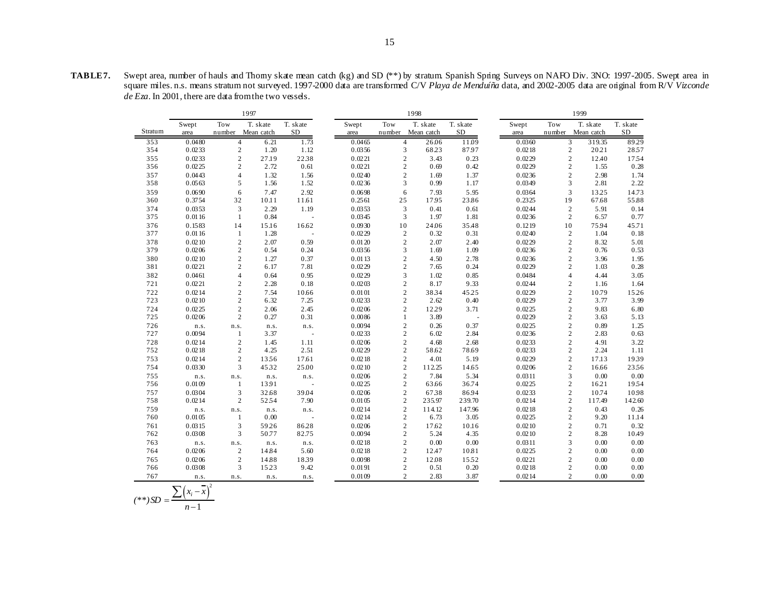|         |        |                | 1997       |           |        |                | 1998       |           |       | 1999   |                |            |           |  |
|---------|--------|----------------|------------|-----------|--------|----------------|------------|-----------|-------|--------|----------------|------------|-----------|--|
|         | Swept  | Tow            | T. skate   | T. skate  | Swept  | Tow            | T. skate   | T. skate  | Swept | Tow    |                | T. skate   | T. skate  |  |
| Stratum | area   | number         | Mean catch | <b>SD</b> | area   | number         | Mean catch | <b>SD</b> | area  | number |                | Mean catch | <b>SD</b> |  |
| 353     | 0.0480 | $\overline{4}$ | 6.21       | 1.73      | 0.0465 | $\overline{4}$ | 26.06      | 11.09     |       | 0.0360 | $\overline{3}$ | 319.35     | 89.29     |  |
| 354     | 0.0233 | $\overline{c}$ | 1.20       | 1.12      | 0.0356 | 3              | 68.23      | 87.97     |       | 0.0218 | $\overline{c}$ | 2021       | 2857      |  |
| 355     | 0.0233 | $\overline{c}$ | 27.19      | 2238      | 0.0221 | $\overline{c}$ | 3.43       | 0.23      |       | 0.0229 | $\overline{c}$ | 12.40      | 1754      |  |
| 356     | 0.0225 | $\overline{c}$ | 2.72       | 0.61      | 0.0221 | $\sqrt{2}$     | 0.69       | 0.42      |       | 0.0229 | $\sqrt{2}$     | 1.55       | 0.28      |  |
| 357     | 0.0443 | $\overline{4}$ | 1.32       | 1.56      | 0.0240 | $\overline{c}$ | 1.69       | 1.37      |       | 0.0236 | $\overline{c}$ | 2.98       | 1.74      |  |
| 358     | 0.0563 | 5              | 1.56       | 1.52      | 0.0236 | 3              | 0.99       | 1.17      |       | 0.0349 | 3              | 2.81       | 2.22      |  |
| 359     | 0.0690 | 6              | 7.47       | 2.92      | 0.0698 | 6              | 7.93       | 5.95      |       | 0.0364 | 3              | 13.25      | 14.73     |  |
| 360     | 0.3754 | 32             | 10.11      | 11.61     | 0.2561 | 25             | 1795       | 23.86     |       | 0.2325 | 19             | 67.68      | 55.88     |  |
| 374     | 0.0353 | 3              | 2.29       | 1.19      | 0.0353 | 3              | 0.41       | 0.61      |       | 0.0244 | $\overline{2}$ | 5.91       | 0.14      |  |
| 375     | 0.0116 | 1              | 0.84       |           | 0.0345 | 3              | 1.97       | 1.81      |       | 0.0236 | $\overline{2}$ | 6.57       | 0.77      |  |
| 376     | 0.1583 | 14             | 15.16      | 16.62     | 0.0930 | 10             | 24.06      | 35.48     |       | 0.1219 | 10             | 75.94      | 45.71     |  |
| 377     | 0.0116 | 1              | 1.28       | $\sim$    | 0.0229 | $\sqrt{2}$     | 0.32       | 0.31      |       | 0.0240 | $\sqrt{2}$     | 1.04       | 0.18      |  |
| 378     | 0.0210 | $\overline{c}$ | 2.07       | 0.59      | 0.0120 | $\overline{2}$ | 2.07       | 2.40      |       | 0.0229 | $\overline{2}$ | 8.32       | 5.01      |  |
| 379     | 0.0206 | $\overline{c}$ | 0.54       | 0.24      | 0.0356 | 3              | 1.69       | 1.09      |       | 0.0236 | $\sqrt{2}$     | 0.76       | 0.53      |  |
| 380     | 0.0210 | $\overline{c}$ | 1.27       | 0.37      | 0.0113 | $\overline{c}$ | 4.50       | 2.78      |       | 0.0236 | $\overline{2}$ | 3.96       | 1.95      |  |
| 381     | 0.0221 | $\overline{c}$ | 6.17       | 7.81      | 0.0229 | $\overline{c}$ | 7.65       | 0.24      |       | 0.0229 | $\overline{c}$ | 1.03       | 0.28      |  |
| 382     | 0.0461 | $\overline{4}$ | 0.64       | 0.95      | 0.0229 | 3              | 1.02       | 0.85      |       | 0.0484 | $\overline{4}$ | 4.44       | 3.05      |  |
| 721     | 0.0221 | $\sqrt{2}$     | 2.28       | 0.18      | 0.0203 | $\sqrt{2}$     | 8.17       | 9.33      |       | 0.0244 | $\overline{2}$ | 1.16       | 1.64      |  |
| 722     | 0.0214 | $\overline{c}$ | 7.54       | 10.66     | 0.0101 | $\overline{c}$ | 3834       | 45.25     |       | 0.0229 | $\sqrt{2}$     | 10.79      | 15.26     |  |
| 723     | 0.0210 | $\overline{c}$ | 6.32       | 7.25      | 0.0233 | $\overline{c}$ | 2.62       | 0.40      |       | 0.0229 | $\sqrt{2}$     | 3.77       | 3.99      |  |
| 724     | 0.0225 | $\overline{c}$ | 2.06       | 2.45      | 0.0206 | $\overline{c}$ | 12.29      | 3.71      |       | 0.0225 | $\sqrt{2}$     | 9.83       | 6.80      |  |
| 725     | 0.0206 | $\sqrt{2}$     | 0.27       | 0.31      | 0.0086 | $\mathbf{1}$   | 3.89       | ÷,        |       | 0.0229 | $\sqrt{2}$     | 3.63       | 5.13      |  |
| 726     | n.s.   | n.s.           | n.s.       | n.s.      | 0.0094 | $\overline{c}$ | 0.26       | 0.37      |       | 0.0225 | $\sqrt{2}$     | 0.89       | 1.25      |  |
| 727     | 0.0094 | 1              | 3.37       | $\sim$    | 0.0233 | $\overline{c}$ | 6.02       | 2.84      |       | 0.0236 | $\overline{2}$ | 2.83       | 0.63      |  |
| 728     | 0.0214 | $\overline{c}$ | 1.45       | 1.11      | 0.0206 | $\sqrt{2}$     | 4.68       | 2.68      |       | 0.0233 | $\sqrt{2}$     | 4.91       | 3.22      |  |
| 752     | 0.0218 | $\overline{c}$ | 4.25       | 2.51      | 0.0229 | $\sqrt{2}$     | 58.62      | 78.69     |       | 0.0233 | $\sqrt{2}$     | 2.24       | 1.11      |  |
| 753     | 0.0214 | $\overline{c}$ | 1356       | 17.61     | 0.0218 | $\overline{c}$ | 4.01       | 5.19      |       | 0.0229 | $\sqrt{2}$     | 17.13      | 1939      |  |
| 754     | 0.0330 | 3              | 4532       | 25.00     | 0.0210 | $\overline{c}$ | 112.25     | 14.65     |       | 0.0206 | $\sqrt{2}$     | 16.66      | 2356      |  |
| 755     | n.s.   | n.s.           | n.s.       | n.s.      | 0.0206 | $\overline{c}$ | 7.84       | 5.34      |       | 0.0311 | 3              | 0.00       | 0.00      |  |
| 756     | 0.0109 | 1              | 1391       | $\sim$    | 0.0225 | $\mathbf{2}$   | 63.66      | 36.74     |       | 0.0225 | $\overline{c}$ | 1621       | 1954      |  |
| 757     | 0.0304 | 3              | 32.68      | 39.04     | 0.0206 | $\overline{c}$ | 6738       | 86.94     |       | 0.0233 | $\overline{2}$ | 10.74      | 10.98     |  |
| 758     | 0.0214 | $\overline{c}$ | 5254       | 7.90      | 0.0105 | $\overline{c}$ | 235.97     | 239.70    |       | 0.0214 | $\overline{c}$ | 117.49     | 142.60    |  |
| 759     | n.s.   | n.s.           | n.s.       | n.s.      | 0.0214 | $\overline{c}$ | 114.12     | 147.96    |       | 0.0218 | $\overline{c}$ | 0.43       | 0.26      |  |
| 760     | 0.0105 | $\mathbf{1}$   | 0.00       | ÷,        | 0.0214 | $\sqrt{2}$     | 6.73       | 3.05      |       | 0.0225 | $\overline{2}$ | 9.20       | 11.14     |  |
| 761     | 0.0315 | 3              | 59.26      | 86.28     | 0.0206 | $\overline{c}$ | 17.62      | 10.16     |       | 0.0210 | $\overline{2}$ | 0.71       | 0.32      |  |
| 762     | 0.0308 | 3              | 50.77      | 82.75     | 0.0094 | $\overline{c}$ | 5.24       | 4.35      |       | 0.0210 | $\overline{2}$ | 8.28       | 10.49     |  |
| 763     | n.s.   | n.s.           | n.s.       | n.s.      | 0.0218 | $\overline{c}$ | 0.00       | 0.00      |       | 0.0311 | 3              | 0.00       | 0.00      |  |
| 764     | 0.0206 | $\overline{c}$ | 14.84      | 5.60      | 0.0218 | $\overline{c}$ | 12.47      | 10.81     |       | 0.0225 | $\mathbf{2}$   | 0.00       | 0.00      |  |
| 765     | 0.0206 | $\overline{c}$ | 14.88      | 1839      | 0.0098 | $\overline{c}$ | 12.08      | 1552      |       | 0.0221 | $\overline{2}$ | 0.00       | 0.00      |  |
| 766     | 0.0308 | 3              | 15.23      | 9.42      | 0.0191 | $\overline{c}$ | 0.51       | 0.20      |       | 0.0218 | $\overline{c}$ | 0.00       | 0.00      |  |
| 767     | n.s.   | n.s.           | n.s.       | n.s.      | 0.0109 | $\overline{2}$ | 2.83       | 3.87      |       | 0.0214 | $\overline{c}$ | 0.00       | 0.00      |  |

$$
(**)SD = \frac{\sum (x_i - \overline{x})^2}{n-1}
$$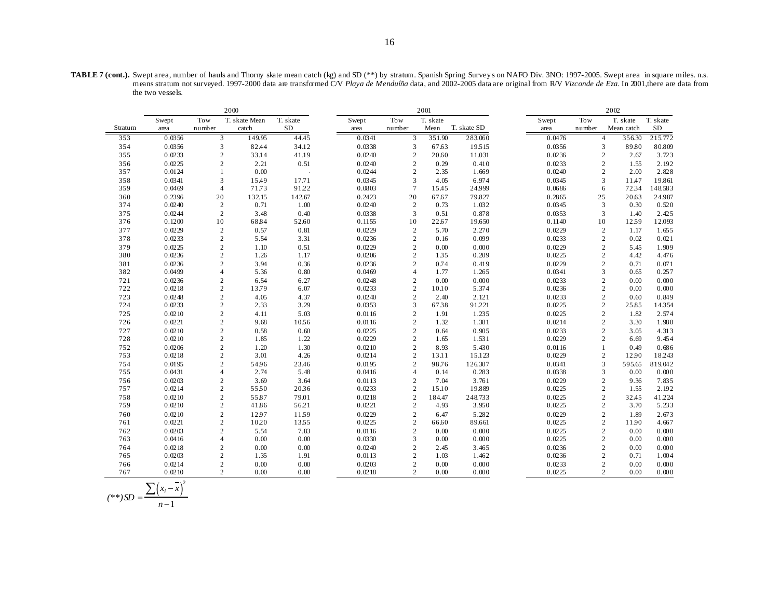**TABLE 7 (cont.).** Swept area, number of hauls and Thorny skate mean catch (kg) and SD (\*\*) by stratum. Spanish Spring Survey s on NAFO Div. 3NO: 1997-2005. Swept area in square miles. n.s. means stratum not surveyed. 1997-2000 data are transformed C/V *Playa de Menduíña* data, and 2002-2005 data are original from R/V *Vizconde de Eza*. In 2001,there are data from the two vessels.

|            |                  |                                  | 2000          |              |                  |                                  | 2001           |                 | 2002             |                                |               |                 |  |
|------------|------------------|----------------------------------|---------------|--------------|------------------|----------------------------------|----------------|-----------------|------------------|--------------------------------|---------------|-----------------|--|
|            | Swept            | Tow                              | T. skate Mean | T. skate     | Swept            | Tow                              | T. skate       |                 | Swept            | Tow                            | T. skate      | T. skate        |  |
| Stratum    | area             | number                           | catch         | <b>SD</b>    | area             | number                           | Mean           | T. skate SD     | area             | number                         | Mean catch    | SD              |  |
| 353        | 0.0356           | 3                                | 149.95        | 44.45        | 0.0341           | 3                                | 351.90         | 283.060         | 0.0476           | $\overline{4}$                 | 356.30        | 215.772         |  |
| 354        | 0.0356           | $\mathfrak{Z}$                   | 82.44         | 34.12        | 0.0338           | 3                                | 67.63          | 19515           | 0.0356           | $\mathfrak{Z}$                 | 89.80         | 80.809          |  |
| 355        | 0.0233           | $\overline{2}$                   | 33.14         | 41.19        | 0.0240           | $\overline{c}$                   | 20.60          | 11.031          | 0.0236           | $\overline{c}$                 | 2.67          | 3.723           |  |
| 356        | 0.0225           | $\overline{2}$                   | 2.21          | 0.51         | 0.0240           | $\mathbf{2}$                     | 0.29           | 0.410           | 0.0233           | $\mathbf{2}$                   | 1.55          | 2.192           |  |
| 357        | 0.0124           | $\mathbf{1}$                     | 0.00          |              | 0.0244           | $\overline{c}$                   | 2.35           | 1.669           | 0.0240           | 2                              | 2.00          | 2.828           |  |
| 358        | 0.0341           | 3                                | 15.49         | 17.71        | 0.0345           | 3                                | 4.05           | 6.974           | 0.0345           | 3                              | 11.47         | 19.861          |  |
| 359        | 0.0469           | $\overline{4}$                   | 71.73         | 91.22        | 0.0803           | $\tau$                           | 15.45          | 24.999          | 0.0686           | 6                              | 7234          | 148.583         |  |
| 360        | 0.2396           | 20                               | 132.15        | 142.67       | 0.2423           | 20                               | 67.67          | 79.827          | 0.2865           | 25                             | 20.63         | 24.987          |  |
| 374        | 0.0240           | 2                                | 0.71          | 1.00         | 0.0240           | 2                                | 0.73           | 1.032           | 0.0345           | 3                              | 0.30          | 0.520           |  |
| 375        | 0.0244           | $\overline{2}$                   | 3.48          | 0.40         | 0.0338           | 3                                | 0.51           | 0.878           | 0.0353           | $\overline{3}$                 | 1.40          | 2.425           |  |
| 376        | 0.1200           | 10                               | 68.84         | 52.60        | 0.1155           | 10                               | 22.67          | 19.650          | 0.1140           | 10                             | 1259          | 12.093          |  |
| 377        | 0.0229           | $\overline{2}$                   | 0.57          | 0.81         | 0.0229           | $\overline{c}$                   | 5.70           | 2.270           | 0.0229           | $\sqrt{2}$                     | 1.17          | 1.655           |  |
| 378        | 0.0233           | $\overline{c}$                   | 5.54          | 3.31         | 0.0236           | $\overline{c}$                   | 0.16           | 0.099           | 0.0233           | 2                              | 0.02          | 0.021           |  |
| 379        | 0.0225           | $\sqrt{2}$                       | 1.10          | 0.51         | 0.0229           | $\overline{c}$                   | 0.00           | 0.000           | 0.0229           | $\overline{2}$                 | 5.45          | 1.909           |  |
| 380        | 0.0236           | $\sqrt{2}$                       | 1.26          | 1.17         | 0.0206           | $\overline{c}$                   | 135            | 0.209           | 0.0225           | $\overline{2}$                 | 4.42          | 4.476           |  |
| 381        | 0.0236           | $\overline{2}$                   | 3.94          | 0.36         | 0.0236           | $\overline{c}$                   | 0.74           | 0.419           | 0.0229           | $\overline{2}$                 | 0.71          | 0.071           |  |
| 382        | 0.0499           | $\overline{4}$                   | 5.36          | 0.80         | 0.0469           | $\overline{4}$                   | 1.77           | 1.265           | 0.0341           | 3                              | 0.65          | 0.257           |  |
| 721        | 0.0236           | $\sqrt{2}$                       | 6.54          | 6.27         | 0.0248           | $\overline{c}$                   | 0.00           | 0.000           | 0.0233           | $\overline{2}$                 | 0.00          | 0.000           |  |
| 722        | 0.0218           | 2                                | 13.79         | 6.07         | 0.0233           | $\overline{c}$                   | 10.10          | 5.374           | 0.0236           | 2                              | 0.00          | 0.000           |  |
| 723        | 0.0248           | $\overline{2}$                   | 4.05          | 4.37         | 0.0240           | $\overline{2}$                   | 2.40           | 2.121           | 0.0233           | 2                              | 0.60          | 0.849           |  |
| 724        | 0.0233           | $\sqrt{2}$                       | 2.33          | 3.29         | 0.0353           | 3                                | 6738           | 91.221          | 0.0225           | 2                              | 25.85         | 14354           |  |
| 725        | 0.0210           | $\overline{2}$                   | 4.11          | 5.03         | 0.0116           | $\overline{2}$                   | 1.91           | 1.235           | 0.0225           | $\overline{2}$                 | 1.82          | 2.574           |  |
| 726        | 0.0221           | $\sqrt{2}$                       | 9.68          | 1056         | 0.0116           | $\overline{c}$                   | 1.32           | 1.381           | 0.0214           | $\overline{2}$                 | 3.30          | 1.980           |  |
| 727        | 0.0210           | $\sqrt{2}$                       | 0.58          | 0.60         | 0.0225           | $\overline{c}$                   | 0.64           | 0.905           | 0.0233           | $\overline{2}$                 | 3.05          | 4.313           |  |
| 728        | 0.0210           | $\overline{2}$                   | 1.85          | 1.22         | 0.0229           | $\overline{2}$                   | 1.65           | 1.531           | 0.0229           | $\overline{2}$                 | 6.69          | 9.454           |  |
| 752        | 0.0206           | $\overline{c}$                   | 1.20          | 1.30         | 0.0210           | $\overline{c}$                   | 8.93           | 5.430           | 0.0116           | $\mathbf{1}$                   | 0.49          | 0.686           |  |
| 753        | 0.0218           | $\overline{2}$                   | 3.01          | 4.26         | 0.0214           | $\overline{c}$                   | 13.11          | 15.123          | 0.0229           | 2                              | 12.90         | 18.243          |  |
| 754        | 0.0195           | $\overline{2}$                   | 54.96         | 23.46        | 0.0195           | $\overline{c}$<br>$\overline{4}$ | 98.76          | 126.307         | 0.0341           | 3                              | 595.65        | 819.042         |  |
| 755        | 0.0431           | $\overline{4}$                   | 2.74          | 5.48         | 0.0416           |                                  | 0.14           | 0.283           | 0.0338           | 3                              | 0.00          | 0.000           |  |
| 756<br>757 | 0.0203<br>0.0214 | $\overline{c}$<br>$\overline{c}$ | 3.69<br>5550  | 3.64<br>2036 | 0.0113<br>0.0233 | $\mathbf{2}$<br>$\overline{c}$   | 7.04<br>15.10  | 3.761<br>19.889 | 0.0229<br>0.0225 | $\overline{c}$<br>$\mathbf{2}$ | 9.36<br>1.55  | 7.835<br>2.192  |  |
| 758        | 0.0210           | $\overline{2}$                   | 55.87         | 79.01        | 0.0218           |                                  |                | 248.733         | 0.0225           | $\overline{2}$                 |               |                 |  |
| 759        | 0.0210           | $\overline{c}$                   | 41.86         | 5621         | 0.0221           | $\mathbf{2}$<br>$\mathfrak{2}$   | 184.47<br>4.93 | 3.950           | 0.0225           | 2                              | 32.45<br>3.70 | 41.224<br>5.233 |  |
| 760        | 0.0210           |                                  | 12.97         | 1159         | 0.0229           | $\mathbf{2}$                     |                | 5.282           | 0.0229           | $\overline{2}$                 | 1.89          | 2.673           |  |
| 761        | 0.0221           | $\sqrt{2}$<br>$\overline{2}$     | 10.20         | 1355         | 0.0225           | $\overline{c}$                   | 6.47<br>66.60  | 89.661          | 0.0225           | $\mathbf{2}$                   | 11.90         | 4.667           |  |
| 762        | 0.0203           | $\overline{c}$                   | 5.54          | 7.83         | 0.0116           | $\overline{c}$                   | 0.00           | 0.000           | 0.0225           | $\overline{c}$                 | 0.00          | 0.000           |  |
| 763        | 0.0416           | $\overline{4}$                   | 0.00          | 0.00         | 0.0330           | 3                                | 0.00           | 0.000           | 0.0225           | $\sqrt{2}$                     | 0.00          | 0.000           |  |
| 764        | 0.0218           | $\overline{2}$                   | 0.00          | 0.00         | 0.0240           | $\overline{c}$                   | 2.45           | 3.465           | 0.0236           | $\overline{2}$                 | 0.00          | 0.000           |  |
| 765        | 0.0203           | $\overline{2}$                   | 1.35          | 1.91         | 0.0113           | $\overline{2}$                   | 1.03           | 1.462           | 0.0236           | $\overline{2}$                 | 0.71          | 1.004           |  |
| 766        | 0.0214           | $\overline{c}$                   | 0.00          | 0.00         | 0.0203           | $\mathbf{2}$                     | 0.00           | 0.000           | 0.0233           | $\mathbf{2}$                   | 0.00          | 0.000           |  |
| 767        | 0.0210           | $\overline{c}$                   | 0.00          | 0.00         | 0.0218           | $\overline{2}$                   | 0.00           | 0.000           | 0.0225           | $\overline{c}$                 | 0.00          | 0.000           |  |
|            |                  |                                  |               |              |                  |                                  |                |                 |                  |                                |               |                 |  |

$$
(**)SD = \frac{\sum (x_i - \overline{x})^2}{n-1}
$$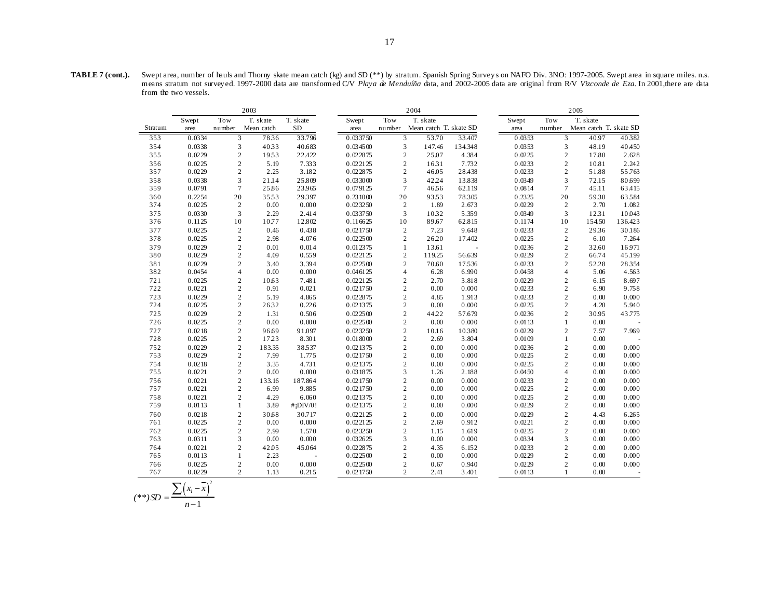**TABLE 7 (cont.).** Swept area, number of hauls and Thorny skate mean catch (kg) and SD (\*\*) by stratum. Spanish Spring Survey s on NAFO Div. 3NO: 1997-2005. Swept area in square miles. n.s. means stratum not survey ed. 1997-2000 data are transformed C/V *Playa de Menduíña* data, and 2002-2005 data are original from R/V *Vizconde de Eza*. In 2001,there are data from the two vessels.

|         |        |                | 2003                   |                         |          |                                  | 2004                   |                |                  | 2005           |                        |         |  |  |
|---------|--------|----------------|------------------------|-------------------------|----------|----------------------------------|------------------------|----------------|------------------|----------------|------------------------|---------|--|--|
|         | Swept  | Tow            | T. skate               | T. skate                | Swept    | Tow                              | T. skate               |                | Swept            | Tow            | T. skate               |         |  |  |
| Stratum | area   | number         | Mean catch             | <b>SD</b>               | area     | number                           | Mean catch T. skate SD |                | area             | number         | Mean catch T. skate SD |         |  |  |
| 353     | 0.0334 | 3              | 7836                   | 33.796                  | 0.033750 | 3                                | 53.70                  | 33.407         | 0.0353           | 3              | 40.97                  | 40382   |  |  |
| 354     | 0.0338 | 3              | 4033                   | 40.683                  | 0.034500 | $\mathfrak{Z}$                   | 147.46                 | 134.348        | 0.0353           | 3              | 48.19                  | 40.450  |  |  |
| 355     | 0.0229 | $\overline{c}$ | 1953                   | 22.422                  | 0.022875 | $\overline{2}$                   | 25.07                  | 4.384          | 0.0225           | $\mathbf{2}$   | 17.80                  | 2.628   |  |  |
| 356     | 0.0225 | $\overline{c}$ | 5.19                   | 7.333                   | 0.022125 | $\overline{2}$                   | 1631                   | 7.732          | 0.0233           | $\overline{c}$ | 10.81                  | 2.242   |  |  |
| 357     | 0.0229 | $\overline{c}$ | 2.25                   | 3.182                   | 0.022875 | $\overline{c}$                   | 46.05                  | 28.438         | 0.0233           | $\overline{c}$ | 51.88                  | 55.763  |  |  |
| 358     | 0.0338 | 3              | 21.14                  | 25.809                  | 0.033000 | $\overline{3}$                   | 42.24                  | 13.838         | 0.0349           | 3              | 72.15                  | 80.699  |  |  |
| 359     | 0.0791 | $\overline{7}$ | 25.86                  | 23965                   | 0.079125 | $\overline{7}$                   | 4656                   | 62.119         | 0.0814           | $\overline{7}$ | 45.11                  | 63.415  |  |  |
| 360     | 0.2254 | 20             | 3553                   | 29397                   | 0.231000 | 20                               | 9353                   | 78305          | 0.2325           | 20             | 5930                   | 63584   |  |  |
| 374     | 0.0225 | $\overline{2}$ | 0.00                   | 0.000                   | 0.023250 | $\overline{c}$                   | 1.89                   | 2.673          | 0.0229           | $\mathbf{2}$   | 2.70                   | 1.082   |  |  |
| 375     | 0.0330 | 3              | 2.29                   | 2.414                   | 0.033750 | 3                                | 1032                   | 5.359          | 0.0349           | 3              | 1231                   | 10.043  |  |  |
| 376     | 0.1125 | 10             | 10.77                  | 12.802                  | 0.116625 | 10                               | 89.67                  | 62.815         | 0.1174           | 10             | 154.50                 | 136.423 |  |  |
| 377     | 0.0225 | $\sqrt{2}$     | 0.46                   | 0.438                   | 0.021750 | $\sqrt{2}$                       | 7.23                   | 9.648          | 0.0233           | $\sqrt{2}$     | 2936                   | 30.186  |  |  |
| 378     | 0.0225 | $\overline{c}$ | 2.98                   | 4.076                   | 0.022500 | $\sqrt{2}$                       | 26.20                  | 17.402         | 0.0225           | $\sqrt{2}$     | 6.10                   | 7.264   |  |  |
| 379     | 0.0229 | $\overline{c}$ | 0.01                   | 0.014                   | 0.012375 | $\mathbf{1}$                     | 13.61                  | $\overline{a}$ | 0.0236           | $\overline{c}$ | 32.60                  | 16.971  |  |  |
| 380     | 0.0229 | $\overline{c}$ | 4.09                   | 0.559                   | 0.022125 | $\sqrt{2}$                       | 119.25                 | 56.639         | 0.0229           | $\overline{c}$ | 66.74                  | 45.199  |  |  |
| 381     | 0.0229 | $\overline{c}$ | 3.40                   | 3.394                   | 0.022500 | $\overline{c}$                   | 70.60                  | 17536          | 0.0233           | $\overline{c}$ | 52.28                  | 28354   |  |  |
| 382     | 0.0454 | $\overline{4}$ | 0.00                   | 0.000                   | 0.046125 | $\overline{4}$                   | 6.28                   | 6.990          | 0.0458           | $\overline{4}$ | 5.06                   | 4.563   |  |  |
| 721     | 0.0225 | $\overline{c}$ | 10.63                  | 7.481                   | 0.022125 | $\sqrt{2}$                       | 2.70                   | 3.818          | 0.0229           | $\mathbf{2}$   | 6.15                   | 8.697   |  |  |
| 722     | 0.0221 | $\overline{c}$ | 0.91                   | 0.021                   | 0.021750 | $\overline{c}$                   | 0.00                   | 0.000          | 0.0233           | $\overline{c}$ | 6.90                   | 9.758   |  |  |
| 723     | 0.0229 | $\overline{c}$ | 5.19                   | 4.865                   | 0.022875 | $\sqrt{2}$                       | 4.85                   | 1.913          | 0.0233           | $\overline{c}$ | 0.00                   | 0.000   |  |  |
| 724     | 0.0225 | $\overline{c}$ | 2632                   | 0.226                   | 0.021375 | $\sqrt{2}$                       | 0.00                   | 0.000          | 0.0225           | $\overline{c}$ | 4.20                   | 5.940   |  |  |
| 725     | 0.0229 | $\overline{c}$ | 1.31                   | 0.506                   | 0.022500 | $\overline{c}$                   | 44.22                  | 57.679         | 0.0236           | $\overline{c}$ | 30.95                  | 43.775  |  |  |
| 726     | 0.0225 | $\overline{c}$ | 0.00                   | 0.000                   | 0.022500 | $\overline{c}$                   | 0.00                   | 0.000          | 0.0113           | $\mathbf{1}$   | 0.00                   |         |  |  |
| 727     | 0.0218 | $\overline{c}$ | 96.69                  | 91.097                  | 0.023250 | $\overline{c}$                   | 10.16                  | 10380          | 0.0229           | $\overline{c}$ | 7.57                   | 7.969   |  |  |
| 728     | 0.0225 | $\overline{c}$ | 17.23                  | 8.301                   | 0.018000 | $\sqrt{2}$                       | 2.69                   | 3.804          | 0.0109           | $\mathbf{1}$   | 0.00                   |         |  |  |
| 752     | 0.0229 | $\overline{c}$ | 183.35                 | 38537                   | 0.021375 | $\sqrt{2}$                       | 0.00                   | 0.000          | 0.0236           | $\sqrt{2}$     | 0.00                   | 0.000   |  |  |
| 753     | 0.0229 | $\overline{c}$ | 7.99                   | 1.775                   | 0.021750 | $\sqrt{2}$                       | 0.00                   | 0.000          | 0.0225           | $\mathbf{2}$   | 0.00                   | 0.000   |  |  |
| 754     | 0.0218 | $\overline{c}$ | 3.35                   | 4.731                   | 0.021375 | $\overline{c}$                   | 0.00                   | 0.000          | 0.0225           | $\overline{c}$ | 0.00                   | 0.000   |  |  |
| 755     | 0.0221 | $\overline{c}$ | 0.00                   | 0.000                   | 0.031875 | 3                                | 1.26                   | 2.188          | 0.0450           | $\overline{4}$ | 0.00                   | 0.000   |  |  |
| 756     | 0.0221 | $\overline{c}$ | 133.16                 | 187.864                 | 0.021750 | $\overline{c}$                   | 0.00                   | 0.000          | 0.0233           | $\overline{c}$ | 0.00                   | 0.000   |  |  |
| 757     | 0.0221 | $\overline{c}$ | 6.99                   | 9.885                   | 0.021750 | $\sqrt{2}$                       | 0.00                   | 0.000          | 0.0225           | $\overline{c}$ | 0.00                   | 0.000   |  |  |
| 758     | 0.0221 | $\overline{c}$ | 4.29                   | 6.060                   | 0.021375 | $\overline{c}$                   | 0.00                   | 0.000          | 0.0225           | $\overline{c}$ | 0.00                   | 0.000   |  |  |
| 759     | 0.0113 | $\mathbf{1}$   | 3.89                   | $#$ <sub>i</sub> DIV/0! | 0.021375 | $\overline{c}$                   | 0.00                   | 0.000          | 0.0229           | $\overline{c}$ | 0.00                   | 0.000   |  |  |
| 760     | 0.0218 | $\overline{c}$ | 30.68                  | 30.717                  | 0.022125 | $\sqrt{2}$                       | 0.00                   | 0.000          | 0.0229           | $\overline{c}$ | 4.43                   | 6.265   |  |  |
| 761     | 0.0225 | $\overline{c}$ | 0.00                   | 0.000                   | 0.022125 | $\sqrt{2}$                       | 2.69                   | 0.912          | 0.0221           | $\overline{c}$ | 0.00                   | 0.000   |  |  |
| 762     | 0.0225 | $\overline{c}$ | 2.99                   | 1.570                   | 0.023250 | $\overline{c}$                   | 1.15                   | 1.619          | 0.0225           | $\overline{c}$ | 0.00                   | 0.000   |  |  |
| 763     | 0.0311 | 3              | 0.00                   | 0.000                   | 0.032625 | 3                                | 0.00                   | 0.000          | 0.0334           | 3              | 0.00                   | 0.000   |  |  |
| 764     | 0.0221 | $\overline{2}$ | 42.05                  | 45.064                  | 0.022875 | $\sqrt{2}$<br>$\overline{c}$     | 4.35                   | 6.152          | 0.0233<br>0.0229 | $\overline{c}$ | 0.00                   | 0.000   |  |  |
| 765     | 0.0113 | $\mathbf{1}$   | 2.23                   |                         | 0.022500 |                                  | 0.00                   | 0.000          |                  | $\mathbf{2}$   | 0.00                   | 0.000   |  |  |
| 766     | 0.0225 | $\overline{c}$ | 0.00<br>$\overline{c}$ | 0.000<br>0.215          | 0.022500 | $\overline{2}$<br>$\overline{c}$ | 0.67                   | 0.940          | 0.0229           | $\overline{2}$ | 0.00                   | 0.000   |  |  |
| 767     | 0.0229 |                | 1.13                   |                         | 0.021750 |                                  | 2.41                   | 3.401          | 0.0113           | $\mathbf{1}$   | 0.00                   |         |  |  |

$$
(**)SD = \frac{\sum (x_i - \overline{x})^2}{n-1}
$$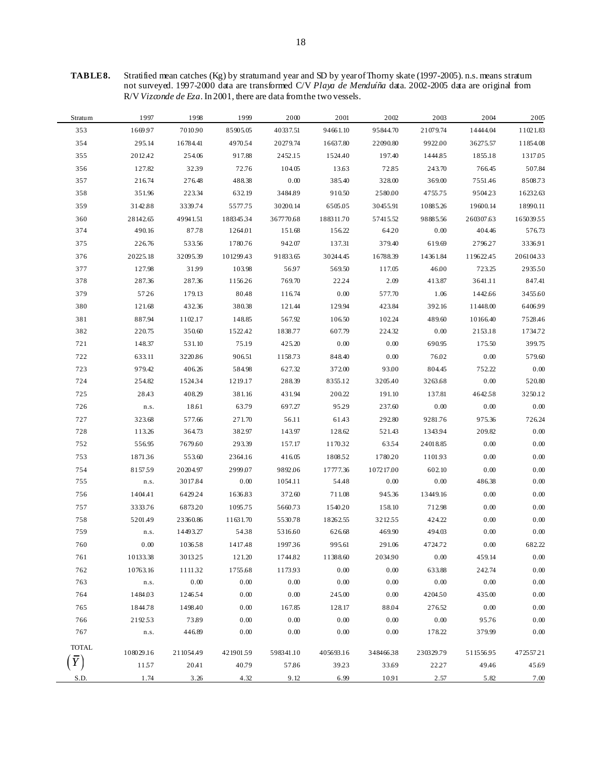**TABLE 8.** Stratified mean catches (Kg) by stratum and year and SD by year of Thorny skate (1997-2005). n.s. means stratum not surveyed. 1997-2000 data are transformed C/V *Playa de Menduíña* data. 2002-2005 data are original from R/V *Vizconde de Eza*. In 2001, there are data from the two vessels.

| Stratum      | 1997      | 1998      | 1999      | 2000      | 2001      | 2002      | 2003      | 2004      | 2005     |
|--------------|-----------|-----------|-----------|-----------|-----------|-----------|-----------|-----------|----------|
| 353          | 1669.97   | 7010.90   | 85905.05  | 40337.51  | 94661.10  | 95844.70  | 21079.74  | 14444.04  | 11021.83 |
| 354          | 295.14    | 16784.41  | 4970.54   | 20279.74  | 16637.80  | 22090.80  | 9922.00   | 36275.57  | 11854.08 |
| 355          | 2012.42   | 254.06    | 917.88    | 2452.15   | 1524.40   | 197.40    | 1444.85   | 1855.18   | 1317.05  |
| 356          | 127.82    | 3239      | 72.76     | 104.05    | 13.63     | 72.85     | 243.70    | 766.45    | 507.84   |
| 357          | 216.74    | 276.48    | 488.38    | 0.00      | 385.40    | 328.00    | 369.00    | 7551.46   | 8508.73  |
| 358          | 351.96    | 223.34    | 632.19    | 3484.89   | 910.50    | 2580.00   | 4755.75   | 9504.23   | 16232.63 |
| 359          | 3142.88   | 3339.74   | 5577.75   | 30200.14  | 6505.05   | 30455.91  | 10885.26  | 19600.14  | 18990.11 |
| 360          | 28142.65  | 49941.51  | 18834534  | 367770.68 | 188311.70 | 57415.52  | 98885.56  | 260307.63 | 16503955 |
| 374          | 490.16    | 87.78     | 1264.01   | 151.68    | 156.22    | 64.20     | 0.00      | 404.46    | 576.73   |
| 375          | 226.76    | 533.56    | 1780.76   | 942.07    | 137.31    | 379.40    | 619.69    | 2796.27   | 3336.91  |
| 376          | 20225.18  | 32095.39  | 101299.43 | 91833.65  | 30244.45  | 16788.39  | 14361.84  | 119622.45 | 20610433 |
| 377          | 127.98    | 31.99     | 103.98    | 56.97     | 569.50    | 117.05    | 46.00     | 723.25    | 293550   |
| 378          | 287.36    | 287.36    | 1156.26   | 769.70    | 22.24     | 2.09      | 413.87    | 3641.11   | 847.41   |
| 379          | 57.26     | 179.13    | 80.48     | 116.74    | 0.00      | 577.70    | 1.06      | 1442.66   | 3455.60  |
| 380          | 121.68    | 432.36    | 380.38    | 121.44    | 129.94    | 423.84    | 392.16    | 11448.00  | 6406.99  |
| 381          | 887.94    | 1102.17   | 148.85    | 567.92    | 106.50    | 102.24    | 489.60    | 10166.40  | 7528.46  |
| 382          | 220.75    | 350.60    | 1522.42   | 1838.77   | 607.79    | 224.32    | 0.00      | 2153.18   | 1734.72  |
| 721          | 148.37    | 531.10    | 75.19     | 425.20    | 0.00      | 0.00      | 690.95    | 175.50    | 399.75   |
| 722          | 633.11    | 3220.86   | 906.51    | 1158.73   | 848.40    | 0.00      | 76.02     | 0.00      | 579.60   |
| 723          | 979.42    | 406.26    | 584.98    | 627.32    | 372.00    | 93.00     | 804.45    | 752.22    | 0.00     |
| 724          | 254.82    | 1524.34   | 1219.17   | 288.39    | 8355.12   | 3205.40   | 3263.68   | 0.00      | 520.80   |
| 725          | 28.43     | 408.29    | 381.16    | 431.94    | 200.22    | 191.10    | 137.81    | 4642.58   | 3250.12  |
| 726          | n.s.      | 18.61     | 63.79     | 697.27    | 95.29     | 237.60    | 0.00      | 0.00      | 0.00     |
| 727          | 323.68    | 577.66    | 271.70    | 56.11     | 61.43     | 292.80    | 9281.76   | 975.36    | 726.24   |
| 728          | 113.26    | 364.73    | 382.97    | 143.97    | 128.62    | 521.43    | 1343.94   | 209.82    | 0.00     |
| 752          | 556.95    | 7679.60   | 293.39    | 157.17    | 1170.32   | 6354      | 24018.85  | 0.00      | 0.00     |
| 753          | 187136    | 553.60    | 2364.16   | 416.05    | 180852    | 1780.20   | 110193    | 0.00      | 0.00     |
| 754          | 815759    | 20204.97  | 2999.07   | 9892.06   | 17777.36  | 107217.00 | 602.10    | 0.00      | 0.00     |
| 755          | n.s.      | 3017.84   | 0.00      | 1054.11   | 54.48     | 0.00      | 0.00      | 486.38    | 0.00     |
| 756          | 1404.41   | 6429.24   | 1636.83   | 372.60    | 711.08    | 945.36    | 13449.16  | 0.00      | 0.00     |
| 757          | 3333.76   | 6873.20   | 1095.75   | 5660.73   | 1540.20   | 158.10    | 712.98    | 0.00      | 0.00     |
| 758          | 5201.49   | 23360.86  | 11631.70  | 5530.78   | 18262.55  | 321255    | 424.22    | 0.00      | 0.00     |
| 759          | n.s.      | 14493.27  | 5438      | 5316.60   | 626.68    | 469.90    | 494.03    | 0.00      | 0.00     |
| 760          | 0.00      | 103658    | 1417.48   | 199736    | 995.61    | 291.06    | 4724.72   | 0.00      | 682.22   |
| 761          | 10133.38  | 301325    | 121.20    | 1744.82   | 11388.60  | 2034.90   | 0.00      | 459.14    | 0.00     |
| 762          | 10763.16  | 111132    | 1755.68   | 1173.93   | $0.00\,$  | 0.00      | 633.88    | 242.74    | 0.00     |
| 763          | n.s.      | 0.00      | $0.00\,$  | 0.00      | 0.00      | $0.00\,$  | 0.00      | 0.00      | 0.00     |
| 764          | 1484.03   | 124654    | 0.00      | 0.00      | 245.00    | 0.00      | 4204.50   | 435.00    | 0.00     |
| 765          | 1844.78   | 1498.40   | 0.00      | 167.85    | 128.17    | 88.04     | 276.52    | 0.00      | 0.00     |
| 766          | 219253    | 73.89     | $0.00\,$  | 0.00      | $0.00\,$  | 0.00      | 0.00      | 95.76     | 0.00     |
| 767          | n.s.      | 446.89    | 0.00      | 0.00      | 0.00      | 0.00      | 178.22    | 379.99    | 0.00     |
| <b>TOTAL</b> |           |           |           |           |           |           |           |           |          |
|              | 108029.16 | 211054.49 | 42190159  | 598341.10 | 405693.16 | 34846638  | 230329.79 | 51155695  | 47255721 |
|              | 11.57     | 20.41     | 40.79     | 57.86     | 39.23     | 33.69     | 22.27     | 49.46     | 45.69    |
| S.D.         | 1.74      | 3.26      | 4.32      | 9.12      | 6.99      | 10.91     | 2.57      | 5.82      | 7.00     |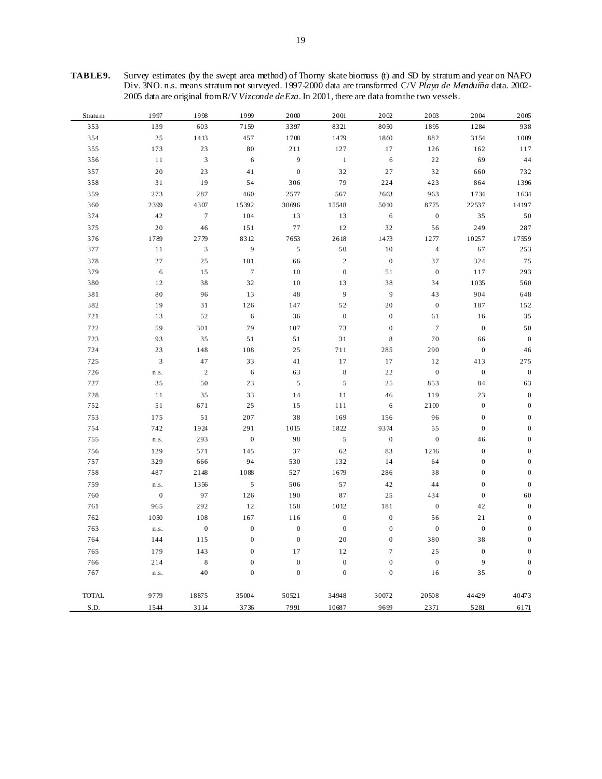| TABLE9. | Survey estimates (by the swept area method) of Thorny skate biomass (t) and SD by stratum and year on NAFO  |
|---------|-------------------------------------------------------------------------------------------------------------|
|         | Div. 3NO. n.s. means stratum not surveyed. 1997-2000 data are transformed C/V Playa de Menduíña data. 2002- |
|         | 2005 data are original from R/V Vizconde de Eza. In 2001, there are data from the two vessels.              |

| Stratum      | 1997           | 1998                        | 1999             | 2000             | 2001             | 2002             | 2003             | 2004             | 2005             |
|--------------|----------------|-----------------------------|------------------|------------------|------------------|------------------|------------------|------------------|------------------|
| 353          | 139            | 603                         | 7159             | 3397             | 8321             | 8050             | 1895             | 1284             | 938              |
| 354          | $2\sqrt{5}$    | 1413                        | 457              | 1708             | 1479             | 1860             | 882              | 3154             | 1009             |
| 355          | 173            | 23                          | 80               | 211              | 127              | 17               | 126              | 162              | 117              |
| 356          | $1\,1$         | $\ensuremath{\mathfrak{Z}}$ | $\,$ 6 $\,$      | $\boldsymbol{9}$ | $\,1\,$          | $\,$ 6 $\,$      | 22               | 69               | 44               |
| 357          | 20             | 23                          | 41               | $\boldsymbol{0}$ | 32               | 27               | 32               | 660              | 732              |
| 358          | $3\sqrt{1}$    | 19                          | 54               | 306              | 79               | 224              | 423              | 864              | 1396             |
| 359          | 273            | 287                         | 460              | 2577             | 567              | 2663             | 963              | 1734             | 1634             |
| 360          | 2399           | 4307                        | 15392            | 30696            | 15548            | 5010             | 8775             | 22537            | 14197            |
| 374          | 42             | $\boldsymbol{7}$            | 104              | 13               | 13               | $\sqrt{6}$       | $\boldsymbol{0}$ | 35               | 50               |
| 375          | 20             | 46                          | 151              | 77               | 12               | 32               | 56               | 249              | 287              |
| 376          | 1789           | 2779                        | 8312             | 7653             | 2618             | 1473             | 1277             | 10257            | 17559            |
| 377          | $1\,1$         | $\mathfrak{Z}$              | 9                | $\sqrt{5}$       | $50\,$           | $1\,0$           | $\overline{4}$   | 67               | 253              |
| 378          | 27             | 25                          | 101              | 66               | $\sqrt{2}$       | $\boldsymbol{0}$ | 37               | 324              | 75               |
| 379          | $\sqrt{6}$     | 15                          | $\boldsymbol{7}$ | 10               | $\boldsymbol{0}$ | 51               | $\mathbf{0}$     | 117              | 293              |
| 380          | 12             | 38                          | 32               | 10               | 13               | 38               | 34               | 1035             | 560              |
| 381          | 80             | 96                          | 13               | 48               | $\overline{9}$   | 9                | 43               | 904              | 648              |
| 382          | 19             | 31                          | 126              | 147              | 52               | $20\,$           | $\boldsymbol{0}$ | 187              | 152              |
| 721          | 13             | 52                          | $\sqrt{6}$       | 36               | $\boldsymbol{0}$ | $\boldsymbol{0}$ | 61               | 16               | 35               |
| 722          | 59             | 301                         | 79               | 107              | 73               | $\boldsymbol{0}$ | $\boldsymbol{7}$ | $\boldsymbol{0}$ | 50               |
| 723          | 93             | 35                          | 51               | 51               | 31               | $\,8\,$          | $70\,$           | 66               | $\boldsymbol{0}$ |
| 724          | 23             | 148                         | 108              | 25               | 711              | 285              | 290              | $\mathbf{0}$     | $46\,$           |
| 725          | 3              | 47                          | 33               | 41               | $17$             | 17               | 12               | 413              | 275              |
| 726          | n.s.           | $\sqrt{2}$                  | $\sqrt{6}$       | 63               | $\,$ 8 $\,$      | $2\sqrt{2}$      | $\boldsymbol{0}$ | $\mathbf{0}$     | $\boldsymbol{0}$ |
| 727          | 35             | 50                          | 23               | $\sqrt{5}$       | $\mathfrak s$    | 25               | 853              | 84               | 63               |
| 728          | 11             | 35                          | 33               | 14               | $11\,$           | 46               | 119              | 23               | $\boldsymbol{0}$ |
| 752          | 51             | 671                         | 25               | 15               | 111              | 6                | 2100             | $\boldsymbol{0}$ | $\boldsymbol{0}$ |
| 753          | 175            | 51                          | 207              | 38               | 169              | 156              | 96               | $\overline{0}$   | $\boldsymbol{0}$ |
| 754          | 742            | 1924                        | 291              | 1015             | 1822             | 9374             | 55               | $\boldsymbol{0}$ | $\boldsymbol{0}$ |
| 755          | n.s.           | 293                         | $\boldsymbol{0}$ | 98               | $\mathfrak s$    | $\boldsymbol{0}$ | $\boldsymbol{0}$ | 46               | $\boldsymbol{0}$ |
| 756          | 129            | 571                         | 145              | 37               | 62               | 83               | 1216             | $\boldsymbol{0}$ | $\boldsymbol{0}$ |
| 757          | 329            | 666                         | 94               | 530              | 132              | 14               | 64               | $\boldsymbol{0}$ | $\boldsymbol{0}$ |
| 758          | 487            | 2148                        | 1088             | 527              | 1679             | 286              | 38               | $\boldsymbol{0}$ | $\boldsymbol{0}$ |
| 759          | n.s.           | 1356                        | 5                | 506              | 57               | 42               | 44               | $\overline{0}$   | $\boldsymbol{0}$ |
| 760          | $\overline{0}$ | 97                          | 126              | 190              | $\bf 87$         | 25               | 434              | $\mathbf{0}$     | 60               |
| 761          | 965            | 292                         | 12               | 158              | 1012             | 181              | $\boldsymbol{0}$ | 42               | $\boldsymbol{0}$ |
| 762          | 1050           | 108                         | 167              | 116              | $\boldsymbol{0}$ | $\boldsymbol{0}$ | 56               | $2\sqrt{1}$      | $\boldsymbol{0}$ |
| 763          | n.s.           | $\boldsymbol{0}$            | $\boldsymbol{0}$ | $\boldsymbol{0}$ | $\boldsymbol{0}$ | $\boldsymbol{0}$ | $\boldsymbol{0}$ | $\boldsymbol{0}$ | $\boldsymbol{0}$ |
| 764          | 144            | 115                         | $\boldsymbol{0}$ | $\mathbf{0}$     | $20\,$           | $\boldsymbol{0}$ | 380              | 38               | $\boldsymbol{0}$ |
| 765          | 179            | 143                         | $\boldsymbol{0}$ | 17               | 12               | $\boldsymbol{7}$ | 25               | $\boldsymbol{0}$ | $\boldsymbol{0}$ |
| 766          | 214            | $\,8\,$                     | $\boldsymbol{0}$ | $\boldsymbol{0}$ | $\mathbf{0}$     | $\boldsymbol{0}$ | $\boldsymbol{0}$ | 9                | $\mathbf{0}$     |
| 767          | n.s.           | 40                          | $\boldsymbol{0}$ | $\boldsymbol{0}$ | $\boldsymbol{0}$ | $\boldsymbol{0}$ | 16               | 35               | $\boldsymbol{0}$ |
| <b>TOTAL</b> | 9779           | 18875                       | 35004            | 50521            | 34948            | 30072            | 20508            | 44429            | 40473            |
| S.D.         | 1544           | 3114                        | 3736             | 7991             | 10687            | 9699             | 2371             | 5281             | 6171             |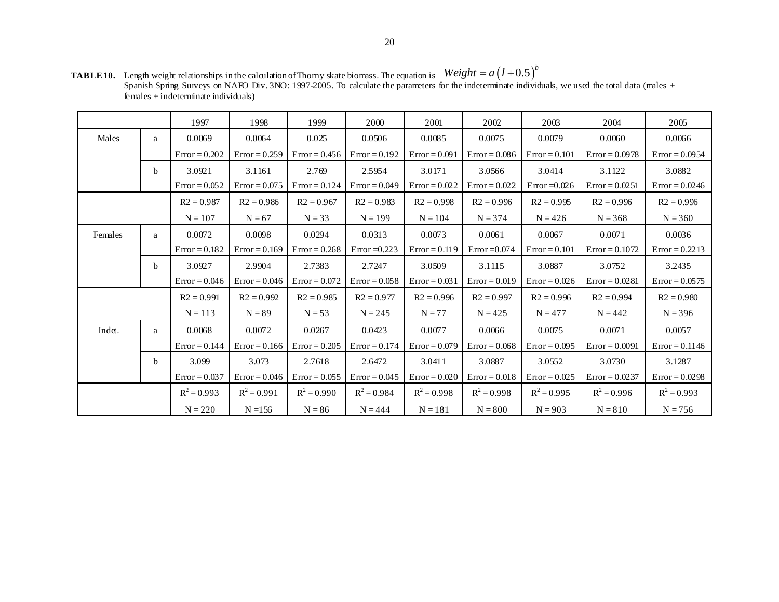| <b>TABLE10.</b> Length weight relationships in the calculation of Thorny skate biomass. The equation is $Weight = a(l+0.5)^{\nu}$                    |
|------------------------------------------------------------------------------------------------------------------------------------------------------|
| Spanish Spring Surveys on NAFO Div. 3NO: 1997-2005. To calculate the parameters for the indeterminate individuals, we used the total data (males $+$ |
| females $+$ indeterminate individuals)                                                                                                               |

|         |              | 1997            | 1998            | 1999            | 2000            | 2001                   | 2002            | 2003            | 2004             | 2005             |
|---------|--------------|-----------------|-----------------|-----------------|-----------------|------------------------|-----------------|-----------------|------------------|------------------|
| Males   | a            | 0.0069          | 0.0064          | 0.025           | 0.0506          | 0.0085                 | 0.0075          | 0.0079          | 0.0060           | 0.0066           |
|         |              | $Error = 0.202$ | $Error = 0.259$ | $Error = 0.456$ | $Error = 0.192$ | $Error = 0.091$        | $Error = 0.086$ | $Error = 0.101$ | $Error = 0.0978$ | $Error = 0.0954$ |
|         | <sub>b</sub> | 3.0921          | 3.1161          | 2.769           | 2.5954          | 3.0171                 | 3.0566          | 3.0414          | 3.1122           | 3.0882           |
|         |              | $Error = 0.052$ | $Error = 0.075$ | $Error = 0.124$ | $Error = 0.049$ | $Error = 0.022$        | $Error = 0.022$ | Error $=0.026$  | $Error = 0.0251$ | $Error = 0.0246$ |
|         |              | $R2 = 0.987$    | $R2 = 0.986$    | $R2 = 0.967$    | $R2 = 0.983$    | $R2 = 0.998$           | $R2 = 0.996$    | $R2 = 0.995$    | $R2 = 0.996$     | $R2 = 0.996$     |
|         |              | $N = 107$       | $N = 67$        | $N = 33$        | $N = 199$       | $N = 374$<br>$N = 104$ |                 | $N = 426$       | $N = 368$        | $N = 360$        |
| Females | a            | 0.0072          | 0.0098          | 0.0294          | 0.0313          | 0.0073                 | 0.0061          | 0.0067          | 0.0071           | 0.0036           |
|         |              | $Error = 0.182$ | $Error = 0.169$ | $Error = 0.268$ | Error $=0.223$  | $Error = 0.119$        | $Error = 0.074$ | $Error = 0.101$ | $Error = 0.1072$ | $Error = 0.2213$ |
|         | <sub>b</sub> | 3.0927          | 2.9904          | 2.7383          | 2.7247          | 3.0509                 | 3.1115          | 3.0887          | 3.0752           | 3.2435           |
|         |              | $Error = 0.046$ | $Error = 0.046$ | $Error = 0.072$ | $Error = 0.058$ | $Error = 0.031$        | $Error = 0.019$ | $Error = 0.026$ | $Error = 0.0281$ | $Error = 0.0575$ |
|         |              | $R2 = 0.991$    | $R2 = 0.992$    | $R2 = 0.985$    | $R2 = 0.977$    | $R2 = 0.996$           | $R2 = 0.997$    | $R2 = 0.996$    | $R2 = 0.994$     | $R2 = 0.980$     |
|         |              | $N = 113$       | $N = 89$        | $N = 53$        | $N = 245$       | $N = 77$               | $N = 425$       | $N = 477$       | $N = 442$        | $N = 396$        |
| Indet.  | a            | 0.0068          | 0.0072          | 0.0267          | 0.0423          | 0.0077                 | 0.0066          | 0.0075          | 0.0071           | 0.0057           |
|         |              | $Error = 0.144$ | $Error = 0.166$ | $Error = 0.205$ | $Error = 0.174$ | $Error = 0.079$        | $Error = 0.068$ | $Error = 0.095$ | $Error = 0.0091$ | $Error = 0.1146$ |
|         | b            | 3.099           | 3.073           | 2.7618          | 2.6472          | 3.0411                 | 3.0887          | 3.0552          | 3.0730           | 3.1287           |
|         |              | $Error = 0.037$ | $Error = 0.046$ | $Error = 0.055$ | $Error = 0.045$ | $Error = 0.020$        | $Error = 0.018$ | $Error = 0.025$ | $Error = 0.0237$ | $Error = 0.0298$ |
|         |              | $R^2 = 0.993$   | $R^2 = 0.991$   | $R^2 = 0.990$   | $R^2 = 0.984$   | $R^2 = 0.998$          | $R^2 = 0.998$   | $R^2 = 0.995$   | $R^2 = 0.996$    | $R^2 = 0.993$    |
|         |              | $N = 220$       | $N = 156$       | $N = 86$        | $N = 444$       | $N = 181$              | $N = 800$       | $N = 903$       | $N = 810$        | $N = 756$        |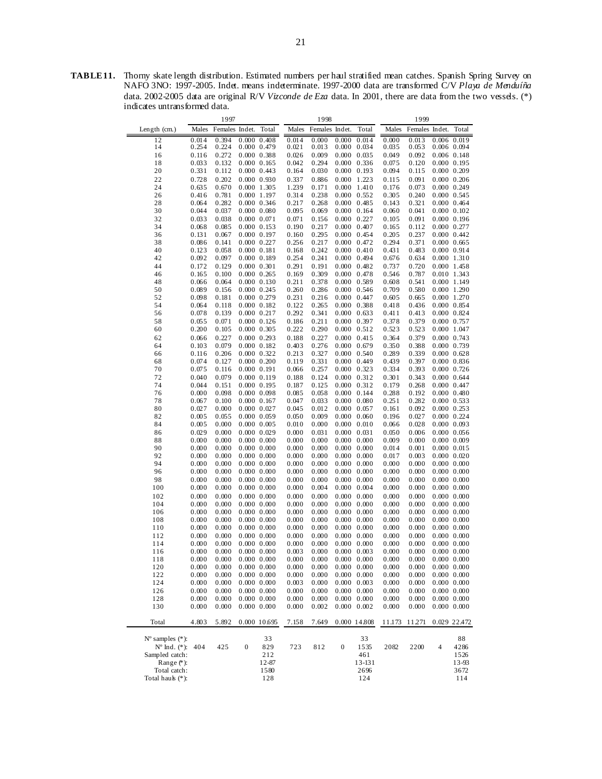**TABLE 11.** Thorny skate length distribution. Estimated numbers per haul stratified mean catches. Spanish Spring Survey on NAFO 3NO: 1997-2005. Indet. means indeterminate. 1997-2000 data are transformed C/V *Playa de Menduíña*  data. 2002-2005 data are original R/V *Vizconde de Eza* data. In 2001, there are data from the two vessels. (\*) indicates untransformed data.

| 1997                            |                |                |                     |                                |                | 1998           |                  |                                            | 1999           |                |                                    |                                |
|---------------------------------|----------------|----------------|---------------------|--------------------------------|----------------|----------------|------------------|--------------------------------------------|----------------|----------------|------------------------------------|--------------------------------|
| Length $(cm.)$                  | Males          | Females Indet. |                     | Total                          | Males          | Females Indet. |                  | Total                                      | Males          | Females Indet. |                                    | Total                          |
| 12                              | 0.014          | 0.394          |                     | $0.000$ $0.408$                | 0.014          | 0.000          | 0.000            | 0.014                                      | 0.000          | 0.013          |                                    | $0.006$ 0.019                  |
| 14                              | 0.254          | 0.224          |                     | 0.000 0.479                    | 0.021          | 0.013          |                  | $0.000 \quad 0.034$                        | 0.035          | 0.053          |                                    | 0.006 0.094                    |
| 16                              | 0.116          | 0.272          |                     | 0.000 0.388                    | 0.026          | 0.009          | 0.000            | 0.035                                      | 0.049          | 0.092          |                                    | $0.006$ $0.148$                |
| 18                              | 0.033          | 0.132          |                     | $0.000$ $0.165$                | 0.042          | 0.294          | 0.000            | 0.336                                      | 0.075          | 0.120          | $0.000$ $0.195$                    |                                |
| 20                              | 0.331          | 0.112          |                     | $0.000$ $0.443$                | 0.164          | 0.030          |                  | $0.000 \quad 0.193$                        | 0.094          | 0.115          | $0.000$ $0.209$                    |                                |
| 22                              | 0.728          | 0.202          |                     | 0.000 0.930                    | 0.337          | 0.886          | 0.000            | 1.223                                      | 0.115          | 0.091          |                                    | $0.000$ $0.206$                |
| 24                              | 0.635          | 0.670          |                     | 0.000 1.305                    | 1.239          | 0.171          | 0.000            | 1.410                                      | 0.176          | 0.073          |                                    | 0.000 0.249                    |
| 26                              | 0.416          | 0.781          |                     | 0.000 1.197                    | 0.314          | 0.238          |                  | $0.000 \quad 0.552$                        | 0.305          | 0.240          | $0.000$ $0.545$                    |                                |
| 28                              | 0.064          | 0.282          |                     | 0.000 0.346                    | 0.217          | 0.268          | 0.000            | 0.485                                      | 0.143          | 0.321          |                                    | $0.000$ $0.464$                |
| 30                              | 0.044          | 0.037          |                     | $0.000$ $0.080$                | 0.095          | 0.069          | 0.000            | 0.164                                      | 0.060          | 0.041          | $0.000$ $0.102$                    |                                |
| 32                              | 0.033          | 0.038          | $0.000 \quad 0.071$ |                                | 0.071          | 0.156          |                  | $0.000 \quad 0.227$                        | 0.105          | 0.091          |                                    | $0.000$ $0.196$                |
| 34                              | 0.068          | 0.085          |                     | $0.000$ $0.153$                | 0.190          | 0.217          | 0.000            | 0.407                                      | 0.165          | 0.112          | 0.000 0.277                        |                                |
| 36                              | 0.131          | 0.067          |                     | 0.000 0.197                    | 0.160          | 0.295          | 0.000            | 0.454                                      | 0.205          | 0.237          | $0.000$ $0.442$                    |                                |
| 38                              | 0.086          | 0.141          |                     | 0.000 0.227                    | 0.256          | 0.217          |                  | $0.000 \quad 0.472$                        | 0.294          | 0.371          | $0.000$ $0.665$                    |                                |
| 40                              | 0.123          | 0.058          | $0.000$ $0.181$     |                                | 0.168          | 0.242          | 0.000            | 0.410                                      | 0.431          | 0.483          | $0.000$ $0.914$                    |                                |
| 42                              | 0.092          | 0.097          |                     | 0.000 0.189                    | 0.254          | 0.241          | 0.000            | 0.494                                      | 0.676          | 0.634          | 0.000 1.310                        |                                |
| 44                              | 0.172          | 0.129          | 0.000 0.301         |                                | 0.291          | 0.191          |                  | $0.000 \quad 0.482$                        | 0.737          | 0.720          | 0.000 1.458                        |                                |
| 46                              | 0.165          | 0.100          |                     | 0.000 0.265                    | 0.169          | 0.309          | 0.000            | 0.478                                      | 0.546          | 0.787          | 0.010 1.343                        |                                |
| 48                              | 0.066          | 0.064          |                     | 0.000 0.130                    | 0.211          | 0.378          | 0.000            | 0.589                                      | 0.608          | 0.541          |                                    | 0.000 1.149                    |
| 50                              | 0.089          | 0.156          |                     | 0.000 0.245                    | 0.260          | 0.286          |                  | $0.000 \quad 0.546$                        | 0.709          | 0.580          | 0.000 1.290                        |                                |
| 52                              | 0.098          | 0.181          |                     | 0.000 0.279                    | 0.231          | 0.216          | 0.000            | 0.447                                      | 0.605          | 0.665          | 0.000 1.270                        |                                |
| 54                              | 0.064          | 0.118          |                     | 0.000 0.182                    | 0.122          | 0.265          | 0.000            | 0.388                                      | 0.418          | 0.436          |                                    | 0.000 0.854                    |
| 56                              | 0.078          | 0.139          | 0.000 0.217         |                                | 0.292          | 0.341          |                  | $0.000 \quad 0.633$                        | 0.411          | 0.413          | $0.000 \quad 0.824$                |                                |
| 58                              | 0.055          | 0.071          |                     | $0.000$ $0.126$                | 0.186          | 0.211          | 0.000            | 0.397                                      | 0.378          | 0.379          | $0.000$ $0.757$                    |                                |
| 60                              | 0.200          | 0.105          |                     | 0.000 0.305                    | 0.222          | 0.290          | 0.000            | 0.512                                      | 0.523          | 0.523          |                                    | 0.000 1.047                    |
| 62                              | 0.066          | 0.227          |                     | 0.000 0.293                    | 0.188          | 0.227          | 0.000            | 0.415                                      | 0.364          | 0.379          |                                    | 0.000 0.743                    |
| 64                              | 0.103          | 0.079          |                     | $0.000$ $0.182$                | 0.403          | 0.276          | 0.000            | 0.679                                      | 0.350          | 0.388          | 0.000 0.739                        |                                |
| 66                              | 0.116          | 0.206          |                     | 0.000 0.322                    | 0.213          | 0.327          |                  | $0.000 \quad 0.540$                        | 0.289          | 0.339          | $0.000 \quad 0.628$                |                                |
| 68                              | 0.074          | 0.127          |                     | $0.000$ $0.200$                | 0.119          | 0.331          | 0.000            | 0.449                                      | 0.439          | 0.397          |                                    | $0.000$ $0.836$                |
| 70                              | 0.075          | 0.116          | 0.000 0.191         |                                | 0.066          | 0.257          | 0.000            | 0.323                                      | 0.334          | 0.393          | $0.000$ $0.726$                    |                                |
| 72                              | 0.040          | 0.079          |                     | 0.000 0.119                    | 0.188          | 0.124          |                  | $0.000 \quad 0.312$                        | 0.301          | 0.343          | $0.000$ $0.644$                    |                                |
| 74                              | 0.044          | 0.151          |                     | 0.000 0.195                    | 0.187          | 0.125          | 0.000            | 0.312                                      | 0.179          | 0.268          |                                    | 0.000 0.447                    |
| 76<br>78                        | 0.000<br>0.067 | 0.098<br>0.100 |                     | 0.000 0.098<br>$0.000$ $0.167$ | 0.085<br>0.047 | 0.058<br>0.033 |                  | $0.000 \quad 0.144$<br>$0.000 \quad 0.080$ | 0.288<br>0.251 | 0.192<br>0.282 | $0.000$ $0.480$<br>$0.000$ $0.533$ |                                |
| 80                              | 0.027          | 0.000          |                     | $0.000$ $0.027$                | 0.045          | 0.012          | 0.000            | 0.057                                      | 0.161          | 0.092          |                                    | 0.000 0.253                    |
| 82                              | 0.005          | 0.055          |                     | 0.000 0.059                    | 0.050          | 0.009          | 0.000            | 0.060                                      | 0.196          | 0.027          |                                    | 0.000 0.224                    |
| 84                              | 0.005          | 0.000          |                     | $0.000$ $0.005$                | 0.010          | 0.000          |                  | $0.000 \quad 0.010$                        | 0.066          | 0.028          | $0.000$ $0.093$                    |                                |
| 86                              | 0.029          | 0.000          |                     | $0.000$ $0.029$                | 0.000          | 0.031          | 0.000            | 0.031                                      | 0.050          | 0.006          |                                    | $0.000$ $0.056$                |
| 88                              | 0.000          | 0.000          |                     | $0.000$ $0.000$                | 0.000          | 0.000          | 0.000            | 0.000                                      | 0.009          | 0.000          | $0.000$ $0.009$                    |                                |
| 90                              | 0.000          | 0.000          |                     | $0.000$ $0.000$                | 0.000          | 0.000          |                  | $0.000 \quad 0.000$                        | 0.014          | 0.001          |                                    | $0.000 \quad 0.015$            |
| 92                              | 0.000          | 0.000          |                     | $0.000$ $0.000$                | 0.000          | 0.000          | 0.000            | 0.000                                      | 0.017          | 0.003          |                                    | $0.000$ $0.020$                |
| 94                              | 0.000          | 0.000          |                     | $0.000$ $0.000$                | 0.000          | 0.000          | 0.000            | 0.000                                      | 0.000          | 0.000          |                                    | $0.000$ $0.000$                |
| 96                              | 0.000          | 0.000          |                     | $0.000$ $0.000$                | 0.000          | 0.000          |                  | $0.000 \quad 0.000$                        | 0.000          | 0.000          |                                    | 0.000 0.000                    |
| 98                              | 0.000          | 0.000          |                     | $0.000$ $0.000$                | 0.000          | 0.000          | 0.000            | 0.000                                      | 0.000          | 0.000          |                                    | $0.000$ $0.000$                |
| 100                             | 0.000          | 0.000          |                     | $0.000$ $0.000$                | 0.000          | 0.004          | 0.000            | 0.004                                      | 0.000          | 0.000          |                                    | 0.000 0.000                    |
| 102                             | 0.000          | 0.000          |                     | $0.000\ 0.000$                 | 0.000          | 0.000          |                  | $0.000 \quad 0.000$                        | 0.000          | 0.000          |                                    | $0.000$ $0.000$                |
| 104                             | 0.000          | 0.000          |                     | 0.000 0.000                    | 0.000          | 0.000          | 0.000            | 0.000                                      | 0.000          | 0.000          |                                    | $0.000$ $0.000$                |
| 106                             | 0.000          | 0.000          |                     | $0.000$ $0.000$                | 0.000          | 0.000          | 0.000            | 0.000                                      | 0.000          | 0.000          | $0.000$ $0.000$                    |                                |
| 108                             | 0.000          | 0.000          |                     | $0.000$ $0.000$                | 0.000          | 0.000          |                  | $0.000 \quad 0.000$                        | 0.000          | 0.000          |                                    | $0.000$ $0.000$                |
| 110                             | 0.000          | 0.000          |                     | $0.000$ $0.000$                | 0.000          | 0.000          | 0.000            | 0.000                                      | 0.000          | 0.000          |                                    | 0.000 0.000                    |
| 112                             | 0.000          | 0.000          |                     | $0.000$ $0.000$                | 0.000          | 0.000          | 0.000            | 0.000                                      | 0.000          | 0.000          |                                    | $0.000$ $0.000$                |
| 114                             | 0.000          | 0.000          |                     | $0.000$ $0.000$                | 0.000          | 0.000          |                  | $0.000 \quad 0.000$                        | 0.000          | 0.000          |                                    | $0.000$ $0.000$                |
| 116                             | 0.000          | 0.000          |                     | 0.000 0.000                    | 0.003          | 0.000          |                  | $0.000 \quad 0.003$                        | 0.000          | 0.000          |                                    | $0.000$ $0.000$                |
| 118                             | 0.000          | 0.000          |                     | $0.000$ $0.000$                | 0.000          | 0.000          |                  | $0.000 \quad 0.000$                        | 0.000          | 0.000          |                                    | $0.000$ $0.000$                |
| 120                             | 0.000          | 0.000          |                     | 0.000 0.000                    | 0.000          | 0.000          |                  | $0.000 \quad 0.000$                        | 0.000          | 0.000          |                                    | $0.000$ $0.000$                |
| 122                             | 0.000          | 0.000          |                     | 0.000 0.000                    | 0.000          | 0.000          |                  | $0.000 \quad 0.000$                        | 0.000          | 0.000          |                                    | $0.000$ $0.000$                |
| 124                             | 0.000          | 0.000          |                     | 0.000 0.000                    | 0.003          | 0.000          |                  | $0.000 \quad 0.003$                        | 0.000          | 0.000          |                                    | $0.000\ 0.000$                 |
| 126                             | 0.000          | 0.000          |                     | 0.000 0.000                    | 0.000          | 0.000          |                  | $0.000 \quad 0.000$                        | 0.000          | 0.000          |                                    | 0.000 0.000                    |
| 128                             | 0.000          | 0.000<br>0.000 |                     | $0.000$ $0.000$                | 0.000<br>0.000 | 0.000          |                  | $0.000 \quad 0.000$                        | 0.000          | 0.000          |                                    | $0.000$ $0.000$<br>0.000 0.000 |
| 130                             | 0.000          |                |                     | 0.000 0.000                    |                | 0.002          |                  | $0.000 \quad 0.002$                        | 0.000          | 0.000          |                                    |                                |
| Total                           | 4.803          | 5.892          |                     | 0.000 10.695                   | 7.158          | 7.649          |                  | 0.000 14.808                               | 11.173         | 11.271         |                                    | 0.029 22.472                   |
| $N^{\circ}$ samples $(*)$ :     |                |                |                     | 33                             |                |                |                  | 33                                         |                |                |                                    | 88                             |
| $N^{\circ}$ Ind. $(*)$ :        | 404            | 425            | 0                   | 829                            | 723            | 812            | $\boldsymbol{0}$ | 1535                                       | 2082           | 2200           | 4                                  | 4286                           |
| Sampled catch:                  |                |                |                     | 212                            |                |                |                  | 461                                        |                |                |                                    | 1526                           |
| Range $(*)$ :                   |                |                |                     | 12-87                          |                |                |                  | 13-131                                     |                |                |                                    | 13-93                          |
| Total catch:<br>Total hauk (*): |                |                |                     | 1580<br>128                    |                |                |                  | 2696<br>124                                |                |                |                                    | 3672<br>114                    |
|                                 |                |                |                     |                                |                |                |                  |                                            |                |                |                                    |                                |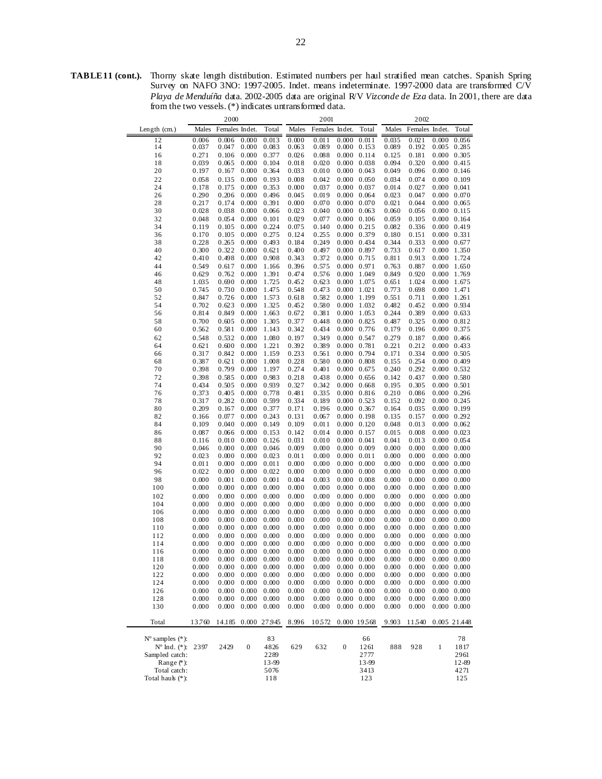**TABLE 11 (cont.).** Thorny skate length distribution. Estimated numbers per haul stratified mean catches. Spanish Spring Survey on NAFO 3NO: 1997-2005. Indet. means indeterminate. 1997-2000 data are transformed C/V *Playa de Menduíña* data. 2002-2005 data are original R/V *Vizconde de Eza* data. In 2001, there are data from the two vessels. (\*) indicates untransformed data.

|                                            | 2000           |                |                                            |                | 2001           |                |                     | 2002                                       |                |                |                     |                                            |
|--------------------------------------------|----------------|----------------|--------------------------------------------|----------------|----------------|----------------|---------------------|--------------------------------------------|----------------|----------------|---------------------|--------------------------------------------|
| Length (cm.)                               | Males          | Females Indet. |                                            | Total          | Males          | Females Indet. |                     | Total                                      | Males          | Females Indet. |                     | Total                                      |
| 12                                         | 0.006          | 0.006          | 0.000                                      | 0.013          | 0.000          | 0.011          | 0.000               | 0.011                                      | 0.035          | 0.021          | 0.000               | 0.056                                      |
| 14                                         | 0.037          | 0.047          | 0.000                                      | 0.083          | 0.063          | 0.089          |                     | $0.000 \quad 0.153$                        | 0.089          | 0.192          | 0.005               | 0.285                                      |
| 16                                         | 0.271          | 0.106          | 0.000                                      | 0.377          | 0.026          | 0.088          |                     | 0.000 0.114                                | 0.125          | 0.181          |                     | $0.000 \quad 0.305$                        |
| 18                                         | 0.039          | 0.065          | 0.000                                      | 0.104          | 0.018          | 0.020          | 0.000               | 0.038                                      | 0.094          | 0.320          |                     | $0.000 \quad 0.415$                        |
| 20                                         | 0.197          | 0.167          | 0.000                                      | 0.364          | 0.033          | 0.010          |                     | $0.000 \quad 0.043$                        | 0.049          | 0.096          |                     | $0.000 \quad 0.146$                        |
| 22                                         | 0.058          | 0.135          | 0.000                                      | 0.193          | 0.008          | 0.042          |                     | $0.000 \quad 0.050$                        | 0.034          | 0.074          |                     | $0.000 \quad 0.109$                        |
| 24                                         | 0.178          | 0.175          | 0.000                                      | 0.353          | 0.000          | 0.037          | 0.000               | 0.037                                      | 0.014          | 0.027          | 0.000 0.041         |                                            |
| 26                                         | 0.290          | 0.206          | 0.000                                      | 0.496          | 0.045          | 0.019          |                     | $0.000 \quad 0.064$                        | 0.023          | 0.047          |                     | $0.000 \quad 0.070$                        |
| 28                                         | 0.217          | 0.174          | 0.000                                      | 0.391          | 0.000          | 0.070          | 0.000               | 0.070                                      | 0.021          | 0.044          | 0.000               | 0.065                                      |
| 30                                         | 0.028          | 0.038          | 0.000                                      | 0.066          | 0.023          | 0.040          | 0.000               | 0.063                                      | 0.060          | 0.056          | 0.000               | 0.115                                      |
| 32                                         | 0.048          | 0.054          | 0.000                                      | 0.101          | 0.029          | 0.077          |                     | $0.000 \quad 0.106$                        | 0.059          | 0.105          |                     | $0.000 \quad 0.164$                        |
| 34                                         | 0.119          | 0.105          | 0.000                                      | 0.224          | 0.075          | 0.140          |                     | $0.000 \quad 0.215$                        | 0.082          | 0.336          | 0.000               | 0.419                                      |
| 36                                         | 0.170          | 0.105          | 0.000                                      | 0.275          | 0.124          | 0.255          | 0.000               | 0.379                                      | 0.180          | 0.151          | $0.000 \quad 0.331$ |                                            |
| 38                                         | 0.228          | 0.265          | 0.000                                      | 0.493          | 0.184          | 0.249          |                     | 0.000 0.434                                | 0.344          | 0.333          |                     | 0.000 0.677                                |
| 40                                         | 0.300          | 0.322          | 0.000                                      | 0.621          | 0.400          | 0.497          |                     | 0.000 0.897                                | 0.733          | 0.617          | 0.000               | 1.350                                      |
| 42                                         | 0.410          | 0.498          | 0.000                                      | 0.908          | 0.343          | 0.372          | 0.000               | 0.715                                      | 0.811          | 0.913          | 0.000               | 1.724                                      |
| 44                                         | 0.549          | 0.617          | 0.000                                      | 1.166          | 0.396          | 0.575          | $0.000 \quad 0.971$ |                                            | 0.763          | 0.887          |                     | 0.000 1.650                                |
| 46                                         | 0.629          | 0.762          | 0.000                                      | 1.391          | 0.474          | 0.576          | 0.000               | 1.049                                      | 0.849          | 0.920          | 0.000               | 1.769                                      |
| 48                                         | 1.035          | 0.690          | 0.000                                      | 1.725          | 0.452          | 0.623          | 0.000               | 1.075                                      | 0.651          | 1.024          | 0.000               | 1.675                                      |
| 50                                         | 0.745          | 0.730          | 0.000                                      | 1.475          | 0.548          | 0.473          | $0.000 \quad 1.021$ |                                            | 0.773          | 0.698          | 0.000 1.471         |                                            |
| 52                                         | 0.847          | 0.726          | 0.000                                      | 1.573          | 0.618          | 0.582          | 0.000               | 1.199                                      | 0.551          | 0.711          | 0.000               | 1.261                                      |
| 54                                         | 0.702          | 0.623          | 0.000                                      | 1.325          | 0.452          | 0.580          | 0.000               | 1.032                                      | 0.482          | 0.452          |                     | 0.000 0.934                                |
| 56                                         | 0.814          | 0.849          | 0.000                                      | 1.663          | 0.672          | 0.381          |                     | 0.000 1.053                                | 0.244          | 0.389          |                     | $0.000 \quad 0.633$                        |
| 58                                         | 0.700          | 0.605          | 0.000                                      | 1.305          | 0.377          | 0.448          |                     | $0.000 \quad 0.825$                        | 0.487          | 0.325          | 0.000               | 0.812                                      |
| 60                                         | 0.562          | 0.581          | 0.000                                      | 1.143          | 0.342          | 0.434          | 0.000               | 0.776                                      | 0.179          | 0.196          | 0.000               | 0.375                                      |
| 62                                         | 0.548          | 0.532          | 0.000                                      | 1.080          | 0.197          | 0.349          | 0.000               | 0.547                                      | 0.279          | 0.187          | 0.000               | 0.466                                      |
| 64                                         | 0.621          | 0.600          | 0.000                                      | 1.221          | 0.392          | 0.389          | 0.000               | 0.781                                      | 0.221          | 0.212          | 0.000               | 0.433                                      |
| 66                                         | 0.317          | 0.842          | 0.000                                      | 1.159          | 0.233          | 0.561          |                     | 0.000 0.794                                | 0.171          | 0.334          |                     | $0.000 \quad 0.505$                        |
| 68<br>70                                   | 0.387<br>0.398 | 0.621          | 0.000                                      | 1.008<br>1.197 | 0.228          | 0.580<br>0.401 | 0.000<br>0.000      | 0.808<br>0.675                             | 0.155<br>0.240 | 0.254<br>0.292 | 0.000               | 0.409<br>$0.000 \quad 0.532$               |
| 72                                         | 0.398          | 0.799<br>0.585 | 0.000<br>0.000                             | 0.983          | 0.274<br>0.218 | 0.438          |                     | $0.000 \quad 0.656$                        | 0.142          | 0.437          |                     | $0.000 \quad 0.580$                        |
| 74                                         | 0.434          | 0.505          | 0.000                                      | 0.939          | 0.327          | 0.342          | 0.000               | 0.668                                      | 0.195          | 0.305          | 0.000               | 0.501                                      |
| 76                                         | 0.373          | 0.405          | 0.000                                      | 0.778          | 0.481          | 0.335          | 0.000               | 0.816                                      | 0.210          | 0.086          |                     | $0.000$ $0.296$                            |
| 78                                         | 0.317          | 0.282          | 0.000                                      | 0.599          | 0.334          | 0.189          |                     | $0.000 \quad 0.523$                        | 0.152          | 0.092          |                     | $0.000 \quad 0.245$                        |
| 80                                         | 0.209          | 0.167          | 0.000                                      | 0.377          | 0.171          | 0.196          | 0.000               | 0.367                                      | 0.164          | 0.035          | 0.000               | 0.199                                      |
| 82                                         | 0.166          | 0.077          | 0.000                                      | 0.243          | 0.131          | 0.067          |                     | 0.000 0.198                                | 0.135          | 0.157          |                     | 0.000 0.292                                |
| 84                                         | 0.109          | 0.040          | 0.000                                      | 0.149          | 0.109          | 0.011          |                     | $0.000 \quad 0.120$                        | 0.048          | 0.013          |                     | $0.000 \quad 0.062$                        |
| 86                                         | 0.087          | 0.066          | 0.000                                      | 0.153          | 0.142          | 0.014          | 0.000               | 0.157                                      | 0.015          | 0.008          | 0.000               | 0.023                                      |
| 88                                         | 0.116          | 0.010          | 0.000                                      | 0.126          | 0.031          | 0.010          | 0.000               | 0.041                                      | 0.041          | 0.013          |                     | 0.000 0.054                                |
| 90                                         | 0.046          | 0.000          | 0.000                                      | 0.046          | 0.009          | 0.000          |                     | $0.000 \quad 0.009$                        | 0.000          | 0.000          |                     | $0.000 \quad 0.000$                        |
| 92                                         | 0.023          | 0.000          | 0.000                                      | 0.023          | 0.011          | 0.000          | 0.000               | 0.011                                      | 0.000          | 0.000          | 0.000               | 0.000                                      |
| 94                                         | 0.011          | 0.000          | 0.000                                      | 0.011          | 0.000          | 0.000          | 0.000               | 0.000                                      | 0.000          | 0.000          |                     | $0.000 \quad 0.000$                        |
| 96                                         | 0.022          | 0.000          | 0.000                                      | 0.022          | 0.000          | 0.000          |                     | $0.000 \quad 0.000$                        | 0.000          | 0.000          |                     | $0.000 \quad 0.000$                        |
| 98                                         | 0.000          | 0.001          | 0.000                                      | 0.001          | 0.004          | 0.003          | 0.000               | 0.008                                      | 0.000          | 0.000          | 0.000               | 0.000                                      |
| 100                                        | 0.000          | 0.000          | 0.000                                      | 0.000          | 0.000          | 0.000          | 0.000               | 0.000                                      | 0.000          | 0.000          |                     | $0.000 \quad 0.000$                        |
| 102                                        | 0.000          | 0.000          | 0.000                                      | 0.000          | 0.000          | 0.000          |                     | $0.000 \quad 0.000$                        | 0.000          | 0.000          |                     | $0.000 \quad 0.000$                        |
| 104                                        | 0.000          | 0.000          | 0.000                                      | 0.000          | 0.000          | 0.000          | 0.000               | 0.000                                      | 0.000          | 0.000          | 0.000               | 0.000                                      |
| 106                                        | 0.000          | 0.000          | 0.000                                      | 0.000          | 0.000          | 0.000          | 0.000               | 0.000                                      | 0.000          | 0.000          |                     | $0.000 \quad 0.000$                        |
| 108                                        | 0.000          | 0.000          | 0.000                                      | 0.000          | 0.000          | 0.000          |                     | $0.000 \quad 0.000$                        | 0.000          | 0.000          |                     | $0.000 \quad 0.000$                        |
| 110                                        | 0.000          | 0.000          | 0.000                                      | 0.000          | 0.000          | 0.000          | 0.000               | 0.000                                      | 0.000          | 0.000          | 0.000               | 0.000                                      |
| 112                                        | 0.000          | 0.000          | 0.000                                      | 0.000          | 0.000          | 0.000          | 0.000               | 0.000                                      | 0.000          | 0.000          | 0.000               | 0.000                                      |
| 114                                        | 0.000<br>0.000 | 0.000<br>0.000 | 0.000<br>0.000                             | 0.000<br>0.000 | 0.000<br>0.000 | 0.000<br>0.000 |                     | $0.000 \quad 0.000$<br>$0.000 \quad 0.000$ | 0.000          | 0.000<br>0.000 |                     | $0.000 \quad 0.000$<br>$0.000 \quad 0.000$ |
| 116                                        |                |                |                                            |                |                |                |                     |                                            | 0.000          |                |                     |                                            |
| 118<br>120                                 | 0.000<br>0.000 |                | $0.000 \quad 0.000$<br>$0.000 \quad 0.000$ | 0.000<br>0.000 | 0.000<br>0.000 | 0.000<br>0.000 |                     | $0.000 \quad 0.000$<br>$0.000 \quad 0.000$ | 0.000<br>0.000 | 0.000<br>0.000 |                     | $0.000 \quad 0.000$<br>$0.000 \quad 0.000$ |
| 122                                        | 0.000          | 0.000          | 0.000                                      | 0.000          | 0.000          | 0.000          |                     | $0.000 \quad 0.000$                        | 0.000          | 0.000          |                     | $0.000 \quad 0.000$                        |
| 124                                        | 0.000          | 0.000          | 0.000                                      | 0.000          | 0.000          | 0.000          |                     | $0.000 \quad 0.000$                        | 0.000          | 0.000          |                     | $0.000 \quad 0.000$                        |
| 126                                        | 0.000          | 0.000          | 0.000                                      | 0.000          | 0.000          | 0.000          |                     | $0.000 \quad 0.000$                        | 0.000          | 0.000          |                     | $0.000 \quad 0.000$                        |
| 128                                        | 0.000          | 0.000          | 0.000                                      | 0.000          | 0.000          | 0.000          |                     | $0.000 \quad 0.000$                        | 0.000          | 0.000          |                     | $0.000 \quad 0.000$                        |
| 130                                        | 0.000          | 0.000          | 0.000                                      | 0.000          | 0.000          | 0.000          |                     | $0.000 \quad 0.000$                        | 0.000          | 0.000          |                     | $0.000 \quad 0.000$                        |
| Total                                      | 13.760         | 14.185         |                                            | 0.000 27945    | 8.996          | 10572          |                     | 0.000 19568                                | 9.903          | 11540          |                     | 0.005 21.448                               |
|                                            |                |                |                                            |                |                |                |                     |                                            |                |                |                     |                                            |
| $N^{\circ}$ samples $(*)$ :                |                |                |                                            | 83             |                |                |                     | 66                                         |                |                |                     | 78                                         |
| $N^{\circ}$ Ind. $(*)$ :<br>Sampled catch: | 2397           | 2429           | $\boldsymbol{0}$                           | 4826<br>2289   | 629            | 632            | $\boldsymbol{0}$    | 1261<br>2777                               | 888            | 928            | $\mathbf{1}$        | 1817<br>2961                               |
| Range (*):                                 |                |                |                                            | 13-99          |                |                |                     | 13-99                                      |                |                |                     | 12-89                                      |
| Total catch:                               |                |                |                                            | 5076           |                |                |                     | 3413                                       |                |                |                     | 4271                                       |
| Total hauk (*):                            |                |                |                                            | 118            |                |                |                     | 123                                        |                |                |                     | 125                                        |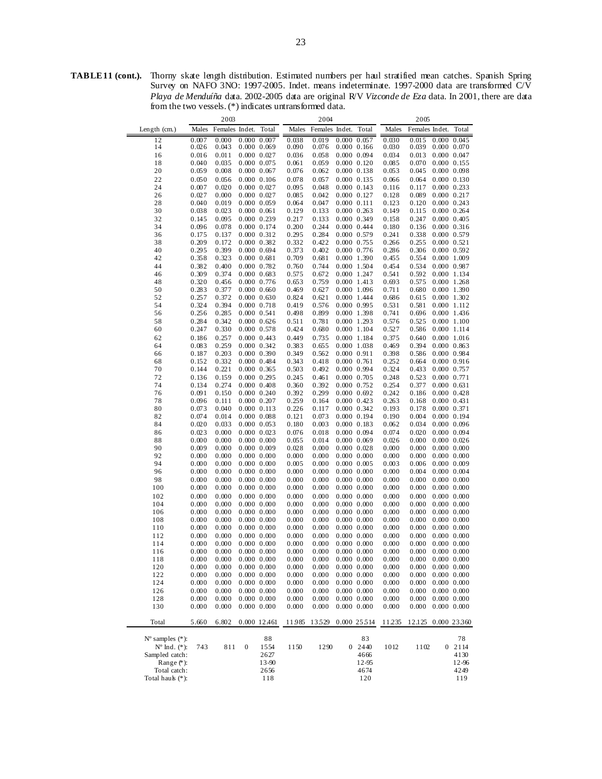**TABLE 11 (cont.).** Thorny skate length distribution. Estimated numbers per haul stratified mean catches. Spanish Spring Survey on NAFO 3NO: 1997-2005. Indet. means indeterminate. 1997-2000 data are transformed C/V *Playa de Menduíña* data. 2002-2005 data are original R/V *Vizconde de Eza* data. In 2001, there are data from the two vessels. (\*) indicates untransformed data.

| 2003                        |                |                |                                    |                 | 2004           |                |                 |                                    | 2005           |                     |                                    |                 |
|-----------------------------|----------------|----------------|------------------------------------|-----------------|----------------|----------------|-----------------|------------------------------------|----------------|---------------------|------------------------------------|-----------------|
| Length $(cm.)$              | Males          | Females Indet. |                                    | Total           | Males          | Females Indet. |                 | Total                              | Males          | Females Indet.      |                                    | Total           |
| 12                          |                |                |                                    |                 |                | 0.019          |                 | 0.000 0.057                        |                | 0.015               |                                    | 0.000 0.045     |
| 14                          | 0.007<br>0.026 | 0.000<br>0.043 | 0.000 0.007                        | 0.000 0.069     | 0.038<br>0.090 | 0.076          |                 | $0.000$ $0.166$                    | 0.030<br>0.030 | 0.039               | $0.000$ $0.070$                    |                 |
| 16                          | 0.016          | 0.011          | $0.000$ $0.027$                    |                 | 0.036          | 0.058          |                 | 0.000 0.094                        | 0.034          | 0.013               | $0.000$ $0.047$                    |                 |
| 18                          | 0.040          | 0.035          | 0.000 0.075                        |                 | 0.061          | 0.059          |                 | $0.000$ $0.120$                    | 0.085          | 0.070               | $0.000$ $0.155$                    |                 |
| 20                          | 0.059          | 0.008          | $0.000$ $0.067$                    |                 | 0.076          | 0.062          |                 | 0.000 0.138                        | 0.053          | 0.045               | 0.000 0.098                        |                 |
| 22                          | 0.050          | 0.056          |                                    | $0.000$ $0.106$ | 0.078          | 0.057          |                 | 0.000 0.135                        | 0.066          | 0.064               | $0.000$ $0.130$                    |                 |
| 24                          | 0.007          | 0.020          | $0.000$ $0.027$                    |                 | 0.095          | 0.048          |                 | $0.000$ $0.143$                    | 0.116          | 0.117               | $0.000$ $0.233$                    |                 |
| 26                          | 0.027          | 0.000          | $0.000$ $0.027$                    |                 | 0.085          | 0.042          |                 | 0.000 0.127                        | 0.128          | 0.089               | $0.000$ $0.217$                    |                 |
| 28                          | 0.040          | 0.019          | 0.000 0.059                        |                 | 0.064          | 0.047          |                 | $0.000$ $0.111$                    | 0.123          | 0.120               | $0.000 \ \ 0.243$                  |                 |
| 30                          | 0.038          | 0.023          | $0.000$ $0.061$                    |                 | 0.129          | 0.133          |                 | $0.000$ $0.263$                    | 0.149          | 0.115               | $0.000$ $0.264$                    |                 |
| 32                          | 0.145          | 0.095          | 0.000 0.239                        |                 | 0.217          | 0.133          |                 | 0.000 0.349                        | 0.158          | 0.247               | $0.000$ $0.405$                    |                 |
| 34                          | 0.096          | 0.078          | 0.000 0.174                        |                 | 0.200          | 0.244          |                 | 0.000 0.444                        | 0.180          | 0.136               | $0.000$ $0.316$                    |                 |
| 36                          | 0.175          | 0.137          | 0.000 0.312                        |                 | 0.295          | 0.284          |                 | 0.000 0.579                        | 0.241          | 0.338               | 0.000 0.579                        |                 |
| 38                          | 0.209          | 0.172          | 0.000 0.382                        |                 | 0.332          | 0.422          |                 | 0.000 0.755                        | 0.266          | 0.255               | $0.000 \quad 0.521$                |                 |
| 40                          | 0.295          | 0.399          | $0.000$ $0.694$                    |                 | 0.373          | 0.402          |                 | 0.000 0.776                        | 0.286          | 0.306               | $0.000$ $0.592$                    |                 |
| 42                          | 0.358          | 0.323          | $0.000 \quad 0.681$                |                 | 0.709          | 0.681          |                 | 0.000 1.390                        | 0.455          | 0.554               | 0.000 1.009                        |                 |
| 44                          | 0.382          | 0.400          | 0.000 0.782                        |                 | 0.760          | 0.744          |                 | 0.000 1.504                        | 0.454          | 0.534               | 0.000 0.987                        |                 |
| 46                          | 0.309          | 0.374          | 0.000 0.683                        |                 | 0.575          | 0.672          |                 | 0.000 1.247                        | 0.541          | 0.592               | 0.000 1.134                        |                 |
| 48                          | 0.320          | 0.456          | $0.000$ $0.776$                    |                 | 0.653          | 0.759          |                 | 0.000 1.413                        | 0.693          | 0.575               | $0.000$ 1.268                      |                 |
| 50                          | 0.283          | 0.377          |                                    | $0.000$ $0.660$ | 0.469          | 0.627          |                 | 0.000 1.096                        | 0.711          | 0.680               | 0.000 1.390                        |                 |
| 52                          | 0.257          | 0.372          | $0.000$ $0.630$                    |                 | 0.824          | 0.621          |                 | 0.000 1.444                        | 0.686          | 0.615               | 0.000 1.302                        |                 |
| 54                          | 0.324          | 0.394          | $0.000$ $0.718$                    |                 | 0.419          | 0.576          |                 | 0.000 0.995                        | 0.531          | 0.581               | 0.000 1.112                        |                 |
| 56                          | 0.256          | 0.285          | $0.000 \quad 0.541$                |                 | 0.498          | 0.899          |                 | 0.000 1.398                        | 0.741          | 0.696               | $0.000$ 1.436                      |                 |
| 58                          | 0.284          | 0.342          | $0.000$ $0.626$                    |                 | 0.511          | 0.781          |                 | 0.000 1.293                        | 0.576          | 0.525               | $0.000$ 1.100                      |                 |
| 60                          | 0.247          | 0.330          | 0.000 0.578                        |                 | 0.424          | 0.680          |                 | 0.000 1.104                        | 0.527          | 0.586               | 0.000 1.114                        |                 |
| 62                          | 0.186          | 0.257          | 0.000 0.443                        |                 | 0.449          | 0.735          |                 | 0.000 1.184                        | 0.375          | 0.640               | 0.0001.016                         |                 |
| 64                          | 0.083          | 0.259          | 0.000 0.342                        |                 | 0.383          | 0.655          |                 | 0.000 1.038                        | 0.469          | 0.394               | $0.000$ $0.863$                    |                 |
| 66                          | 0.187          | 0.203          | 0.000 0.390                        |                 | 0.349          | 0.562          | $0.000$ $0.911$ |                                    | 0.398          | 0.586               | 0.000 0.984                        |                 |
| 68                          | 0.152          | 0.332          | 0.000 0.484                        |                 | 0.343          | 0.418          | $0.000$ $0.761$ |                                    | 0.252          | 0.664               | $0.000$ $0.916$                    |                 |
| 70                          | 0.144          | 0.221          | 0.000 0.365                        |                 | 0.503          | 0.492          |                 | 0.000 0.994                        | 0.324          | 0.433               | $0.000$ $0.757$                    |                 |
| 72                          | 0.136          | 0.159          | 0.000 0.295                        |                 | 0.245          | 0.461          |                 | 0.000 0.705                        | 0.248          | 0.523               | $0.000$ $0.771$                    |                 |
| 74                          | 0.134          | 0.274          | $0.000$ $0.408$                    |                 | 0.360          | 0.392          |                 | 0.000 0.752                        | 0.254          | 0.377               | $0.000 \quad 0.631$                |                 |
| 76                          | 0.091          | 0.150          | 0.000 0.240                        |                 | 0.392          | 0.299          |                 | 0.000 0.692                        | 0.242          | 0.186               | $0.000$ $0.428$                    |                 |
| 78                          | 0.096          | 0.111          | 0.000 0.207                        |                 | 0.259          | 0.164          |                 | $0.000$ $0.423$                    | 0.263          | 0.168               | $0.000 \quad 0.431$                |                 |
| 80                          | 0.073          | 0.040          | 0.000 0.113                        |                 | 0.226          | 0.117          |                 | 0.000 0.342                        | 0.193          | 0.178               | $0.000 \quad 0.371$                |                 |
| 82                          | 0.074          | 0.014          | 0.000 0.088                        |                 | 0.121          | 0.073          |                 | 0.000 0.194                        | 0.190          | 0.004               | $0.000$ $0.194$                    |                 |
| 84                          | 0.020          | 0.033          | 0.000 0.053                        |                 | 0.180          | 0.003          |                 | 0.000 0.183                        | 0.062          | 0.034               | $0.000$ $0.096$                    |                 |
| 86                          | 0.023          | 0.000          | $0.000$ $0.023$                    |                 | 0.076          | 0.018          |                 | 0.000 0.094                        | 0.074          | 0.020               | $0.000$ $0.094$                    |                 |
| 88                          | 0.000          | 0.000          | $0.000$ $0.000$                    |                 | 0.055          | 0.014          |                 | 0.000 0.069                        | 0.026          | 0.000               | $0.000$ $0.026$                    |                 |
| 90                          | 0.009          | 0.000          | 0.000 0.009                        |                 | 0.028          | 0.000          |                 | $0.000$ $0.028$                    | 0.000          | 0.000               | $0.000$ $0.000$                    |                 |
| 92                          | 0.000          | 0.000          |                                    | $0.000$ $0.000$ | 0.000          | 0.000          |                 | $0.000$ $0.000$                    | 0.000          | 0.000               | $0.000$ $0.000$                    |                 |
| 94                          | 0.000          | 0.000          |                                    | $0.000$ $0.000$ | 0.005          | 0.000          |                 | $0.000$ $0.005$                    | 0.003          | 0.006               | $0.000$ $0.009$                    |                 |
| 96                          | 0.000          | 0.000          | $0.000$ $0.000$                    |                 | 0.000          | 0.000          |                 | $0.000$ $0.000$                    | 0.000          | 0.004               | $0.000$ $0.004$                    |                 |
| 98                          | 0.000          | 0.000          |                                    | $0.000$ $0.000$ | 0.000          | 0.000          |                 | $0.000$ $0.000$                    | 0.000          | 0.000               | $0.000$ $0.000$                    |                 |
| 100                         | 0.000          | 0.000          |                                    | $0.000$ $0.000$ | 0.000          | 0.000          |                 | 0.000 0.000                        | 0.000          | 0.000               | 0.000 0.000                        |                 |
| 102                         | 0.000          | 0.000          |                                    | $0.000\ 0.000$  | 0.000          | 0.000          |                 | 0.000 0.000                        | 0.000          | 0.000               |                                    | $0.000$ $0.000$ |
| 104                         | 0.000          | 0.000          |                                    | $0.000$ $0.000$ | 0.000          | 0.000          |                 | $0.000$ $0.000$                    | 0.000          | 0.000               | $0.000$ $0.000$                    |                 |
| 106                         | 0.000          | 0.000          | $0.000$ $0.000$                    |                 | 0.000          | 0.000          |                 | $0.000\ 0.000$                     | 0.000          | 0.000               | $0.000$ $0.000$                    |                 |
| 108                         | 0.000          | 0.000          |                                    | $0.000$ $0.000$ | 0.000          | 0.000          |                 | 0.000 0.000                        | 0.000          | 0.000               | $0.000$ $0.000$                    |                 |
| 110                         | 0.000          | 0.000          |                                    | $0.000$ $0.000$ | 0.000          | 0.000          |                 | 0.000 0.000                        | 0.000          | 0.000               | $0.000$ $0.000$                    |                 |
| 112                         | 0.000          | 0.000          | $0.000$ $0.000$                    |                 | 0.000          | 0.000          |                 | 0.000 0.000                        | 0.000          | 0.000               | $0.000$ $0.000$                    | 0.000 0.000     |
| 114                         | 0.000          | 0.000          | 0.000 0.000                        | $0.000$ $0.000$ | 0.000<br>0.000 | 0.000          |                 | $0.000$ $0.000$                    | 0.000          | 0.000               |                                    |                 |
| 116                         | 0.000          | 0.000          |                                    |                 |                | 0.000          |                 | $0.000$ $0.000$                    | 0.000          | 0.000               | $0.000$ $0.000$                    |                 |
| 118                         | 0.000<br>0.000 | 0.000<br>0.000 | $0.000$ $0.000$<br>$0.000$ $0.000$ |                 | 0.000          | 0.000<br>0.000 |                 | $0.000$ $0.000$<br>$0.000$ $0.000$ | 0.000<br>0.000 | 0.000<br>0.000      | $0.000$ $0.000$<br>$0.000$ $0.000$ |                 |
| 120<br>122                  | 0.000          | 0.000          | 0.000 0.000                        |                 | 0.000<br>0.000 | 0.000          |                 | 0.000 0.000                        | 0.000          | 0.000               |                                    | $0.000$ $0.000$ |
| 124                         | 0.000          | 0.000          | $0.000\ 0.000$                     |                 | 0.000          | 0.000          |                 | 0.000 0.000                        | 0.000          | 0.000               |                                    | $0.000\ 0.000$  |
| 126                         | 0.000          | 0.000          |                                    | 0.000 0.000     | 0.000          | 0.000          |                 | 0.000 0.000                        | 0.000          | 0.000               |                                    | 0.000 0.000     |
| 128                         | 0.000          | 0.000          | 0.000 0.000                        |                 | 0.000          | 0.000          |                 | $0.000$ $0.000$                    | 0.000          | 0.000               |                                    | $0.000$ $0.000$ |
| 130                         | 0.000          | 0.000          | 0.000 0.000                        |                 | 0.000          | 0.000          |                 | 0.000 0.000                        | 0.000          | 0.000               |                                    | 0.000 0.000     |
|                             |                |                |                                    |                 |                |                |                 |                                    |                |                     |                                    |                 |
| Total                       | 5.660          | 6.802          |                                    | 0.000 12.461    | 11.985         | 13529          |                 | 0.000 25514                        | 11235          | 12.125 0.000 23.360 |                                    |                 |
| $N^{\circ}$ samples $(*)$ : |                |                |                                    | 88              |                |                |                 | 83                                 |                |                     |                                    | 78              |
| $N^{\circ}$ Ind. $(*)$ :    | 743            | 811            | $\boldsymbol{0}$                   | 1554            | 1150           | 1290           | 0               | 2440                               | 1012           | 1102                | $\mathbf{0}$                       | 2114            |
| Sampled catch:              |                |                |                                    | 2627            |                |                |                 | 4666                               |                |                     |                                    | 4130            |
| Range $(*)$ :               |                |                |                                    | 13-90           |                |                |                 | 12-95                              |                |                     |                                    | 12-96           |
| Total catch:                |                |                |                                    | 2656            |                |                |                 | 4674<br>120                        |                |                     |                                    | 4249<br>119     |
| Total hauk (*):             |                |                |                                    | 118             |                |                |                 |                                    |                |                     |                                    |                 |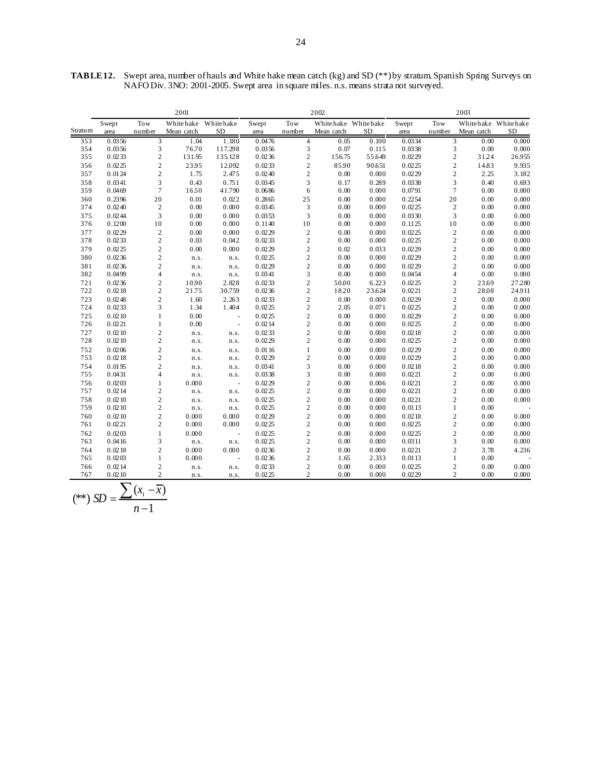|         | 2001   |                         |            | 2002                |        |                |                     | 2003      |        |                         |                     |           |
|---------|--------|-------------------------|------------|---------------------|--------|----------------|---------------------|-----------|--------|-------------------------|---------------------|-----------|
|         | Swept  | Tow                     | Whitehake  | Whitehake           | Swept  | Tow            | Whitehake Whitehake |           | Swept  | Tow                     | Whitehake Whitehake |           |
| Stratum | area   | number                  | Mean catch | <b>SD</b>           | area   | number         | Mean catch          | <b>SD</b> | area   | number                  | Mean catch          | <b>SD</b> |
| 353     | 0.0356 | 3                       | 1.04       | 1.180               | 0.0476 | $\overline{4}$ | 0.05                | 0.100     | 0.0334 | 3                       | 0.00                | 0.000     |
| 354     | 0.0356 | 3                       | 76.70      | 117.298             | 0.0356 | 3              | 0.07                | 0.115     | 0.0338 | 3                       | 0.00                | 0.000     |
| 355     | 0.0233 | $\overline{c}$          | 131.95     | 135.128             | 0.0236 | $\mathbf{2}$   | 156.75              | 55.649    | 0.0229 | $\overline{2}$          | 31.24               | 26955     |
| 356     | 0.0225 | $\overline{c}$          | 2395       | 12.092              | 0.0233 | $\mathfrak 2$  | 85.90               | 90.651    | 0.0225 | $\overline{c}$          | 14.83               | 9.935     |
| 357     | 0.0124 | $\sqrt{2}$              | 1.75       | 2.475               | 0.0240 | $\sqrt{2}$     | 0.00                | 0.000     | 0.0229 | $\sqrt{2}$              | 2.25                | 3.182     |
| 358     | 0.0341 | 3                       | 0.43       | 0.751               | 0.0345 | 3              | 0.17                | 0.289     | 0.0338 | 3                       | 0.40                | 0.693     |
| 359     | 0.0469 | $\overline{7}$          | 1650       | 41.790              | 0.0686 | 6              | 0.00                | 0.000     | 0.0791 | $\overline{7}$          | 0.00                | 0.000     |
| 360     | 0.2396 | 20                      | 0.01       | 0.022               | 0.2865 | 25             | 0.00                | 0.000     | 0.2254 | 20                      | 0.00                | 0.000     |
| 374     | 0.0240 | $\sqrt{2}$              | 0.00       | 0.000               | 0.0345 | 3              | 0.00                | 0.000     | 0.0225 | $\sqrt{2}$              | 0.00                | 0.000     |
| 375     | 0.0244 | 3                       | 0.00       | 0.000               | 0.0353 | 3              | 0.00                | 0.000     | 0.0330 | 3                       | 0.00                | 0.000     |
| 376     | 0.1200 | 10                      | 0.00       | 0.000               | 0.1140 | 10             | 0.00                | 0.000     | 0.1125 | 10                      | 0.00                | 0.000     |
| 377     | 0.0229 | $\sqrt{2}$              | 0.00       | 0.000               | 0.0229 | $\sqrt{2}$     | 0.00                | 0.000     | 0.0225 | $\sqrt{2}$              | 0.00                | 0.000     |
| 378     | 0.0233 | $\overline{c}$          | 0.03       | 0.042               | 0.0233 | $\mathbf{2}$   | 0.00                | 0.000     | 0.0225 | $\overline{c}$          | 0.00                | 0.000     |
| 379     | 0.0225 | $\overline{c}$          | 0.00       | 0.000               | 0.0229 | $\sqrt{2}$     | 0.02                | 0.033     | 0.0229 | $\overline{c}$          | 0.00                | 0.000     |
| 380     | 0.0236 | $\overline{c}$          | n.s.       | n.s.                | 0.0225 | $\overline{c}$ | 0.00                | 0.000     | 0.0229 | $\overline{c}$          | 0.00                | 0.000     |
| 381     | 0.0236 | $\overline{c}$          | n.s.       | n.s.                | 0.0229 | $\overline{c}$ | 0.00                | 0.000     | 0.0229 | $\overline{c}$          | 0.00                | 0.000     |
| 382     | 0.0499 | $\overline{4}$          | n.s.       | n.s.                | 0.0341 | 3              | 0.00                | 0.000     | 0.0454 | $\overline{4}$          | 0.00                | 0.000     |
| 721     | 0.0236 | $\overline{c}$          | 10.90      | 2.828               | 0.0233 | $\sqrt{2}$     | 50.00               | 6.223     | 0.0225 | $\overline{\mathbf{c}}$ | 23.69               | 27.280    |
| 722     | 0.0218 | $\overline{c}$          | 21.75      | 30.759              | 0.0236 | $\sqrt{2}$     | 18.20               | 23.624    | 0.0221 | $\overline{c}$          | 28.08               | 24.911    |
| 723     | 0.0248 | $\overline{c}$          | 1.60       | 2.263               | 0.0233 | $\sqrt{2}$     | 0.00                | 0.000     | 0.0229 | $\overline{c}$          | 0.00                | 0.000     |
| 724     | 0.0233 | 3                       | 1.34       | 1.404               | 0.0225 | $\sqrt{2}$     | 2.05                | 0.071     | 0.0225 | $\overline{\mathbf{c}}$ | 0.00                | 0.000     |
| 725     | 0.0210 | $\mathbf{1}$            | 0.00       | $\bar{\phantom{a}}$ | 0.0225 | $\sqrt{2}$     | 0.00                | 0.000     | 0.0229 | $\overline{c}$          | 0.00                | 0.000     |
| 726     | 0.0221 | $\mathbf{1}$            | 0.00       | $\bar{\phantom{a}}$ | 0.0214 | $\sqrt{2}$     | 0.00                | 0.000     | 0.0225 | $\overline{c}$          | 0.00                | 0.000     |
| 727     | 0.0210 | $\overline{\mathbf{c}}$ | n.s.       | n.s.                | 0.0233 | $\sqrt{2}$     | 0.00                | 0.000     | 0.0218 | $\overline{c}$          | 0.00                | 0.000     |
| 728     | 0.0210 | $\sqrt{2}$              | n.s.       | n.s.                | 0.0229 | $\sqrt{2}$     | 0.00                | 0.000     | 0.0225 | $\overline{c}$          | 0.00                | 0.000     |
| 752     | 0.0206 | $\overline{c}$          | n.s.       | n.s.                | 0.0116 | $\mathbf{1}$   | 0.00                | 0.000     | 0.0229 | $\overline{c}$          | 0.00                | 0.000     |
| 753     | 0.0218 | $\overline{c}$          | n.s.       | n.s.                | 0.0229 | $\sqrt{2}$     | 0.00                | 0.000     | 0.0229 | $\overline{c}$          | 0.00                | 0.000     |
| 754     | 0.0195 | $\overline{c}$          | n.s.       | n.s.                | 0.0341 | 3              | 0.00                | 0.000     | 0.0218 | $\overline{c}$          | 0.00                | 0.000     |
| 755     | 0.0431 | $\overline{\mathbf{4}}$ | n.s.       | n.s.                | 0.0338 | 3              | 0.00                | 0.000     | 0.0221 | $\overline{c}$          | 0.00                | 0.000     |
| 756     | 0.0203 | $\mathbf{1}$            | 0.000      | $\sim$              | 0.0229 | $\overline{c}$ | 0.00                | 0.006     | 0.0221 | $\overline{c}$          | 0.00                | 0.000     |
| 757     | 0.0214 | $\overline{c}$          | n.s.       | n.s.                | 0.0225 | $\sqrt{2}$     | 0.00                | 0.000     | 0.0221 | $\overline{c}$          | 0.00                | 0.000     |
| 758     | 0.0210 | $\overline{c}$          | n.s.       | n.s.                | 0.0225 | $\sqrt{2}$     | 0.00                | 0.000     | 0.0221 | $\overline{c}$          | 0.00                | 0.000     |
| 759     | 0.0210 | $\overline{c}$          | n.s.       | n.s.                | 0.0225 | $\sqrt{2}$     | 0.00                | 0.000     | 0.0113 | $\mathbf{1}$            | 0.00                |           |
| 760     | 0.0210 | $\overline{c}$          | 0.000      | 0.000               | 0.0229 | $\mathbf{2}$   | 0.00                | 0.000     | 0.0218 | $\overline{c}$          | 0.00                | 0.000     |
| 761     | 0.0221 | $\overline{c}$          | 0.000      | 0.000               | 0.0225 | $\overline{c}$ | 0.00                | 0.000     | 0.0225 | $\overline{c}$          | 0.00                | 0.000     |
| 762     | 0.0203 | $\mathbf{1}$            | 0.000      | ÷,                  | 0.0225 | $\sqrt{2}$     | 0.00                | 0.000     | 0.0225 | $\overline{c}$          | 0.00                | 0.000     |
| 763     | 0.0416 | 3                       | n.s.       | n.s.                | 0.0225 | $\sqrt{2}$     | 0.00                | 0.000     | 0.0311 | 3                       | 0.00                | 0.000     |
| 764     | 0.0218 | $\overline{c}$          | 0.000      | 0.000               | 0.0236 | $\mathbf{2}$   | 0.00                | 0.000     | 0.0221 | $\overline{c}$          | 3.78                | 4.236     |
| 765     | 0.0203 | $\mathbf{1}$            | 0.000      | $\sim$              | 0.0236 | $\overline{c}$ | 1.65                | 2.333     | 0.0113 | $\mathbf{1}$            | 0.00                |           |
| 766     | 0.0214 | $\overline{c}$          | n.s.       | n.s.                | 0.0233 | $\mathbf{2}$   | 0.00                | 0.000     | 0.0225 | $\overline{c}$          | 0.00                | 0.000     |
| 767     | 0.0210 | $\overline{c}$          | n.s.       | n.s.                | 0.0225 | $\overline{c}$ | 0.00                | 0.000     | 0.0229 | $\overline{c}$          | 0.00                | 0.000     |
|         |        | $(x - x)$               |            |                     |        |                |                     |           |        |                         |                     |           |

**TABLE 12.** Swept area, number of hauls and White hake mean catch (kg) and SD (\*\*) by stratum. Spanish Spring Surveys on NAFO Div. 3NO: 2001-2005. Swept area in square miles. n.s. means strata not surveyed.

$$
(**) SD = \frac{\sum (x_i - \overline{x})}{n-1}
$$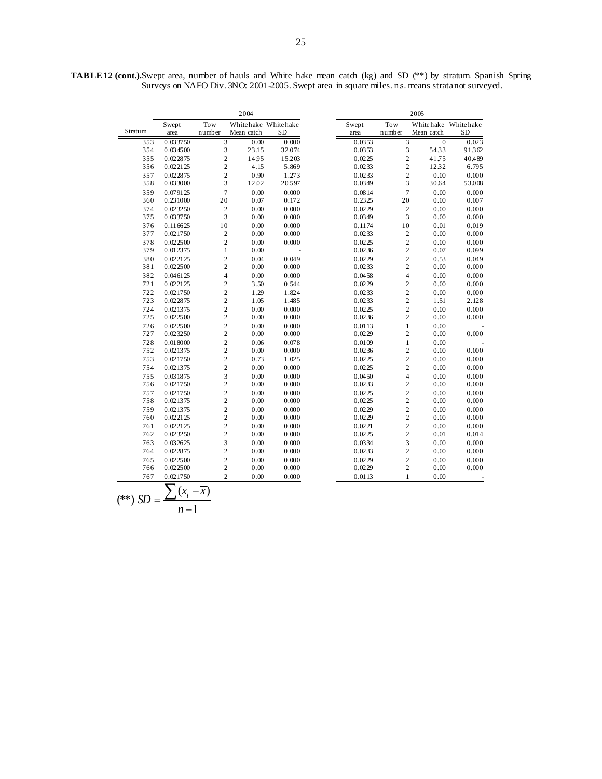|         |          | 2004                    |            | 2005                |  |        |                         |            |                     |
|---------|----------|-------------------------|------------|---------------------|--|--------|-------------------------|------------|---------------------|
|         | Swept    | Tow                     |            | Whitehake Whitehake |  | Swept  | Tow                     |            | Whitehake Whitehake |
| Stratum | area     | number                  | Mean catch | <b>SD</b>           |  | area   | number                  | Mean catch | <b>SD</b>           |
| 353     | 0.033750 | 3                       | 0.00       | 0.000               |  | 0.0353 | 3                       | $\theta$   | 0.023               |
| 354     | 0.034500 | 3                       | 23.15      | 32.074              |  | 0.0353 | 3                       | 5433       | 91362               |
| 355     | 0.022875 | $\sqrt{2}$              | 14.95      | 15203               |  | 0.0225 | $\overline{c}$          | 41.75      | 40.489              |
| 356     | 0.022125 | $\sqrt{2}$              | 4.15       | 5.869               |  | 0.0233 | $\overline{c}$          | 1232       | 6.795               |
| 357     | 0.022875 | $\sqrt{2}$              | 0.90       | 1.273               |  | 0.0233 | $\overline{c}$          | 0.00       | 0.000               |
| 358     | 0.033000 | 3                       | 12.02      | 20597               |  | 0.0349 | 3                       | 30.64      | 53.008              |
| 359     | 0.079125 | $\overline{7}$          | 0.00       | 0.000               |  | 0.0814 | $\overline{7}$          | 0.00       | 0.000               |
| 360     | 0.231000 | 20                      | 0.07       | 0.172               |  | 0.2325 | 20                      | 0.00       | 0.007               |
| 374     | 0.023250 | $\sqrt{2}$              | 0.00       | 0.000               |  | 0.0229 | $\overline{c}$          | 0.00       | 0.000               |
| 375     | 0.033750 | 3                       | 0.00       | 0.000               |  | 0.0349 | 3                       | 0.00       | 0.000               |
| 376     | 0.116625 | $10\,$                  | 0.00       | 0.000               |  | 0.1174 | 10                      | 0.01       | 0.019               |
| 377     | 0.021750 | $\sqrt{2}$              | $0.00\,$   | 0.000               |  | 0.0233 | $\sqrt{2}$              | 0.00       | 0.000               |
| 378     | 0.022500 | $\sqrt{2}$              | $0.00\,$   | 0.000               |  | 0.0225 | $\overline{c}$          | $0.00\,$   | 0.000               |
| 379     | 0.012375 | $\mathbf{1}$            | $0.00\,$   |                     |  | 0.0236 | $\overline{c}$          | 0.07       | 0.099               |
| 380     | 0.022125 | $\overline{c}$          | 0.04       | 0.049               |  | 0.0229 | $\overline{c}$          | 0.53       | 0.049               |
| 381     | 0.022500 | $\overline{c}$          | 0.00       | 0.000               |  | 0.0233 | $\overline{c}$          | 0.00       | 0.000               |
| 382     | 0.046125 | $\overline{\mathbf{4}}$ | 0.00       | 0.000               |  | 0.0458 | $\overline{4}$          | 0.00       | 0.000               |
| 721     | 0.022125 | $\sqrt{2}$              | 3.50       | 0.544               |  | 0.0229 | $\overline{c}$          | $0.00\,$   | 0.000               |
| 722     | 0.021750 | $\sqrt{2}$              | 1.29       | 1.824               |  | 0.0233 | $\overline{\mathbf{c}}$ | 0.00       | 0.000               |
| 723     | 0.022875 | $\sqrt{2}$              | 1.05       | 1.485               |  | 0.0233 | $\overline{\mathbf{c}}$ | 1.51       | 2.128               |
| 724     | 0.021375 | $\sqrt{2}$              | 0.00       | 0.000               |  | 0.0225 | $\overline{c}$          | 0.00       | 0.000               |
| 725     | 0.022500 | $\sqrt{2}$              | $0.00\,$   | 0.000               |  | 0.0236 | $\overline{c}$          | $0.00\,$   | 0.000               |
| 726     | 0.022500 | $\overline{c}$          | 0.00       | 0.000               |  | 0.0113 | $\mathbf{1}$            | 0.00       |                     |
| 727     | 0.023250 | $\sqrt{2}$              | 0.00       | 0.000               |  | 0.0229 | $\overline{c}$          | 0.00       | 0.000               |
| 728     | 0.018000 | $\overline{c}$          | 0.06       | 0.078               |  | 0.0109 | $\,1$                   | 0.00       |                     |
| 752     | 0.021375 | $\overline{c}$          | $0.00\,$   | 0.000               |  | 0.0236 | $\overline{c}$          | 0.00       | 0.000               |
| 753     | 0.021750 | $\overline{c}$          | 0.73       | 1.025               |  | 0.0225 | $\overline{c}$          | 0.00       | 0.000               |
| 754     | 0.021375 | $\sqrt{2}$              | 0.00       | 0.000               |  | 0.0225 | $\overline{c}$          | 0.00       | 0.000               |
| 755     | 0.031875 | 3                       | 0.00       | 0.000               |  | 0.0450 | $\overline{\mathbf{4}}$ | 0.00       | 0.000               |
| 756     | 0.021750 | $\sqrt{2}$              | $0.00\,$   | 0.000               |  | 0.0233 | $\overline{\mathbf{c}}$ | $0.00\,$   | 0.000               |
| 757     | 0.021750 | $\sqrt{2}$              | 0.00       | 0.000               |  | 0.0225 | $\overline{c}$          | 0.00       | 0.000               |
| 758     | 0.021375 | $\overline{c}$          | 0.00       | 0.000               |  | 0.0225 | $\mathbf{2}$            | 0.00       | 0.000               |
| 759     | 0.021375 | $\overline{c}$          | 0.00       | 0.000               |  | 0.0229 | $\overline{c}$          | 0.00       | 0.000               |
| 760     | 0.022125 | $\sqrt{2}$              | 0.00       | 0.000               |  | 0.0229 | $\overline{c}$          | 0.00       | 0.000               |
| 761     | 0.022125 | $\overline{c}$          | 0.00       | 0.000               |  | 0.0221 | $\overline{c}$          | 0.00       | 0.000               |
| 762     | 0.023250 | $\sqrt{2}$              | $0.00\,$   | 0.000               |  | 0.0225 | $\mathbf{2}$            | 0.01       | 0.014               |
| 763     | 0.032625 | 3                       | 0.00       | 0.000               |  | 0.0334 | 3                       | 0.00       | 0.000               |
| 764     | 0.022875 | $\sqrt{2}$              | 0.00       | 0.000               |  | 0.0233 | $\overline{c}$          | $0.00\,$   | 0.000               |
| 765     | 0.022500 | $\sqrt{2}$              | 0.00       | 0.000               |  | 0.0229 | $\overline{c}$          | 0.00       | 0.000               |
| 766     | 0.022500 | $\overline{c}$          | $0.00\,$   | 0.000               |  | 0.0229 | $\overline{c}$          | 0.00       | 0.000               |
| 767     | 0.021750 | $\overline{c}$          | 0.00       | 0.000               |  | 0.0113 | $\mathbf{1}$            | 0.00       |                     |
|         |          | $(x_i - \overline{x})$  |            |                     |  |        |                         |            |                     |

**TABLE 12 (cont.).** Swept area, number of hauls and White hake mean catch (kg) and SD (\*\*) by stratum. Spanish Spring Surveys on NAFO Div. 3NO: 2001-2005. Swept area in square miles. ns. means stratanot surveyed.

$$
\overline{(*)}\ SD = \frac{\sum (x_i - \overline{x})}{n-1}
$$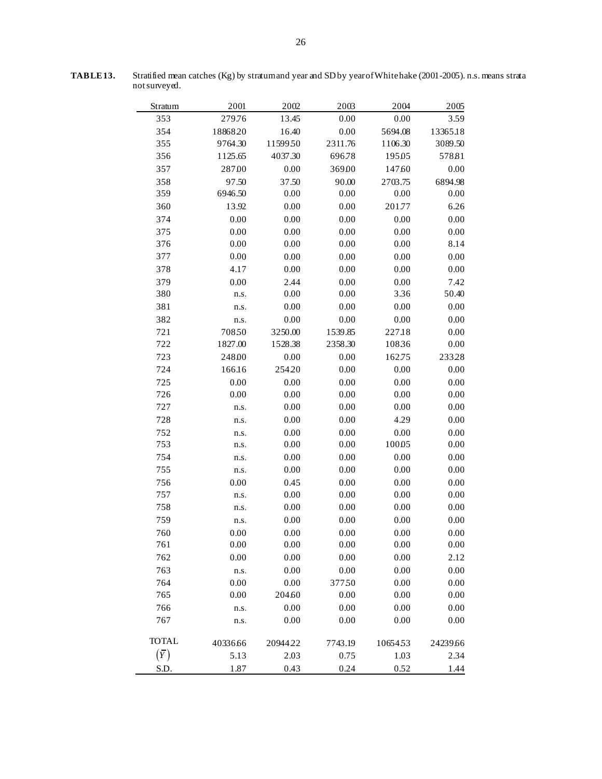| Stratum      | 2001     | 2002    | 2003     | 2004    | 2005     |
|--------------|----------|---------|----------|---------|----------|
| 353          | 279.76   | 13.45   | 0.00     | 0.00    | 3.59     |
| 354          | 1886820  | 16.40   | 0.00     | 5694.08 | 13365.18 |
| 355          | 9764.30  | 1159950 | 2311.76  | 1106.30 | 3089.50  |
| 356          | 1125.65  | 4037.30 | 696.78   | 19505   | 57881    |
| 357          | 28700    | 0.00    | 369.00   | 147.60  | 0.00     |
| 358          | 97.50    | 37.50   | 90.00    | 2703.75 | 6894.98  |
| 359          | 6946.50  | 0.00    | 0.00     | 0.00    | 0.00     |
| 360          | 13.92    | 0.00    | 0.00     | 201.77  | 6.26     |
| 374          | 0.00     | 0.00    | 0.00     | 0.00    | 0.00     |
| 375          | 0.00     | 0.00    | 0.00     | 0.00    | 0.00     |
| 376          | 0.00     | 0.00    | 0.00     | 0.00    | 8.14     |
| 377          | 0.00     | 0.00    | 0.00     | 0.00    | 0.00     |
| 378          | 4.17     | 0.00    | 0.00     | 0.00    | 0.00     |
| 379          | 0.00     | 2.44    | 0.00     | 0.00    | 7.42     |
| 380          | n.s.     | 0.00    | 0.00     | 3.36    | 50.40    |
| 381          | n.s.     | 0.00    | 0.00     | 0.00    | 0.00     |
| 382          | n.s.     | 0.00    | 0.00     | 0.00    | 0.00     |
| 721          | 70850    | 3250.00 | 1539.85  | 227.18  | 0.00     |
| 722          | 1827.00  | 1528.38 | 2358.30  | 10836   | 0.00     |
| 723          | 24800    | 0.00    | 0.00     | 162.75  | 23328    |
| 724          | 166.16   | 25420   | 0.00     | 0.00    | 0.00     |
| 725          | 0.00     | 0.00    | 0.00     | 0.00    | 0.00     |
| 726          | 0.00     | 0.00    | 0.00     | 0.00    | 0.00     |
| 727          | n.s.     | 0.00    | 0.00     | 0.00    | 0.00     |
| 728          | n.s.     | 0.00    | 0.00     | 4.29    | 0.00     |
| 752          | n.s.     | 0.00    | 0.00     | 0.00    | 0.00     |
| 753          | n.s.     | 0.00    | 0.00     | 10005   | 0.00     |
| 754          | n.s.     | 0.00    | 0.00     | 0.00    | 0.00     |
| 755          | n.s.     | 0.00    | 0.00     | 0.00    | 0.00     |
| 756          | 0.00     | 0.45    | 0.00     | 0.00    | 0.00     |
| 757          | n.s.     | 0.00    | 0.00     | 0.00    | 0.00     |
| 758          | n.s.     | 0.00    | 0.00     | 0.00    | 0.00     |
| 759          | n.s.     | 0.00    | 0.00     | 0.00    | 0.00     |
| 760          | $0.00\,$ | 0.00    | $0.00\,$ | 0.00    | $0.00\,$ |
| 761          | 0.00     | 0.00    | 0.00     | 0.00    | 0.00     |
| 762          | 0.00     | 0.00    | 0.00     | 0.00    | 2.12     |
| 763          | n.s.     | 0.00    | 0.00     | 0.00    | 0.00     |
| 764          | 0.00     | 0.00    | 37750    | 0.00    | 0.00     |
| 765          | 0.00     | 204.60  | 0.00     | 0.00    | 0.00     |
| 766          | n.s.     | 0.00    | 0.00     | 0.00    | 0.00     |
| 767          | n.s.     | 0.00    | 0.00     | 0.00    | 0.00     |
| <b>TOTAL</b> | 40336.66 | 2094422 | 7743.19  | 1065453 | 24239.66 |
| $(\bar{Y})$  | 5.13     | 2.03    | 0.75     | 1.03    | 2.34     |
| S.D.         | 1.87     | 0.43    | 0.24     | 0.52    | 1.44     |

**TABLE 13.** Stratified mean catches (Kg) by stratum and year and SD by year of White hake (2001-2005). n.s. means strata not surveyed.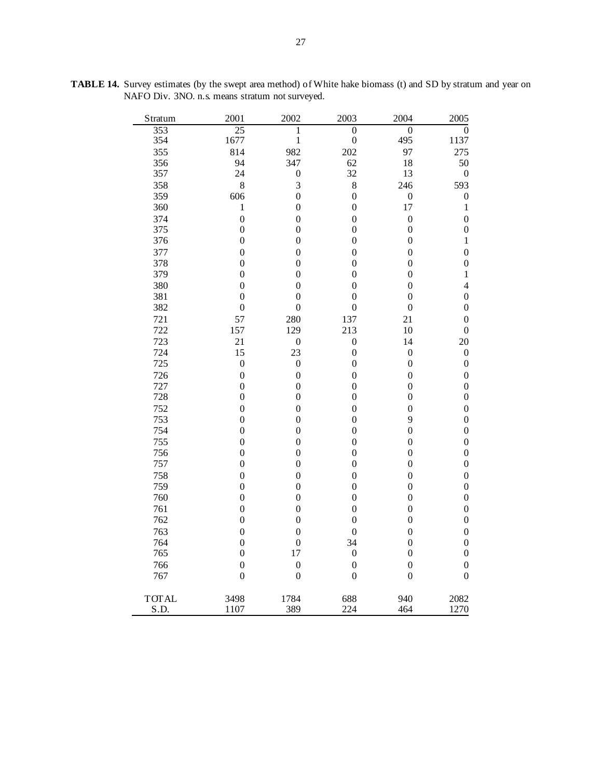| Stratum      | 2001             | 2002             | 2003             | 2004             | 2005             |
|--------------|------------------|------------------|------------------|------------------|------------------|
| 353          | 25               | 1                | $\overline{0}$   | $\overline{0}$   | $\overline{0}$   |
| 354          | 1677             | $\mathbf{1}$     | $\boldsymbol{0}$ | 495              | 1137             |
| 355          | 814              | 982              | 202              | 97               | 275              |
| 356          | 94               | 347              | 62               | 18               | 50               |
| 357          | 24               | $\boldsymbol{0}$ | 32               | 13               | $\boldsymbol{0}$ |
| 358          | 8                | 3                | 8                | 246              | 593              |
| 359          | 606              | $\overline{0}$   | $\boldsymbol{0}$ | $\boldsymbol{0}$ | $\boldsymbol{0}$ |
| 360          | $\mathbf{1}$     | $\boldsymbol{0}$ | $\boldsymbol{0}$ | 17               | $\mathbf{1}$     |
| 374          | $\boldsymbol{0}$ | $\boldsymbol{0}$ | $\boldsymbol{0}$ | $\boldsymbol{0}$ | $\overline{0}$   |
| 375          | $\boldsymbol{0}$ | $\boldsymbol{0}$ | $\boldsymbol{0}$ | $\boldsymbol{0}$ | $\boldsymbol{0}$ |
| 376          | $\overline{0}$   | $\boldsymbol{0}$ | $\boldsymbol{0}$ | $\boldsymbol{0}$ | $\mathbf{1}$     |
| 377          | $\overline{0}$   | $\boldsymbol{0}$ | $\boldsymbol{0}$ | $\boldsymbol{0}$ | $\overline{0}$   |
| 378          | $\overline{0}$   | $\boldsymbol{0}$ | $\boldsymbol{0}$ | $\boldsymbol{0}$ | $\boldsymbol{0}$ |
| 379          | $\boldsymbol{0}$ | 0                | $\overline{0}$   | $\boldsymbol{0}$ | $\mathbf{1}$     |
| 380          | $\boldsymbol{0}$ | 0                | $\boldsymbol{0}$ | $\boldsymbol{0}$ | $\overline{4}$   |
| 381          | $\boldsymbol{0}$ | $\boldsymbol{0}$ | $\boldsymbol{0}$ | $\boldsymbol{0}$ | $\boldsymbol{0}$ |
| 382          | $\boldsymbol{0}$ | $\boldsymbol{0}$ | $\boldsymbol{0}$ | $\boldsymbol{0}$ | $\boldsymbol{0}$ |
| 721          | 57               | 280              | 137              | 21               | $\boldsymbol{0}$ |
| 722          | 157              | 129              | 213              | 10               | $\boldsymbol{0}$ |
| 723          | 21               | $\boldsymbol{0}$ | $\boldsymbol{0}$ | 14               | 20               |
| 724          | 15               | 23               | $\boldsymbol{0}$ | $\boldsymbol{0}$ | $\boldsymbol{0}$ |
| 725          | $\boldsymbol{0}$ | $\boldsymbol{0}$ | $\boldsymbol{0}$ | $\overline{0}$   | $\boldsymbol{0}$ |
| 726          | $\overline{0}$   | $\boldsymbol{0}$ | $\boldsymbol{0}$ | $\overline{0}$   | $\overline{0}$   |
| 727          | $\boldsymbol{0}$ | $\boldsymbol{0}$ | $\boldsymbol{0}$ | $\boldsymbol{0}$ | $\boldsymbol{0}$ |
| 728          | $\overline{0}$   | $\boldsymbol{0}$ | $\boldsymbol{0}$ | $\overline{0}$   | $\boldsymbol{0}$ |
| 752          | $\boldsymbol{0}$ | $\boldsymbol{0}$ | $\boldsymbol{0}$ | $\boldsymbol{0}$ | $\overline{0}$   |
| 753          | $\boldsymbol{0}$ | $\boldsymbol{0}$ | $\boldsymbol{0}$ | 9                | $\boldsymbol{0}$ |
| 754          | $\boldsymbol{0}$ | 0                | $\boldsymbol{0}$ | $\boldsymbol{0}$ | $\boldsymbol{0}$ |
| 755          | $\boldsymbol{0}$ | $\boldsymbol{0}$ | $\boldsymbol{0}$ | $\boldsymbol{0}$ | $\overline{0}$   |
| 756          | $\boldsymbol{0}$ | $\boldsymbol{0}$ | $\boldsymbol{0}$ | $\boldsymbol{0}$ | $\boldsymbol{0}$ |
| 757          | $\boldsymbol{0}$ | $\overline{0}$   | $\boldsymbol{0}$ | $\boldsymbol{0}$ | $\boldsymbol{0}$ |
| 758          | $\boldsymbol{0}$ | $\overline{0}$   | $\overline{0}$   | $\boldsymbol{0}$ | $\boldsymbol{0}$ |
| 759          | $\overline{0}$   | $\boldsymbol{0}$ | $\boldsymbol{0}$ | $\boldsymbol{0}$ | $\boldsymbol{0}$ |
| 760          | $\boldsymbol{0}$ | $\boldsymbol{0}$ | $\boldsymbol{0}$ | $\boldsymbol{0}$ | $\boldsymbol{0}$ |
| 761          | $\boldsymbol{0}$ | $\boldsymbol{0}$ | $\overline{0}$   | $\boldsymbol{0}$ | $\overline{0}$   |
| 762          | $\overline{0}$   | 0                | $\boldsymbol{0}$ | $\boldsymbol{0}$ | $\boldsymbol{0}$ |
| 763          | $\boldsymbol{0}$ | $\boldsymbol{0}$ | $\boldsymbol{0}$ | $\overline{0}$   | $\overline{0}$   |
| 764          | $\boldsymbol{0}$ | $\boldsymbol{0}$ | 34               | $\boldsymbol{0}$ | $\boldsymbol{0}$ |
| 765          | $\boldsymbol{0}$ | 17               | $\boldsymbol{0}$ | $\boldsymbol{0}$ | $\boldsymbol{0}$ |
| 766          | $\overline{0}$   | $\overline{0}$   | $\boldsymbol{0}$ | $\overline{0}$   | $\overline{0}$   |
| 767          | $\overline{0}$   | $\boldsymbol{0}$ | $\boldsymbol{0}$ | $\boldsymbol{0}$ | $\overline{0}$   |
| <b>TOTAL</b> | 3498             | 1784             | 688              | 940              | 2082             |
| S.D.         | 1107             | 389              | 224              | 464              | 1270             |

**TABLE 14.** Survey estimates (by the swept area method) of White hake biomass (t) and SD by stratum and year on NAFO Div. 3NO. n.s. means stratum not surveyed.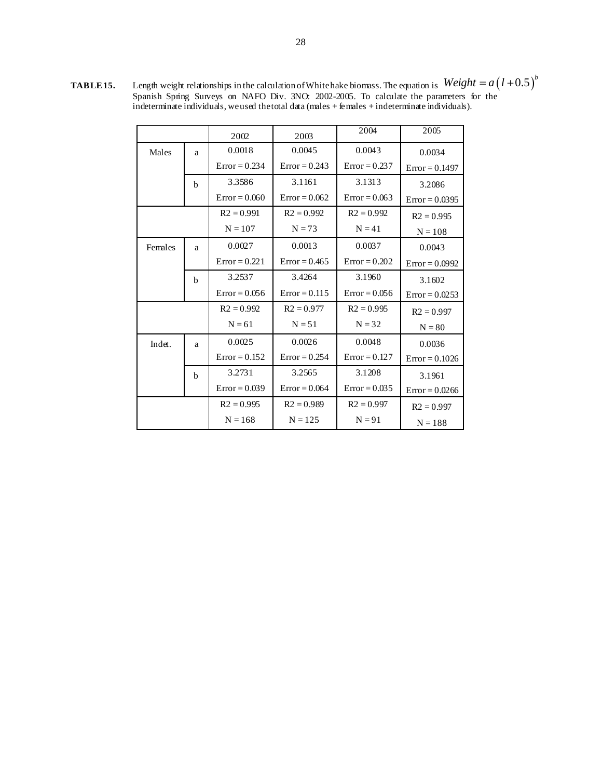**TABLE 15.** Length weight relationships in the calculation of White hake biomass. The equation is Spanish Spring Surveys on NAFO Div. 3NO: 2002-2005. To calculate the parameters for the indeterminate individuals, we used the total data (males + females + indeterminate individuals).  $Weight = a(l+0.5)^b$ 

|         |             | 2002            | 2003            | 2004            | 2005             |  |
|---------|-------------|-----------------|-----------------|-----------------|------------------|--|
| Males   | a           | 0.0018          | 0.0045          | 0.0043          | 0.0034           |  |
|         |             | $Error = 0.234$ | $Error = 0.243$ | $Error = 0.237$ | $Error = 0.1497$ |  |
|         | b           | 3.3586          | 3.1161          | 3.1313          | 3.2086           |  |
|         |             | $Error = 0.060$ | $Error = 0.062$ | $Error = 0.063$ | $Error = 0.0395$ |  |
|         |             | $R2 = 0.991$    | $R2 = 0.992$    | $R2 = 0.992$    | $R2 = 0.995$     |  |
|         |             | $N = 107$       | $N = 73$        | $N = 41$        | $N = 108$        |  |
| Females | a           | 0.0027          | 0.0013          | 0.0037          | 0.0043           |  |
|         |             | $Error = 0.221$ | $Error = 0.465$ | $Error = 0.202$ | $Error = 0.0992$ |  |
|         | $\mathbf b$ | 3.2537          | 3.4264          | 3.1960          | 3.1602           |  |
|         |             | $Error = 0.056$ | $Error = 0.115$ | $Error = 0.056$ | $Error = 0.0253$ |  |
|         |             | $R2 = 0.992$    | $R2 = 0.977$    | $R2 = 0.995$    | $R2 = 0.997$     |  |
|         |             | $N = 61$        | $N = 51$        | $N = 32$        | $N = 80$         |  |
| Indet.  | a           | 0.0025          | 0.0026          | 0.0048          | 0.0036           |  |
|         |             | $Error = 0.152$ | $Error = 0.254$ | $Error = 0.127$ | $Error = 0.1026$ |  |
|         | b           | 3.2731          | 3.2565          | 3.1208          | 3.1961           |  |
|         |             | $Error = 0.039$ | $Error = 0.064$ | $Error = 0.035$ | $Error = 0.0266$ |  |
|         |             | $R2 = 0.995$    | $R2 = 0.989$    | $R2 = 0.997$    | $R2 = 0.997$     |  |
|         |             | $N = 168$       | $N = 125$       | $N = 91$        | $N = 188$        |  |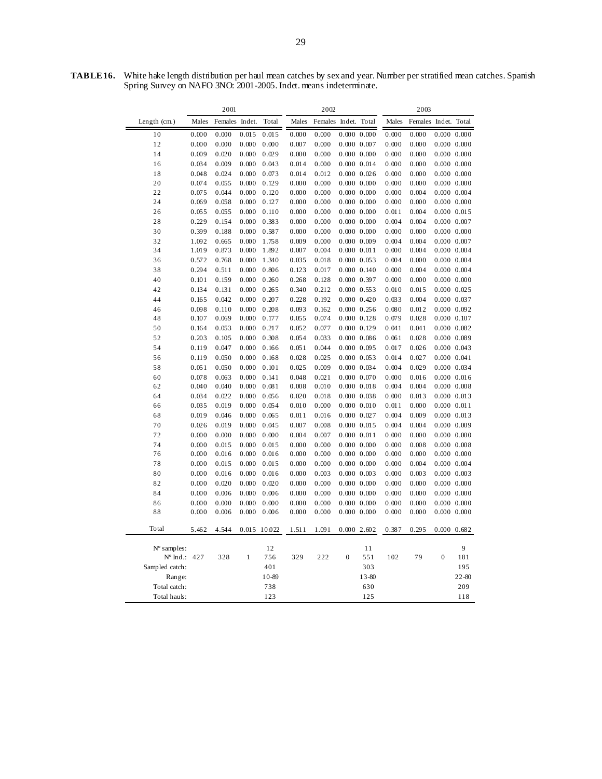2001 2002 2003 Length (cm.) Males Females Indet. Total Males Females Indet. Total Males Females Indet. Total 10 0.000 0.000 0.015 0.015 0.000 0.000 0.000 0.000 0.000 0.000 0.000 0.000 12 0.000 0.000 0.000 0.000 0.007 0.000 0.000 0.007 0.000 0.000 0.000 0.000 14 0.009 0.020 0.000 0.029 0.000 0.000 0.000 0.000 0.000 0.000 0.000 0.000 16 0.034 0.009 0.000 0.043 0.014 0.000 0.000 0.014 0.000 0.000 0.000 0.000 18 0.048 0.024 0.000 0.073 0.014 0.012 0.000 0.026 0.000 0.000 0.000 0.000 20 0.074 0.055 0.000 0.129 0.000 0.000 0.000 0.000 0.000 0.000 0.000 0.000 22 0.075 0.044 0.000 0.120 0.000 0.000 0.000 0.000 0.000 0.004 0.000 0.004 24 0.069 0.058 0.000 0.127 0.000 0.000 0.000 0.000 0.000 0.000 0.000 0.000 26 0.055 0.055 0.000 0.110 0.000 0.000 0.000 0.000 0.011 0.004 0.000 0.015 28 0.229 0.154 0.000 0.383 0.000 0.000 0.000 0.000 0.004 0.004 0.000 0.007 30 0.399 0.188 0.000 0.587 0.000 0.000 0.000 0.000 0.000 0.000 0.000 0.000 32 1.092 0.665 0.000 1.758 0.009 0.000 0.000 0.009 0.004 0.004 0.000 0.007 34 1.019 0.873 0.000 1.892 0.007 0.004 0.000 0.011 0.000 0.004 0.000 0.004 36 0.572 0.768 0.000 1.340 0.035 0.018 0.000 0.053 0.004 0.000 0.000 0.004 38 0.294 0.511 0.000 0.806 0.123 0.017 0.000 0.140 0.000 0.004 0.000 0.004 40 0.101 0.159 0.000 0.260 0.268 0.128 0.000 0.397 0.000 0.000 0.000 0.000 42 0.134 0.131 0.000 0.265 0.340 0.212 0.000 0.553 0.010 0.015 0.000 0.025 44 0.165 0.042 0.000 0.207 0.228 0.192 0.000 0.420 0.033 0.004 0.000 0.037 46 0.098 0.110 0.000 0.208 0.093 0.162 0.000 0.256 0.080 0.012 0.000 0.092 48 0.107 0.069 0.000 0.177 0.055 0.074 0.000 0.128 0.079 0.028 0.000 0.107 50 0.164 0.053 0.000 0.217 0.052 0.077 0.000 0.129 0.041 0.041 0.000 0.082 52 0.203 0.105 0.000 0.308 0.054 0.033 0.000 0.086 0.061 0.028 0.000 0.089 54 0.119 0.047 0.000 0.166 0.051 0.044 0.000 0.095 0.017 0.026 0.000 0.043 56 0.119 0.050 0.000 0.168 0.028 0.025 0.000 0.053 0.014 0.027 0.000 0.041 58 0.051 0.050 0.000 0.101 0.025 0.009 0.000 0.034 0.004 0.029 0.000 0.034 60 0.078 0.063 0.000 0.141 0.048 0.021 0.000 0.070 0.000 0.016 0.000 0.016 62 0.040 0.040 0.000 0.081 0.008 0.010 0.000 0.018 0.004 0.004 0.000 0.008 64 0.034 0.022 0.000 0.056 0.020 0.018 0.000 0.038 0.000 0.013 0.000 0.013 66 0.035 0.019 0.000 0.054 0.010 0.000 0.000 0.010 0.011 0.000 0.000 0.011 68 0.019 0.046 0.000 0.065 0.011 0.016 0.000 0.027 0.004 0.009 0.000 0.013 70 0.026 0.019 0.000 0.045 0.007 0.008 0.000 0.015 0.004 0.004 0.000 0.009 72 0.000 0.000 0.000 0.000 0.004 0.007 0.000 0.011 0.000 0.000 0.000 0.000 74 0.000 0.015 0.000 0.015 0.000 0.000 0.000 0.000 0.000 0.008 0.000 0.008 76 0.000 0.016 0.000 0.016 0.000 0.000 0.000 0.000 0.000 0.000 0.000 0.000 78 0.000 0.015 0.000 0.015 0.000 0.000 0.000 0.000 0.000 0.004 0.000 0.004 80 0.000 0.016 0.000 0.016 0.000 0.003 0.000 0.003 0.000 0.003 0.000 0.003 82 0.000 0.020 0.000 0.020 0.000 0.000 0.000 0.000 0.000 0.000 0.000 0.000 84 0.000 0.006 0.000 0.006 0.000 0.000 0.000 0.000 0.000 0.000 0.000 0.000 86 0.000 0.000 0.000 0.000 0.000 0.000 0.000 0.000 0.000 0.000 0.000 0.000 88 0.000 0.006 0.000 0.006 0.000 0.000 0.000 0.000 0.000 0.000 0.000 0.000 Total 5.462 4.544 0.015 10.022 1.511 1.091 0.000 2.602 0.387 0.295 0.000 0.682  $N^{\circ}$  samples:  $12$  11 9 Nº Ind.: 427 328 1 756 329 222 0 551 102 79 0 181 Sampled catch: 401 401 303 195 Range: 10-89 13-80 22-80 Total catch: 738 630 209 Total hauls: 123 125 118

**TABLE 16.** White hake length distribution per haul mean catches by sex and year. Number per stratified mean catches. Spanish Spring Survey on NAFO 3NO: 2001-2005. Indet. means indeterminate.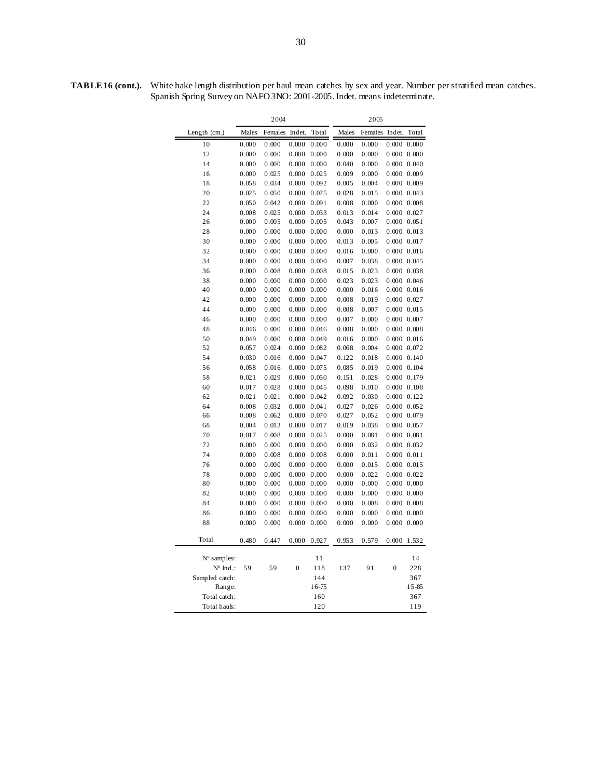**TABLE 16 (cont.).** White hake length distribution per haul mean catches by sex and year. Number per stratified mean catches. Spanish Spring Survey on NAFO 3NO: 2001-2005. Indet. means indeterminate.

|                      | 2004  |         |              |       | 2005  |         |                     |                     |
|----------------------|-------|---------|--------------|-------|-------|---------|---------------------|---------------------|
| Length $(cm.)$       | Males | Females | Indet.       | Total | Males | Females | Indet.              | Total               |
| 10                   | 0.000 | 0.000   | 0.000        | 0.000 | 0.000 | 0.000   | 0.000               | 0.000               |
| 12                   | 0.000 | 0.000   | 0.000        | 0.000 | 0.000 | 0.000   |                     | 0.000 0.000         |
| 14                   | 0.000 | 0.000   | 0.000        | 0.000 | 0.040 | 0.000   |                     | 0.000 0.040         |
| 16                   | 0.000 | 0.025   | 0.000        | 0.025 | 0.009 | 0.000   |                     | 0.000 0.009         |
| 18                   | 0.058 | 0.034   | 0.000        | 0.092 | 0.005 | 0.004   |                     | 0.000 0.009         |
| 20                   | 0.025 | 0.050   | 0.000        | 0.075 | 0.028 | 0.015   |                     | 0.000 0.043         |
| 22                   | 0.050 | 0.042   | 0.000        | 0.091 | 0.008 | 0.000   |                     | 0.000 0.008         |
| 24                   | 0.008 | 0.025   | 0.000        | 0.033 | 0.013 | 0.014   |                     | 0.000 0.027         |
| 26                   | 0.000 | 0.005   | 0.000        | 0.005 | 0.043 | 0.007   |                     | $0.000 \quad 0.051$ |
| 28                   | 0.000 | 0.000   | 0.000        | 0.000 | 0.000 | 0.013   |                     | $0.000 \quad 0.013$ |
| 30                   | 0.000 | 0.000   | 0.000        | 0.000 | 0.013 | 0.005   |                     | 0.000 0.017         |
| 32                   | 0.000 | 0.000   | 0.000        | 0.000 | 0.016 | 0.000   |                     | $0.000$ $0.016$     |
| 34                   | 0.000 | 0.000   | 0.000        | 0.000 | 0.007 | 0.038   |                     | 0.000 0.045         |
| 36                   | 0.000 | 0.008   | 0.000        | 0.008 | 0.015 | 0.023   |                     | 0.000 0.038         |
| 38                   | 0.000 | 0.000   | 0.000        | 0.000 | 0.023 | 0.023   |                     | 0.000 0.046         |
| 40                   | 0.000 | 0.000   | 0.000        | 0.000 | 0.000 | 0.016   |                     | $0.000$ $0.016$     |
| 42                   | 0.000 | 0.000   | 0.000        | 0.000 | 0.008 | 0.019   |                     | $0.000$ $0.027$     |
| 44                   | 0.000 | 0.000   | 0.000        | 0.000 | 0.008 | 0.007   |                     | $0.000$ $0.015$     |
| 46                   | 0.000 | 0.000   | 0.000        | 0.000 | 0.007 | 0.000   |                     | 0.000 0.007         |
| 48                   | 0.046 | 0.000   | 0.000        | 0.046 | 0.008 | 0.000   |                     | 0.000 0.008         |
| 50                   | 0.049 | 0.000   | 0.000        | 0.049 | 0.016 | 0.000   |                     | 0.000 0.016         |
| 52                   | 0.057 | 0.024   | 0.000        | 0.082 | 0.068 | 0.004   |                     | 0.000 0.072         |
| 54                   | 0.030 | 0.016   | 0.000        | 0.047 | 0.122 | 0.018   |                     | 0.000 0.140         |
| 56                   | 0.058 | 0.016   | 0.000        | 0.075 | 0.085 | 0.019   |                     | $0.000$ $0.104$     |
| 58                   | 0.021 | 0.029   | 0.000        | 0.050 | 0.151 | 0.028   |                     | 0.000 0.179         |
| 60                   | 0.017 | 0.028   | 0.000        | 0.045 | 0.098 | 0.010   |                     | 0.000 0.108         |
| 62                   | 0.021 | 0.021   | 0.000        | 0.042 | 0.092 | 0.030   |                     | $0.000$ $0.122$     |
| 64                   | 0.008 | 0.032   | 0.000        | 0.041 | 0.027 | 0.026   |                     | 0.000 0.052         |
| 66                   | 0.008 | 0.062   | 0.000        | 0.070 | 0.027 | 0.052   |                     | 0.000 0.079         |
| 68                   | 0.004 | 0.013   | 0.000        | 0.017 | 0.019 | 0.038   |                     | 0.000 0.057         |
| 70                   | 0.017 | 0.008   | 0.000        | 0.025 | 0.000 | 0.081   | $0.000 \quad 0.081$ |                     |
| 72                   | 0.000 | 0.000   | 0.000        | 0.000 | 0.000 | 0.032   |                     | 0.000 0.032         |
| 74                   | 0.000 | 0.008   | 0.000        | 0.008 | 0.000 | 0.011   |                     | 0.000 0.011         |
| 76                   | 0.000 | 0.000   | 0.000        | 0.000 | 0.000 | 0.015   |                     | 0.000 0.015         |
| 78                   | 0.000 | 0.000   | 0.000        | 0.000 | 0.000 | 0.022   |                     | 0.000 0.022         |
| 80                   | 0.000 | 0.000   | 0.000        | 0.000 | 0.000 | 0.000   |                     | 0.000 0.000         |
| 82                   | 0.000 | 0.000   | 0.000        | 0.000 | 0.000 | 0.000   |                     | $0.000$ $0.000$     |
| 84                   | 0.000 | 0.000   | 0.000        | 0.000 | 0.000 | 0.008   |                     | 0.000 0.008         |
| 86                   | 0.000 | 0.000   | 0.000        | 0.000 | 0.000 | 0.000   |                     | 0.000 0.000         |
| 88                   | 0.000 | 0.000   | 0.000        | 0.000 | 0.000 | 0.000   |                     | $0.000$ $0.000$     |
| Total                | 0.480 | 0.447   | 0.000        | 0.927 | 0.953 | 0.579   | 0.000               | 1.532               |
| $N^{\circ}$ samples: |       |         |              | 11    |       |         |                     | 14                  |
| $N^{\circ}$ Ind.:    | 59    | 59      | $\mathbf{0}$ | 118   | 137   | 91      | $\boldsymbol{0}$    | 228                 |
| Sampled catch:       |       |         |              | 144   |       |         |                     | 367                 |
| Range:               |       |         |              | 16-75 |       |         |                     | 15-85               |
| Total catch:         |       |         |              | 160   |       |         |                     | 367                 |
| Total hauls:         |       |         |              | 120   |       |         |                     | 119                 |
|                      |       |         |              |       |       |         |                     |                     |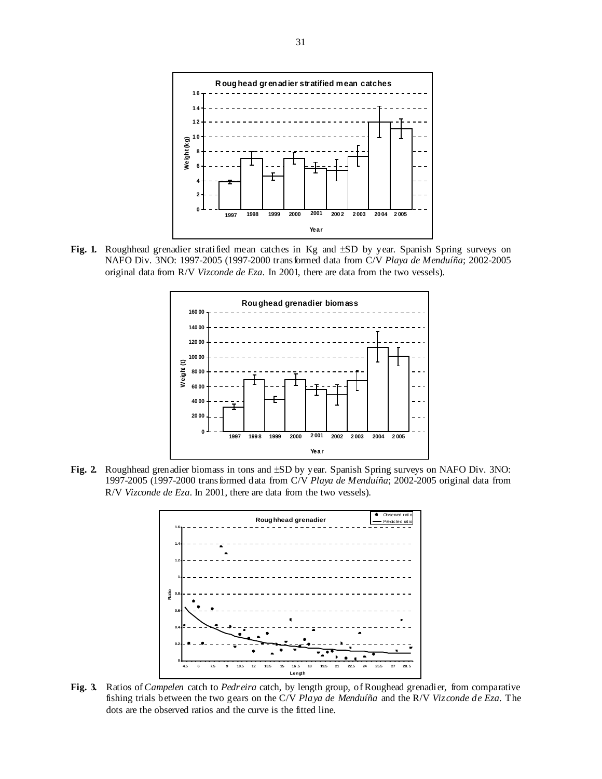

Fig. 1. Roughhead grenadier stratified mean catches in Kg and  $\pm SD$  by year. Spanish Spring surveys on NAFO Div. 3NO: 1997-2005 (1997-2000 transformed data from C/V *Playa de Menduíña*; 2002-2005 original data from R/V *Vizconde de Eza*. In 2001, there are data from the two vessels).



**Fig. 2.** Roughhead grenadier biomass in tons and ±SD by year. Spanish Spring surveys on NAFO Div. 3NO: 1997-2005 (1997-2000 transformed data from C/V *Playa de Menduíña*; 2002-2005 original data from R/V *Vizconde de Eza*. In 2001, there are data from the two vessels).



**Fig. 3.** Ratios of *Campelen* catch to *Pedreira* catch, by length group, of Roughead grenadier, from comparative fishing trials between the two gears on the C/V *Playa de Menduíña* and the R/V *Vizconde de Eza*. The dots are the observed ratios and the curve is the fitted line.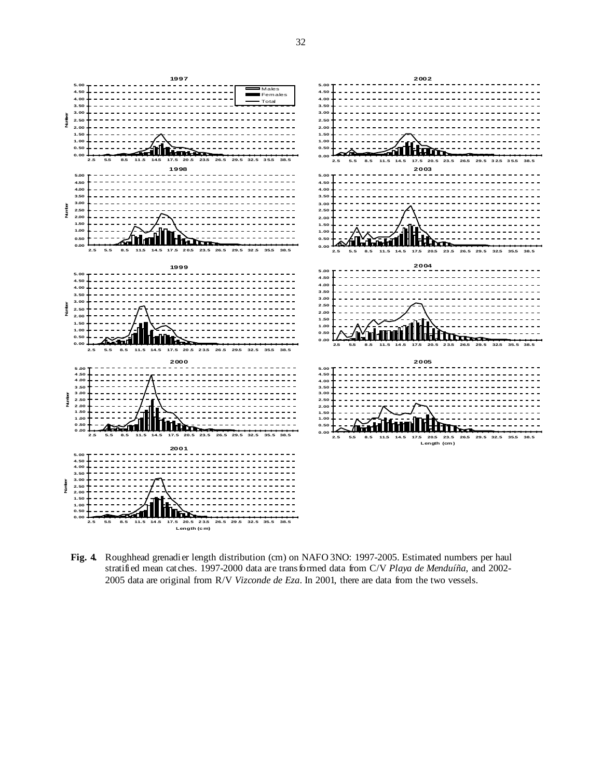

**Fig. 4.** Roughhead grenadier length distribution (cm) on NAFO 3NO: 1997-2005. Estimated numbers per haul stratified mean catches. 1997-2000 data are transformed data from C/V *Playa de Menduíña*, and 2002- 2005 data are original from R/V *Vizconde de Eza*. In 2001, there are data from the two vessels.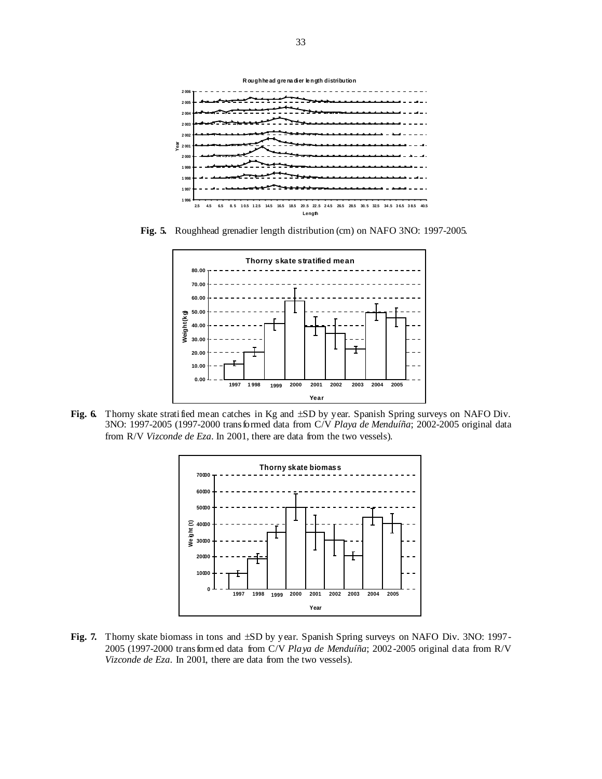

**Fig. 5.** Roughhead grenadier length distribution (cm) on NAFO 3NO: 1997-2005.



Fig. 6. Thorny skate stratified mean catches in Kg and  $\pm SD$  by year. Spanish Spring surveys on NAFO Div. 3NO: 1997-2005 (1997-2000 transformed data from C/V *Playa de Menduíña*; 2002-2005 original data from R/V *Vizconde de Eza*. In 2001, there are data from the two vessels).



**Fig. 7.** Thorny skate biomass in tons and ±SD by year. Spanish Spring surveys on NAFO Div. 3NO: 1997- 2005 (1997-2000 transformed data from C/V *Playa de Menduíña*; 2002-2005 original data from R/V *Vizconde de Eza*. In 2001, there are data from the two vessels).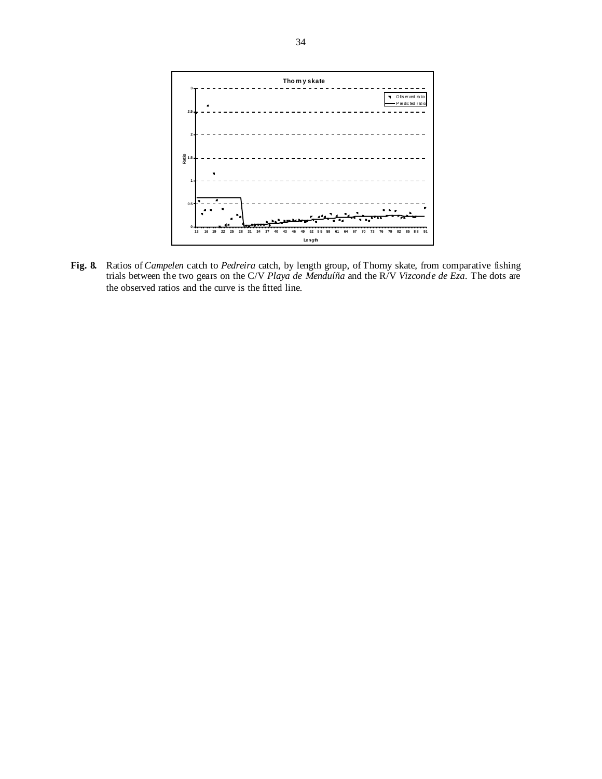

**Fig. 8.** Ratios of *Campelen* catch to *Pedreira* catch, by length group, of Thorny skate, from comparative fishing trials between the two gears on the C/V *Playa de Menduíña* and the R/V *Vizconde de Eza*. The dots are the observed ratios and the curve is the fitted line.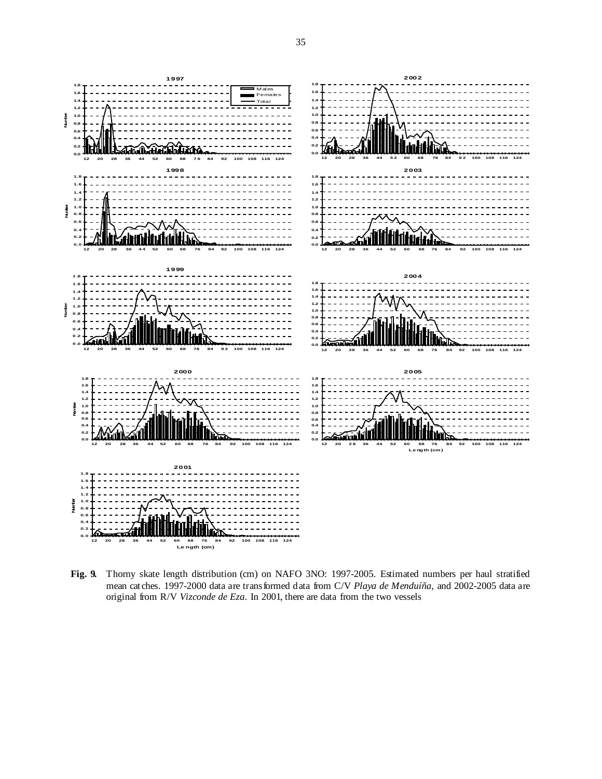

**Fig. 9.** Thorny skate length distribution (cm) on NAFO 3NO: 1997-2005. Estimated numbers per haul stratified mean catches. 1997-2000 data are transformed data from C/V *Playa de Menduíña*, and 2002-2005 data are original from R/V *Vizconde de Eza*. In 2001, there are data from the two vessels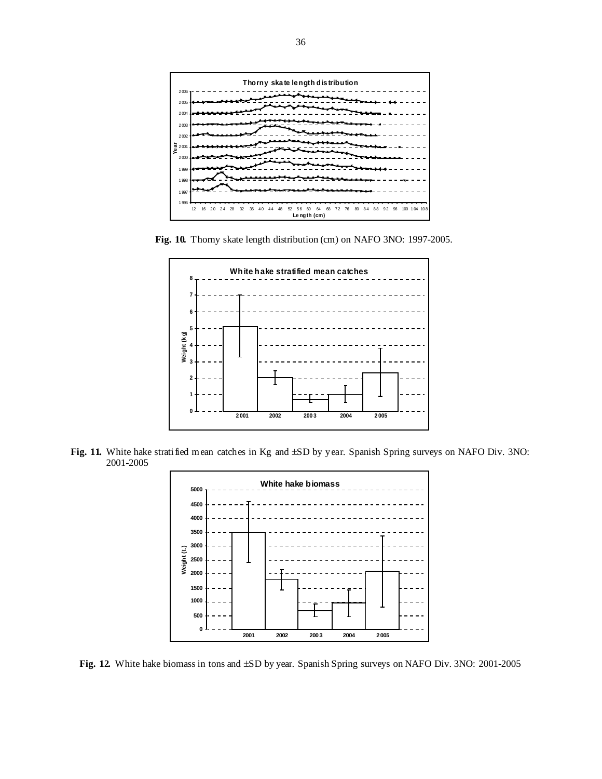

**Fig. 10.** Thorny skate length distribution (cm) on NAFO 3NO: 1997-2005.



Fig. 11. White hake stratified mean catches in Kg and  $\pm SD$  by year. Spanish Spring surveys on NAFO Div. 3NO: 2001-2005



**Fig. 12.** White hake biomass in tons and ±SD by year. Spanish Spring surveys on NAFO Div. 3NO: 2001-2005